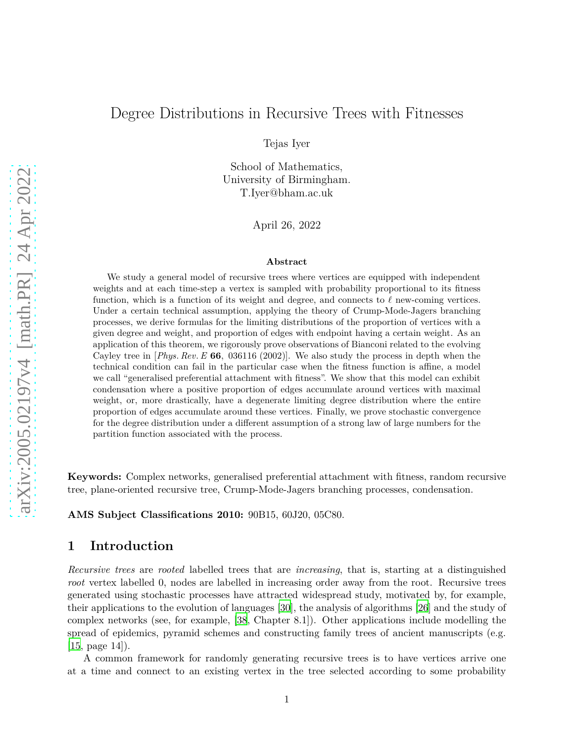## Degree Distributions in Recursive Trees with Fitnesses

Tejas Iyer

School of Mathematics, University of Birmingham. T.Iyer@bham.ac.uk

April 26, 2022

#### **Abstract**

We study a general model of recursive trees where vertices are equipped with independent weights and at each time-step a vertex is sampled with probability proportional to its fitness function, which is a function of its weight and degree, and connects to *ℓ* new-coming vertices. Under a certain technical assumption, applying the theory of Crump-Mode-Jagers branching processes, we derive formulas for the limiting distributions of the proportion of vertices with a given degree and weight, and proportion of edges with endpoint having a certain weight. As an application of this theorem, we rigorously prove observations of Bianconi related to the evolving Cayley tree in [*Phys. Rev.E* **66***,* 036116 (2002)]. We also study the process in depth when the technical condition can fail in the particular case when the fitness function is affine, a model we call "generalised preferential attachment with fitness". We show that this model can exhibit condensation where a positive proportion of edges accumulate around vertices with maximal weight, or, more drastically, have a degenerate limiting degree distribution where the entire proportion of edges accumulate around these vertices. Finally, we prove stochastic convergence for the degree distribution under a different assumption of a strong law of large numbers for the partition function associated with the process.

**Keywords:** Complex networks, generalised preferential attachment with fitness, random recursive tree, plane-oriented recursive tree, Crump-Mode-Jagers branching processes, condensation.

**AMS Subject Classifications 2010:** 90B15, 60J20, 05C80.

## **1 Introduction**

*Recursive trees* are *rooted* labelled trees that are *increasing*, that is, starting at a distinguished *root* vertex labelled 0, nodes are labelled in increasing order away from the root. Recursive trees generated using stochastic processes have attracted widespread study, motivated by, for example, their applications to the evolution of languages [\[30](#page-34-0)], the analysis of algorithms [\[26\]](#page-34-1) and the study of complex networks (see, for example, [\[38,](#page-35-0) Chapter 8.1]). Other applications include modelling the spread of epidemics, pyramid schemes and constructing family trees of ancient manuscripts (e.g.  $|15$ , page  $14|$ ).

A common framework for randomly generating recursive trees is to have vertices arrive one at a time and connect to an existing vertex in the tree selected according to some probability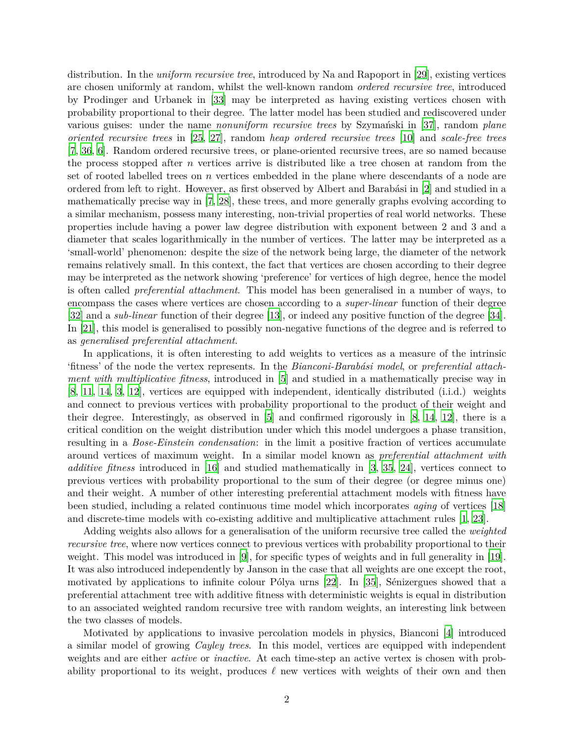distribution. In the *uniform recursive tree*, introduced by Na and Rapoport in [\[29](#page-34-3)], existing vertices are chosen uniformly at random, whilst the well-known random *ordered recursive tree*, introduced by Prodinger and Urbanek in [\[33\]](#page-35-1) may be interpreted as having existing vertices chosen with probability proportional to their degree. The latter model has been studied and rediscovered under various guises: under the name *nonuniform recursive trees* by Szymański in [\[37\]](#page-35-2), random *plane oriented recursive trees* in [\[25](#page-34-4), [27](#page-34-5)], random *heap ordered recursive trees* [\[10](#page-33-0)] and *scale-free trees* [\[7](#page-33-1), [36,](#page-35-3) [6\]](#page-33-2). Random ordered recursive trees, or plane-oriented recursive trees, are so named because the process stopped after *n* vertices arrive is distributed like a tree chosen at random from the set of rooted labelled trees on *n* vertices embedded in the plane where descendants of a node are ordered from left to right. However, as first observed by Albert and Barabási in [\[2](#page-33-3)] and studied in a mathematically precise way in [\[7](#page-33-1), [28](#page-34-6)], these trees, and more generally graphs evolving according to a similar mechanism, possess many interesting, non-trivial properties of real world networks. These properties include having a power law degree distribution with exponent between 2 and 3 and a diameter that scales logarithmically in the number of vertices. The latter may be interpreted as a 'small-world' phenomenon: despite the size of the network being large, the diameter of the network remains relatively small. In this context, the fact that vertices are chosen according to their degree may be interpreted as the network showing 'preference' for vertices of high degree, hence the model is often called *preferential attachment*. This model has been generalised in a number of ways, to encompass the cases where vertices are chosen according to a *super-linear* function of their degree [\[32\]](#page-35-4) and a *sub-linear* function of their degree [\[13](#page-33-4)], or indeed any positive function of the degree [\[34\]](#page-35-5). In [\[21](#page-34-7)], this model is generalised to possibly non-negative functions of the degree and is referred to as *generalised preferential attachment*.

In applications, it is often interesting to add weights to vertices as a measure of the intrinsic 'fitness' of the node the vertex represents. In the *Bianconi-Barab´asi model*, or *preferential attachment with multiplicative fitness*, introduced in [\[5\]](#page-33-5) and studied in a mathematically precise way in [\[8](#page-33-6), [11,](#page-33-7) [14](#page-33-8), [3](#page-33-9), [12](#page-33-10)], vertices are equipped with independent, identically distributed (i.i.d.) weights and connect to previous vertices with probability proportional to the product of their weight and their degree. Interestingly, as observed in [\[5](#page-33-5)] and confirmed rigorously in [\[8](#page-33-6), [14,](#page-33-8) [12\]](#page-33-10), there is a critical condition on the weight distribution under which this model undergoes a phase transition, resulting in a *Bose-Einstein condensation*: in the limit a positive fraction of vertices accumulate around vertices of maximum weight. In a similar model known as *preferential attachment with additive fitness* introduced in [\[16\]](#page-34-8) and studied mathematically in [\[3](#page-33-9), [35](#page-35-6), [24](#page-34-9)], vertices connect to previous vertices with probability proportional to the sum of their degree (or degree minus one) and their weight. A number of other interesting preferential attachment models with fitness have been studied, including a related continuous time model which incorporates *aging* of vertices [\[18\]](#page-34-10) and discrete-time models with co-existing additive and multiplicative attachment rules [\[1](#page-33-11), [23\]](#page-34-11).

Adding weights also allows for a generalisation of the uniform recursive tree called the *weighted recursive tree*, where now vertices connect to previous vertices with probability proportional to their weight. This model was introduced in [\[9](#page-33-12)], for specific types of weights and in full generality in [\[19\]](#page-34-12). It was also introduced independently by Janson in the case that all weights are one except the root, motivated by applications to infinite colour Pólya urns  $[22]$ . In  $[35]$ , Sénizergues showed that a preferential attachment tree with additive fitness with deterministic weights is equal in distribution to an associated weighted random recursive tree with random weights, an interesting link between the two classes of models.

Motivated by applications to invasive percolation models in physics, Bianconi [\[4](#page-33-13)] introduced a similar model of growing *Cayley trees*. In this model, vertices are equipped with independent weights and are either *active* or *inactive*. At each time-step an active vertex is chosen with probability proportional to its weight, produces *ℓ* new vertices with weights of their own and then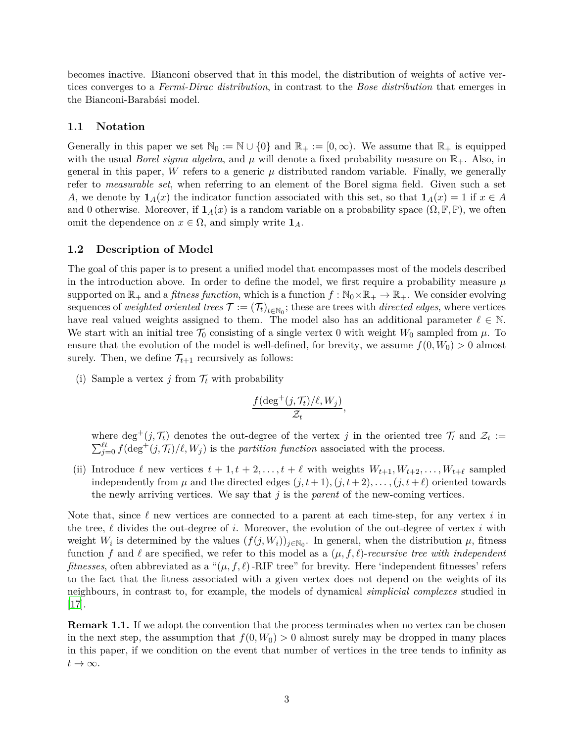becomes inactive. Bianconi observed that in this model, the distribution of weights of active vertices converges to a *Fermi-Dirac distribution*, in contrast to the *Bose distribution* that emerges in the Bianconi-Barabási model.

#### **1.1 Notation**

Generally in this paper we set  $\mathbb{N}_0 := \mathbb{N} \cup \{0\}$  and  $\mathbb{R}_+ := [0, \infty)$ . We assume that  $\mathbb{R}_+$  is equipped with the usual *Borel sigma algebra*, and  $\mu$  will denote a fixed probability measure on  $\mathbb{R}_+$ . Also, in general in this paper, *W* refers to a generic  $\mu$  distributed random variable. Finally, we generally refer to *measurable set*, when referring to an element of the Borel sigma field. Given such a set *A*, we denote by  $\mathbf{1}_A(x)$  the indicator function associated with this set, so that  $\mathbf{1}_A(x) = 1$  if  $x \in A$ and 0 otherwise. Moreover, if  $\mathbf{1}_A(x)$  is a random variable on a probability space  $(\Omega, \mathbb{F}, \mathbb{P})$ , we often omit the dependence on  $x \in \Omega$ , and simply write  $\mathbf{1}_A$ .

#### **1.2 Description of Model**

The goal of this paper is to present a unified model that encompasses most of the models described in the introduction above. In order to define the model, we first require a probability measure  $\mu$ supported on  $\mathbb{R}_+$  and a *fitness function*, which is a function  $f : \mathbb{N}_0 \times \mathbb{R}_+ \to \mathbb{R}_+$ . We consider evolving sequences of *weighted oriented trees*  $\mathcal{T} := (\mathcal{T}_t)_{t \in \mathbb{N}_0}$ ; these are trees with *directed edges*, where vertices have real valued weights assigned to them. The model also has an additional parameter  $\ell \in \mathbb{N}$ . We start with an initial tree  $\mathcal{T}_0$  consisting of a single vertex 0 with weight  $W_0$  sampled from  $\mu$ . To ensure that the evolution of the model is well-defined, for brevity, we assume  $f(0, W_0) > 0$  almost surely. Then, we define  $\mathcal{T}_{t+1}$  recursively as follows:

(i) Sample a vertex  $j$  from  $\mathcal{T}_t$  with probability

$$
\frac{f(\deg^+(j,\mathcal{T}_t)/\ell,W_j)}{\mathcal{Z}_t},
$$

where  $\deg^+(j, \mathcal{T}_t)$  denotes the out-degree of the vertex *j* in the oriented tree  $\mathcal{T}_t$  and  $\mathcal{Z}_t :=$  $\sum_{j=0}^{\ell t} f(\deg^+(j, \mathcal{T}_t)/\ell, W_j)$  is the *partition function* associated with the process.

(ii) Introduce  $\ell$  new vertices  $t + 1, t + 2, \ldots, t + \ell$  with weights  $W_{t+1}, W_{t+2}, \ldots, W_{t+\ell}$  sampled independently from  $\mu$  and the directed edges  $(j, t + 1), (j, t + 2), \ldots, (j, t + \ell)$  oriented towards the newly arriving vertices. We say that *j* is the *parent* of the new-coming vertices.

Note that, since *ℓ* new vertices are connected to a parent at each time-step, for any vertex *i* in the tree, *ℓ* divides the out-degree of *i*. Moreover, the evolution of the out-degree of vertex *i* with weight  $W_i$  is determined by the values  $(f(j, W_i))_{j \in \mathbb{N}_0}$ . In general, when the distribution  $\mu$ , fitness function *f* and  $\ell$  are specified, we refer to this model as a  $(\mu, f, \ell)$ -*recursive tree with independent fitnesses*, often abbreviated as a " $(\mu, f, \ell)$ -RIF tree" for brevity. Here 'independent fitnesses' refers to the fact that the fitness associated with a given vertex does not depend on the weights of its neighbours, in contrast to, for example, the models of dynamical *simplicial complexes* studied in  $|17|$ .

**Remark 1.1.** If we adopt the convention that the process terminates when no vertex can be chosen in the next step, the assumption that  $f(0, W_0) > 0$  almost surely may be dropped in many places in this paper, if we condition on the event that number of vertices in the tree tends to infinity as  $t \to \infty$ .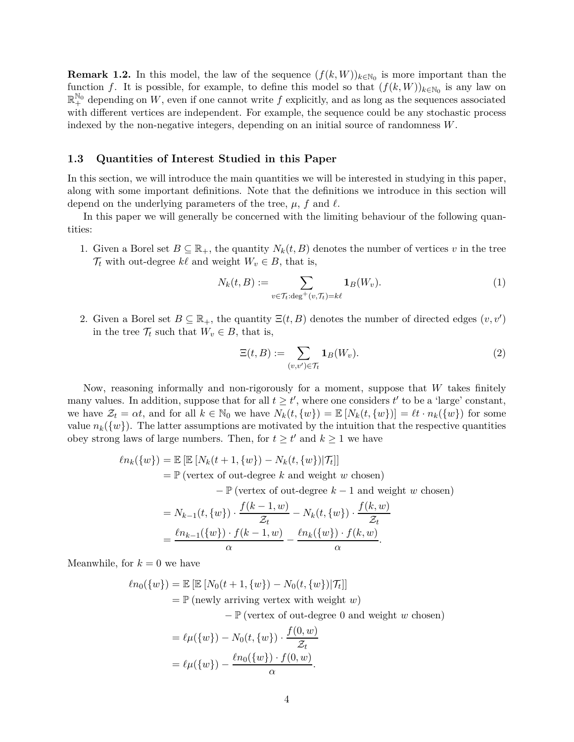<span id="page-3-1"></span>**Remark 1.2.** In this model, the law of the sequence  $(f(k, W))_{k \in \mathbb{N}_0}$  is more important than the function *f*. It is possible, for example, to define this model so that  $(f(k, W))_{k \in \mathbb{N}_0}$  is any law on  $\mathbb{R}^{\mathbb{N}_0}$  depending on *W*, even if one cannot write *f* explicitly, and as long as the sequences associated with different vertices are independent. For example, the sequence could be any stochastic process indexed by the non-negative integers, depending on an initial source of randomness *W*.

### <span id="page-3-0"></span>**1.3 Quantities of Interest Studied in this Paper**

In this section, we will introduce the main quantities we will be interested in studying in this paper, along with some important definitions. Note that the definitions we introduce in this section will depend on the underlying parameters of the tree,  $\mu$ ,  $f$  and  $\ell$ .

In this paper we will generally be concerned with the limiting behaviour of the following quantities:

1. Given a Borel set  $B \subseteq \mathbb{R}_+$ , the quantity  $N_k(t, B)$  denotes the number of vertices v in the tree  $\mathcal{T}_t$  with out-degree  $k\ell$  and weight  $W_v \in B$ , that is,

$$
N_k(t, B) := \sum_{v \in \mathcal{T}_t : \deg^+(v, \mathcal{T}_t) = k\ell} \mathbf{1}_B(W_v). \tag{1}
$$

2. Given a Borel set  $B \subseteq \mathbb{R}_+$ , the quantity  $\Xi(t, B)$  denotes the number of directed edges  $(v, v')$ in the tree  $\mathcal{T}_t$  such that  $W_v \in B$ , that is,

<span id="page-3-3"></span><span id="page-3-2"></span>
$$
\Xi(t,B) := \sum_{(v,v') \in \mathcal{T}_t} \mathbf{1}_B(W_v). \tag{2}
$$

Now, reasoning informally and non-rigorously for a moment, suppose that *W* takes finitely many values. In addition, suppose that for all  $t \geq t'$ , where one considers  $t'$  to be a 'large' constant, we have  $\mathcal{Z}_t = \alpha t$ , and for all  $k \in \mathbb{N}_0$  we have  $N_k(t, \{w\}) = \mathbb{E}[N_k(t, \{w\})] = \ell t \cdot n_k(\{w\})$  for some value  $n_k({w})$ . The latter assumptions are motivated by the intuition that the respective quantities obey strong laws of large numbers. Then, for  $t \geq t'$  and  $k \geq 1$  we have

$$
\ell n_k({w}) = \mathbb{E} [\mathbb{E} [N_k(t+1, \{w\}) - N_k(t, \{w\}) | \mathcal{T}_t]]
$$
  
=  $\mathbb{P}$  (vertex of out-degree k and weight w chosen)

− P (vertex of out-degree *k* − 1 and weight *w* chosen)

$$
= N_{k-1}(t, \{w\}) \cdot \frac{f(k-1, w)}{\mathcal{Z}_t} - N_k(t, \{w\}) \cdot \frac{f(k, w)}{\mathcal{Z}_t}
$$
  
=  $\frac{\ln_{k-1}(\{w\}) \cdot f(k-1, w)}{\alpha} - \frac{\ln_k(\{w\}) \cdot f(k, w)}{\alpha}.$ 

Meanwhile, for  $k = 0$  we have

$$
\ell n_0({w}) = \mathbb{E} [\mathbb{E} [N_0(t+1, \{w\}) - N_0(t, \{w\}) | \mathcal{T}_t]]
$$
  
=  $\mathbb{P}$  (newly arriving vertex with weight w)  

$$
- \mathbb{P} (\text{vertex of out-degree 0 and weight w chosen})
$$
  
=  $\ell \mu({w}) - N_0(t, \{w\}) \cdot \frac{f(0, w)}{\mathcal{Z}_t}$ 

$$
= \ell \mu(\{w\}) - \frac{\ell n_0(\{w\}) \cdot f(0, w)}{\alpha}.
$$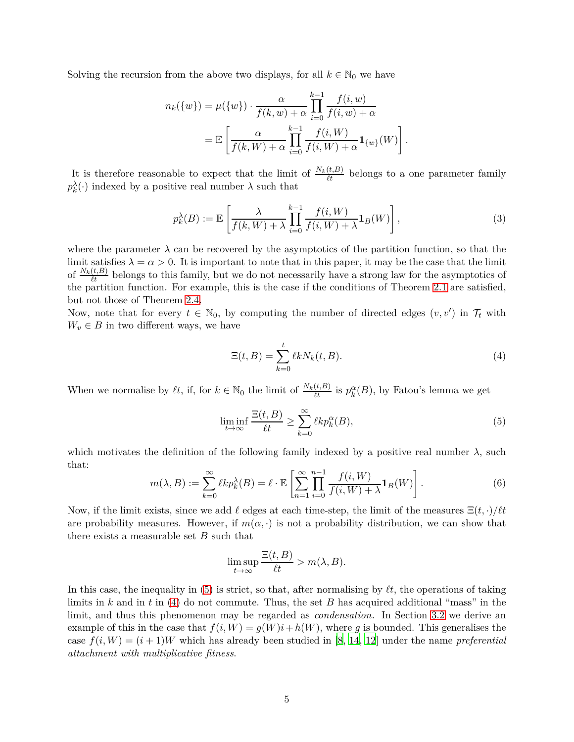Solving the recursion from the above two displays, for all  $k \in \mathbb{N}_0$  we have

$$
n_k({w}) = \mu({w}) \cdot \frac{\alpha}{f(k, w) + \alpha} \prod_{i=0}^{k-1} \frac{f(i, w)}{f(i, w) + \alpha}
$$

$$
= \mathbb{E} \left[ \frac{\alpha}{f(k, W) + \alpha} \prod_{i=0}^{k-1} \frac{f(i, W)}{f(i, W) + \alpha} \mathbf{1}_{\{w\}}(W) \right]
$$

It is therefore reasonable to expect that the limit of  $\frac{N_k(t,B)}{\ell t}$  belongs to a one parameter family  $p_k^{\lambda}(\cdot)$  indexed by a positive real number  $\lambda$  such that

$$
p_k^{\lambda}(B) := \mathbb{E}\left[\frac{\lambda}{f(k, W) + \lambda} \prod_{i=0}^{k-1} \frac{f(i, W)}{f(i, W) + \lambda} \mathbf{1}_B(W)\right],\tag{3}
$$

where the parameter  $\lambda$  can be recovered by the asymptotics of the partition function, so that the limit satisfies  $\lambda = \alpha > 0$ . It is important to note that in this paper, it may be the case that the limit of  $\frac{N_k(t,B)}{\ell t}$  belongs to this family, but we do not necessarily have a strong law for the asymptotics of the partition function. For example, this is the case if the conditions of Theorem [2.1](#page-8-0) are satisfied, but not those of Theorem [2.4.](#page-12-0)

Now, note that for every  $t \in \mathbb{N}_0$ , by computing the number of directed edges  $(v, v')$  in  $\mathcal{T}_t$  with  $W_v \in B$  in two different ways, we have

<span id="page-4-0"></span>
$$
\Xi(t,B) = \sum_{k=0}^{t} \ell k N_k(t,B). \tag{4}
$$

<span id="page-4-2"></span><span id="page-4-1"></span>*.*

When we normalise by  $\ell t$ , if, for  $k \in \mathbb{N}_0$  the limit of  $\frac{N_k(t,B)}{\ell t}$  is  $p_k^{\alpha}(B)$ , by Fatou's lemma we get

$$
\liminf_{t \to \infty} \frac{\Xi(t, B)}{\ell t} \ge \sum_{k=0}^{\infty} \ell k p_k^{\alpha}(B),\tag{5}
$$

which motivates the definition of the following family indexed by a positive real number  $\lambda$ , such that:

$$
m(\lambda, B) := \sum_{k=0}^{\infty} \ell k p_k^{\lambda}(B) = \ell \cdot \mathbb{E}\left[\sum_{n=1}^{\infty} \prod_{i=0}^{n-1} \frac{f(i, W)}{f(i, W) + \lambda} \mathbf{1}_B(W)\right].
$$
 (6)

Now, if the limit exists, since we add  $\ell$  edges at each time-step, the limit of the measures  $\Xi(t, \cdot)/\ell t$ are probability measures. However, if  $m(\alpha, \cdot)$  is not a probability distribution, we can show that there exists a measurable set *B* such that

<span id="page-4-3"></span>
$$
\limsup_{t \to \infty} \frac{\Xi(t, B)}{\ell t} > m(\lambda, B).
$$

In this case, the inequality in [\(5\)](#page-4-0) is strict, so that, after normalising by *ℓt*, the operations of taking limits in *k* and in *t* in [\(4\)](#page-4-1) do not commute. Thus, the set *B* has acquired additional "mass" in the limit, and thus this phenomenon may be regarded as *condensation*. In Section [3.2](#page-17-0) we derive an example of this in the case that  $f(i, W) = g(W)i + h(W)$ , where g is bounded. This generalises the case  $f(i, W) = (i + 1)W$  which has already been studied in [\[8,](#page-33-6) [14](#page-33-8), [12](#page-33-10)] under the name *preferential attachment with multiplicative fitness*.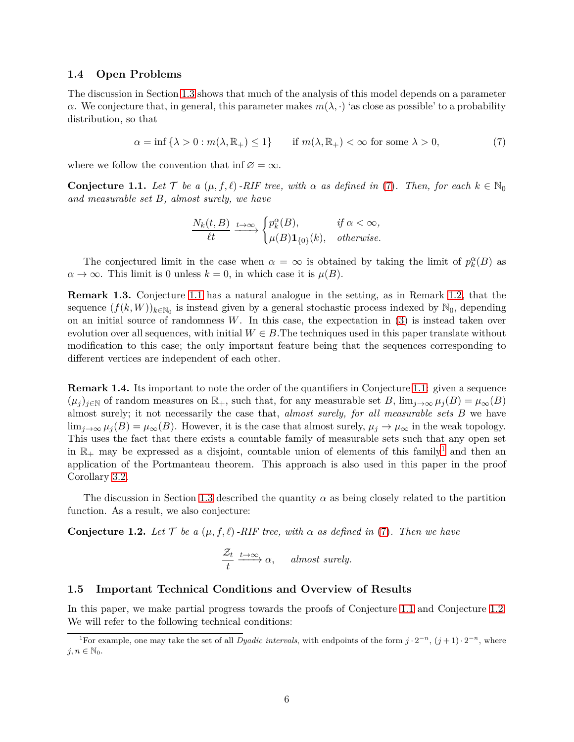### **1.4 Open Problems**

The discussion in Section [1.3](#page-3-0) shows that much of the analysis of this model depends on a parameter *α*. We conjecture that, in general, this parameter makes  $m(\lambda, \cdot)$  'as close as possible' to a probability distribution, so that

$$
\alpha = \inf \{ \lambda > 0 : m(\lambda, \mathbb{R}_+) \le 1 \} \qquad \text{if } m(\lambda, \mathbb{R}_+) < \infty \text{ for some } \lambda > 0,
$$
 (7)

where we follow the convention that inf  $\varnothing = \infty$ .

<span id="page-5-1"></span>**Conjecture 1.1.** *Let*  $\mathcal{T}$  *be a* ( $\mu$ ,  $f$ , $\ell$ )*-RIF tree, with*  $\alpha$  *as defined in* [\(7\)](#page-5-0). Then, for each  $k \in \mathbb{N}_0$ *and measurable set B, almost surely, we have*

<span id="page-5-0"></span>
$$
\frac{N_k(t, B)}{\ell t} \xrightarrow{t \to \infty} \begin{cases} p_k^{\alpha}(B), & \text{if } \alpha < \infty, \\ \mu(B) \mathbf{1}_{\{0\}}(k), & \text{otherwise.} \end{cases}
$$

The conjectured limit in the case when  $\alpha = \infty$  is obtained by taking the limit of  $p_k^{\alpha}(B)$  as  $\alpha \to \infty$ . This limit is 0 unless  $k = 0$ , in which case it is  $\mu(B)$ .

**Remark 1.3.** Conjecture [1.1](#page-5-1) has a natural analogue in the setting, as in Remark [1.2,](#page-3-1) that the sequence  $(f(k, W))_{k \in \mathbb{N}_0}$  is instead given by a general stochastic process indexed by  $\mathbb{N}_0$ , depending on an initial source of randomness *W*. In this case, the expectation in [\(3\)](#page-4-2) is instead taken over evolution over all sequences, with initial  $W \in B$ . The techniques used in this paper translate without modification to this case; the only important feature being that the sequences corresponding to different vertices are independent of each other.

**Remark 1.4.** Its important to note the order of the quantifiers in Conjecture [1.1:](#page-5-1) given a sequence  $(\mu_i)_{i \in \mathbb{N}}$  of random measures on  $\mathbb{R}_+$ , such that, for any measurable set *B*,  $\lim_{i \to \infty} \mu_i(B) = \mu_\infty(B)$ almost surely; it not necessarily the case that, *almost surely, for all measurable sets B* we have  $\lim_{j\to\infty} \mu_j(B) = \mu_\infty(B)$ . However, it is the case that almost surely,  $\mu_j \to \mu_\infty$  in the weak topology. This uses the fact that there exists a countable family of measurable sets such that any open set in  $\mathbb{R}_+$  may be expressed as a disjoint, countable union of elements of this family<sup>[1](#page-5-2)</sup> and then an application of the Portmanteau theorem. This approach is also used in this paper in the proof Corollary [3.2.](#page-18-0)

The discussion in Section [1.3](#page-3-0) described the quantity  $\alpha$  as being closely related to the partition function. As a result, we also conjecture:

<span id="page-5-3"></span>**Conjecture 1.2.** Let  $\mathcal{T}$  be a  $(\mu, f, \ell)$  -RIF tree, with  $\alpha$  as defined in [\(7\)](#page-5-0). Then we have

<span id="page-5-4"></span>
$$
\frac{\mathcal{Z}_t}{t} \xrightarrow{t \to \infty} \alpha, \quad almost \ surely.
$$

## **1.5 Important Technical Conditions and Overview of Results**

In this paper, we make partial progress towards the proofs of Conjecture [1.1](#page-5-1) and Conjecture [1.2.](#page-5-3) We will refer to the following technical conditions:

<span id="page-5-2"></span><sup>&</sup>lt;sup>1</sup>For example, one may take the set of all *Dyadic intervals*, with endpoints of the form  $j \cdot 2^{-n}$ ,  $(j+1) \cdot 2^{-n}$ , where  $j, n \in \mathbb{N}_0$ .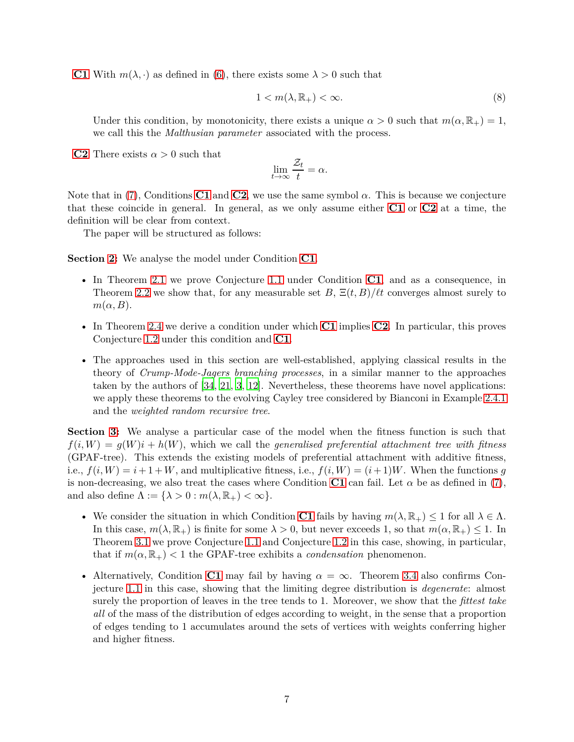**[C1](#page-5-4)** With  $m(\lambda, \cdot)$  as defined in [\(6\)](#page-4-3), there exists some  $\lambda > 0$  such that

$$
1 < m(\lambda, \mathbb{R}_+) < \infty. \tag{8}
$$

Under this condition, by monotonicity, there exists a unique  $\alpha > 0$  such that  $m(\alpha, \mathbb{R}_+) = 1$ , we call this the *Malthusian parameter* associated with the process.

**[C2](#page-6-0)** There exists  $\alpha > 0$  such that

<span id="page-6-1"></span><span id="page-6-0"></span>
$$
\lim_{t \to \infty} \frac{\mathcal{Z}_t}{t} = \alpha.
$$

Note that in [\(7\)](#page-5-0), Conditions **[C1](#page-5-4)** and **[C2](#page-6-0)**, we use the same symbol  $\alpha$ . This is because we conjecture that these coincide in general. In general, as we only assume either **[C1](#page-5-4)** or **[C2](#page-6-0)** at a time, the definition will be clear from context.

The paper will be structured as follows:

**Section [2:](#page-7-0)** We analyse the model under Condition **[C1](#page-5-4)**.

- In Theorem [2.1](#page-8-0) we prove Conjecture [1.1](#page-5-1) under Condition **[C1](#page-5-4)**, and as a consequence, in Theorem [2.2](#page-9-0) we show that, for any measurable set *B*,  $\Xi(t, B)/\ell t$  converges almost surely to  $m(\alpha, B)$ .
- In Theorem [2.4](#page-12-0) we derive a condition under which **[C1](#page-5-4)** implies **[C2](#page-6-0)**. In particular, this proves Conjecture [1.2](#page-5-3) under this condition and **[C1](#page-5-4)**.
- The approaches used in this section are well-established, applying classical results in the theory of *Crump-Mode-Jagers branching processes*, in a similar manner to the approaches taken by the authors of [\[34](#page-35-5), [21,](#page-34-7) [3](#page-33-9), [12](#page-33-10)]. Nevertheless, these theorems have novel applications: we apply these theorems to the evolving Cayley tree considered by Bianconi in Example [2.4.1](#page-15-0) and the *weighted random recursive tree*.

**Section [3:](#page-15-1)** We analyse a particular case of the model when the fitness function is such that  $f(i, W) = g(W)i + h(W)$ , which we call the *generalised preferential attachment tree with fitness* (GPAF-tree). This extends the existing models of preferential attachment with additive fitness, i.e.,  $f(i, W) = i + 1 + W$ , and multiplicative fitness, i.e.,  $f(i, W) = (i + 1)W$ . When the functions *g* is non-decreasing, we also treat the cases where Condition **[C1](#page-5-4)** can fail. Let  $\alpha$  be as defined in [\(7\)](#page-5-0), and also define  $\Lambda := {\lambda > 0 : m(\lambda, \mathbb{R}_+) < \infty}.$ 

- We consider the situation in which Condition **[C1](#page-5-4)** fails by having  $m(\lambda, \mathbb{R}_+) \leq 1$  for all  $\lambda \in \Lambda$ . In this case,  $m(\lambda, \mathbb{R}_+)$  is finite for some  $\lambda > 0$ , but never exceeds 1, so that  $m(\alpha, \mathbb{R}_+) \leq 1$ . In Theorem [3.1](#page-18-1) we prove Conjecture [1.1](#page-5-1) and Conjecture [1.2](#page-5-3) in this case, showing, in particular, that if  $m(\alpha, \mathbb{R}_+) < 1$  the GPAF-tree exhibits a *condensation* phenomenon.
- Alternatively, Condition **[C1](#page-5-4)** may fail by having  $\alpha = \infty$ . Theorem [3.4](#page-23-0) also confirms Conjecture [1.1](#page-5-1) in this case, showing that the limiting degree distribution is *degenerate*: almost surely the proportion of leaves in the tree tends to 1. Moreover, we show that the *fittest take all* of the mass of the distribution of edges according to weight, in the sense that a proportion of edges tending to 1 accumulates around the sets of vertices with weights conferring higher and higher fitness.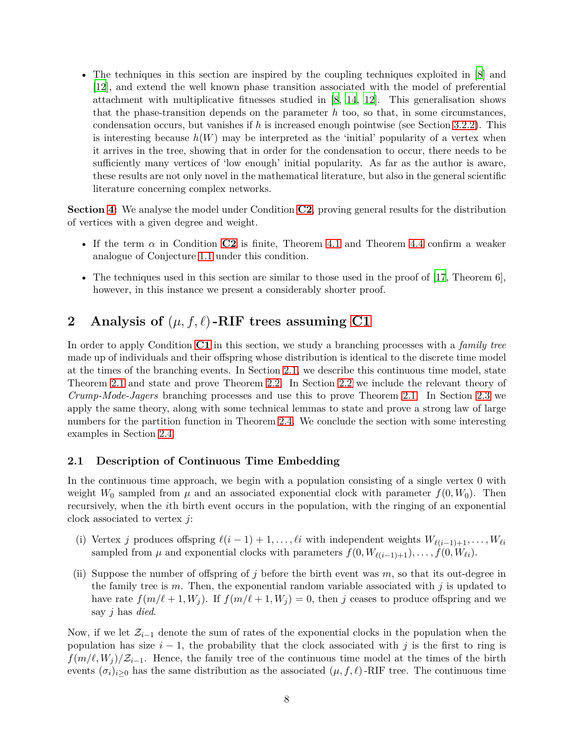• The techniques in this section are inspired by the coupling techniques exploited in [\[8\]](#page-33-6) and [\[12](#page-33-10)], and extend the well known phase transition associated with the model of preferential attachment with multiplicative fitnesses studied in [\[8,](#page-33-6) [14,](#page-33-8) [12\]](#page-33-10). This generalisation shows that the phase-transition depends on the parameter *h* too, so that, in some circumstances, condensation occurs, but vanishes if *h* is increased enough pointwise (see Section [3.2.2\)](#page-19-0). This is interesting because  $h(W)$  may be interpreted as the 'initial' popularity of a vertex when it arrives in the tree, showing that in order for the condensation to occur, there needs to be sufficiently many vertices of 'low enough' initial popularity. As far as the author is aware, these results are not only novel in the mathematical literature, but also in the general scientific literature concerning complex networks.

**Section [4:](#page-25-0)** We analyse the model under Condition **[C2](#page-6-0)**, proving general results for the distribution of vertices with a given degree and weight.

- If the term  $\alpha$  in Condition **[C2](#page-6-0)** is finite, Theorem [4.1](#page-25-1) and Theorem [4.4](#page-26-0) confirm a weaker analogue of Conjecture [1.1](#page-5-1) under this condition.
- The techniques used in this section are similar to those used in the proof of  $[17,$  Theorem 6], however, in this instance we present a considerably shorter proof.

# <span id="page-7-0"></span>**2** Analysis of  $(\mu, f, \ell)$ -RIF trees assuming [C1](#page-5-4)

In order to apply Condition **[C1](#page-5-4)** in this section, we study a branching processes with a *family tree* made up of individuals and their offspring whose distribution is identical to the discrete time model at the times of the branching events. In Section [2.1,](#page-7-1) we describe this continuous time model, state Theorem [2.1](#page-8-0) and state and prove Theorem [2.2.](#page-9-0) In Section [2.2](#page-10-0) we include the relevant theory of *Crump-Mode-Jagers* branching processes and use this to prove Theorem [2.1.](#page-8-0) In Section [2.3](#page-12-1) we apply the same theory, along with some technical lemmas to state and prove a strong law of large numbers for the partition function in Theorem [2.4.](#page-12-0) We conclude the section with some interesting examples in Section [2.4.](#page-15-2)

## <span id="page-7-1"></span>**2.1 Description of Continuous Time Embedding**

In the continuous time approach, we begin with a population consisting of a single vertex 0 with weight  $W_0$  sampled from  $\mu$  and an associated exponential clock with parameter  $f(0, W_0)$ . Then recursively, when the *i*th birth event occurs in the population, with the ringing of an exponential clock associated to vertex *j*:

- (i) Vertex *j* produces offspring  $\ell(i-1)+1,\ldots,\ell i$  with independent weights  $W_{\ell(i-1)+1},\ldots,W_{\ell i}$ sampled from  $\mu$  and exponential clocks with parameters  $f(0, W_{\ell(i-1)+1}), \ldots, \hat{f}(0, W_{\ell i}).$
- (ii) Suppose the number of offspring of *j* before the birth event was *m*, so that its out-degree in the family tree is  $m$ . Then, the exponential random variable associated with  $j$  is updated to have rate  $f(m/\ell+1, W_i)$ . If  $f(m/\ell+1, W_i) = 0$ , then *j* ceases to produce offspring and we say *j* has *died*.

Now, if we let Z*i*−<sup>1</sup> denote the sum of rates of the exponential clocks in the population when the population has size  $i - 1$ , the probability that the clock associated with *j* is the first to ring is  $f(m/\ell, W_i)/\mathcal{Z}_{i-1}$ . Hence, the family tree of the continuous time model at the times of the birth events  $(\sigma_i)_{i\geq 0}$  has the same distribution as the associated  $(\mu, f, \ell)$ -RIF tree. The continuous time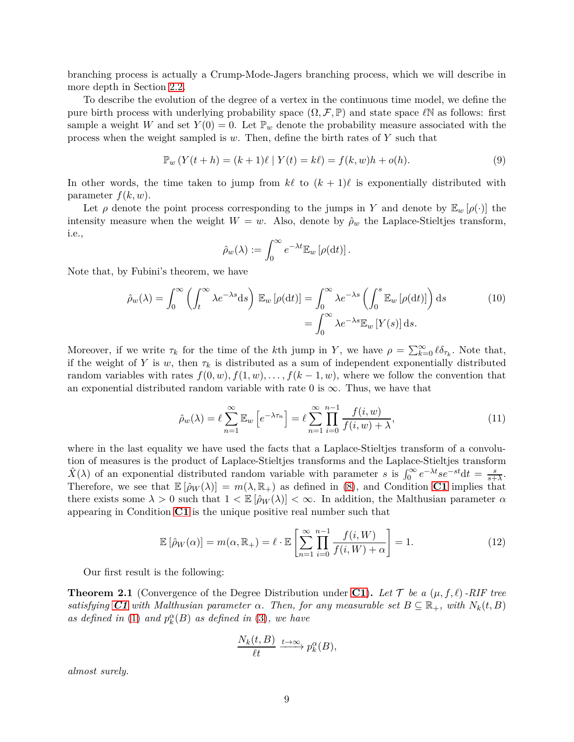branching process is actually a Crump-Mode-Jagers branching process, which we will describe in more depth in Section [2.2.](#page-10-0)

To describe the evolution of the degree of a vertex in the continuous time model, we define the pure birth process with underlying probability space  $(\Omega, \mathcal{F}, \mathbb{P})$  and state space  $\ell \mathbb{N}$  as follows: first sample a weight *W* and set  $Y(0) = 0$ . Let  $\mathbb{P}_w$  denote the probability measure associated with the process when the weight sampled is *w*. Then, define the birth rates of *Y* such that

$$
\mathbb{P}_w(Y(t+h) = (k+1)\ell \mid Y(t) = k\ell) = f(k,w)h + o(h).
$$
\n(9)

In other words, the time taken to jump from  $k\ell$  to  $(k+1)\ell$  is exponentially distributed with parameter  $f(k, w)$ .

Let  $\rho$  denote the point process corresponding to the jumps in *Y* and denote by  $\mathbb{E}_w$  [ $\rho(\cdot)$ ] the intensity measure when the weight  $W = w$ . Also, denote by  $\hat{\rho}_w$  the Laplace-Stieltjes transform, i.e.,

<span id="page-8-3"></span><span id="page-8-1"></span>
$$
\hat{\rho}_w(\lambda) := \int_0^\infty e^{-\lambda t} \mathbb{E}_w \left[ \rho(\mathrm{d} t) \right].
$$

Note that, by Fubini's theorem, we have

$$
\hat{\rho}_w(\lambda) = \int_0^\infty \left( \int_t^\infty \lambda e^{-\lambda s} \mathrm{d}s \right) \mathbb{E}_w \left[ \rho(\mathrm{d}t) \right] = \int_0^\infty \lambda e^{-\lambda s} \left( \int_0^s \mathbb{E}_w \left[ \rho(\mathrm{d}t) \right] \right) \mathrm{d}s \tag{10}
$$
\n
$$
= \int_0^\infty \lambda e^{-\lambda s} \mathbb{E}_w \left[ Y(s) \right] \mathrm{d}s.
$$

Moreover, if we write  $\tau_k$  for the time of the *k*th jump in *Y*, we have  $\rho = \sum_{k=0}^{\infty} \ell \delta_{\tau_k}$ . Note that, if the weight of *Y* is *w*, then  $\tau_k$  is distributed as a sum of independent exponentially distributed random variables with rates  $f(0, w), f(1, w), \ldots, f(k-1, w)$ , where we follow the convention that an exponential distributed random variable with rate 0 is  $\infty$ . Thus, we have that

<span id="page-8-4"></span>
$$
\hat{\rho}_w(\lambda) = \ell \sum_{n=1}^{\infty} \mathbb{E}_w \left[ e^{-\lambda \tau_n} \right] = \ell \sum_{n=1}^{\infty} \prod_{i=0}^{n-1} \frac{f(i, w)}{f(i, w) + \lambda},\tag{11}
$$

where in the last equality we have used the facts that a Laplace-Stieltjes transform of a convolution of measures is the product of Laplace-Stieltjes transforms and the Laplace-Stieltjes transform  $\hat{X}(\lambda)$  of an exponential distributed random variable with parameter *s* is  $\int_0^\infty e^{-\lambda t} s e^{-st} dt = \frac{s}{s+\lambda}$ . Therefore, we see that  $\mathbb{E}[\hat{\rho}_W(\lambda)] = m(\lambda, \mathbb{R}_+)$  as defined in [\(8\)](#page-6-1), and Condition **[C1](#page-5-4)** implies that there exists some  $\lambda > 0$  such that  $1 < \mathbb{E}[\hat{\rho}_W(\lambda)] < \infty$ . In addition, the Malthusian parameter  $\alpha$ appearing in Condition **[C1](#page-5-4)** is the unique positive real number such that

$$
\mathbb{E}\left[\hat{\rho}_W(\alpha)\right] = m(\alpha, \mathbb{R}_+) = \ell \cdot \mathbb{E}\left[\sum_{n=1}^{\infty} \prod_{i=0}^{n-1} \frac{f(i, W)}{f(i, W) + \alpha}\right] = 1.
$$
\n(12)

Our first result is the following:

<span id="page-8-0"></span>**Theorem 2.1** (Convergence of the Degree Distribution under **[C1](#page-5-4)**). Let  $\mathcal{T}$  be a  $(\mu, f, \ell)$ -RIF tree *satisfying [C1](#page-5-4) with Malthusian parameter*  $\alpha$ *. Then, for any measurable set*  $B \subseteq \mathbb{R}_+$ *, with*  $N_k(t, B)$ *as defined in* [\(1\)](#page-3-2) *and*  $p_k^{\alpha}(B)$  *as defined in* [\(3\)](#page-4-2)*, we have* 

<span id="page-8-2"></span>
$$
\frac{N_k(t,B)}{\ell t} \xrightarrow{t \to \infty} p_k^{\alpha}(B),
$$

*almost surely.*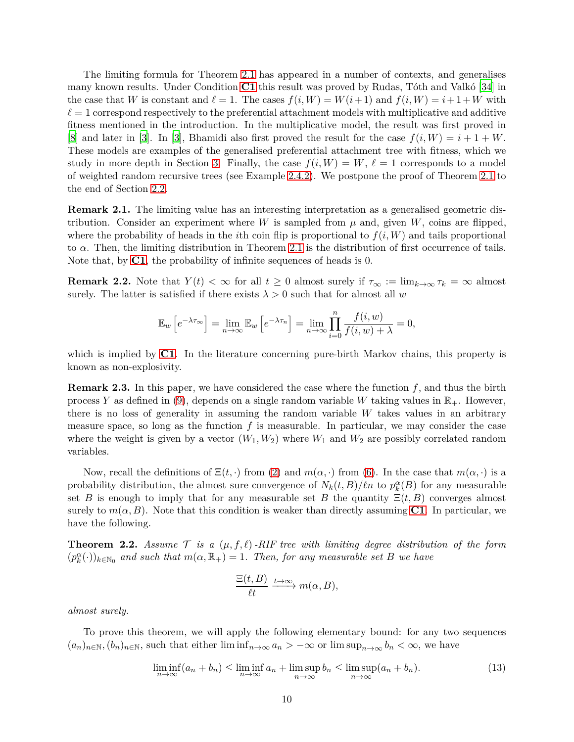The limiting formula for Theorem [2.1](#page-8-0) has appeared in a number of contexts, and generalises many known results. Under Condition **[C1](#page-5-4)** this result was proved by Rudas, Tôth and Valkó [\[34\]](#page-35-5) in the case that *W* is constant and  $\ell = 1$ . The cases  $f(i, W) = W(i+1)$  and  $f(i, W) = i+1+W$  with  $\ell = 1$  correspond respectively to the preferential attachment models with multiplicative and additive fitness mentioned in the introduction. In the multiplicative model, the result was first proved in [\[8](#page-33-6)] and later in [\[3\]](#page-33-9). In [\[3](#page-33-9)], Bhamidi also first proved the result for the case  $f(i, W) = i + 1 + W$ . These models are examples of the generalised preferential attachment tree with fitness, which we study in more depth in Section [3.](#page-15-1) Finally, the case  $f(i, W) = W$ ,  $\ell = 1$  corresponds to a model of weighted random recursive trees (see Example [2.4.2\)](#page-15-3). We postpone the proof of Theorem [2.1](#page-8-0) to the end of Section [2.2.](#page-10-0)

**Remark 2.1.** The limiting value has an interesting interpretation as a generalised geometric distribution. Consider an experiment where *W* is sampled from  $\mu$  and, given *W*, coins are flipped, where the probability of heads in the *i*th coin flip is proportional to  $f(i, W)$  and tails proportional to *α*. Then, the limiting distribution in Theorem [2.1](#page-8-0) is the distribution of first occurrence of tails. Note that, by **[C1](#page-5-4)**, the probability of infinite sequences of heads is 0.

**Remark 2.2.** Note that  $Y(t) < \infty$  for all  $t \geq 0$  almost surely if  $\tau_{\infty} := \lim_{k \to \infty} \tau_k = \infty$  almost surely. The latter is satisfied if there exists  $\lambda > 0$  such that for almost all *w* 

$$
\mathbb{E}_w\left[e^{-\lambda \tau_\infty}\right] = \lim_{n \to \infty} \mathbb{E}_w\left[e^{-\lambda \tau_n}\right] = \lim_{n \to \infty} \prod_{i=0}^n \frac{f(i, w)}{f(i, w) + \lambda} = 0,
$$

which is implied by **[C1](#page-5-4)**. In the literature concerning pure-birth Markov chains, this property is known as non-explosivity.

<span id="page-9-2"></span>**Remark 2.3.** In this paper, we have considered the case where the function *f*, and thus the birth process *Y* as defined in [\(9\)](#page-8-1), depends on a single random variable *W* taking values in  $\mathbb{R}_+$ . However, there is no loss of generality in assuming the random variable *W* takes values in an arbitrary measure space, so long as the function *f* is measurable. In particular, we may consider the case where the weight is given by a vector  $(W_1, W_2)$  where  $W_1$  and  $W_2$  are possibly correlated random variables.

Now, recall the definitions of  $\Xi(t, \cdot)$  from [\(2\)](#page-3-3) and  $m(\alpha, \cdot)$  from [\(6\)](#page-4-3). In the case that  $m(\alpha, \cdot)$  is a probability distribution, the almost sure convergence of  $N_k(t, B)/\ell n$  to  $p_k^{\alpha}(B)$  for any measurable set *B* is enough to imply that for any measurable set *B* the quantity  $\Xi(t, B)$  converges almost surely to  $m(\alpha, B)$ . Note that this condition is weaker than directly assuming **[C1](#page-5-4)**. In particular, we have the following.

<span id="page-9-0"></span>**Theorem 2.2.** Assume  $\mathcal{T}$  is a  $(\mu, f, \ell)$ -RIF tree with limiting degree distribution of the form  $(p_k^{\alpha}(\cdot))_{k \in \mathbb{N}_0}$  and such that  $m(\alpha, \mathbb{R}_+) = 1$ . Then, for any measurable set *B* we have

<span id="page-9-1"></span>
$$
\frac{\Xi(t,B)}{\ell t} \xrightarrow{t \to \infty} m(\alpha, B),
$$

*almost surely.*

To prove this theorem, we will apply the following elementary bound: for any two sequences  $(a_n)_{n \in \mathbb{N}}$ ,  $(b_n)_{n \in \mathbb{N}}$ , such that either lim inf $_{n \to \infty} a_n > -\infty$  or lim  $\sup_{n \to \infty} b_n < \infty$ , we have

$$
\liminf_{n \to \infty} (a_n + b_n) \le \liminf_{n \to \infty} a_n + \limsup_{n \to \infty} b_n \le \limsup_{n \to \infty} (a_n + b_n). \tag{13}
$$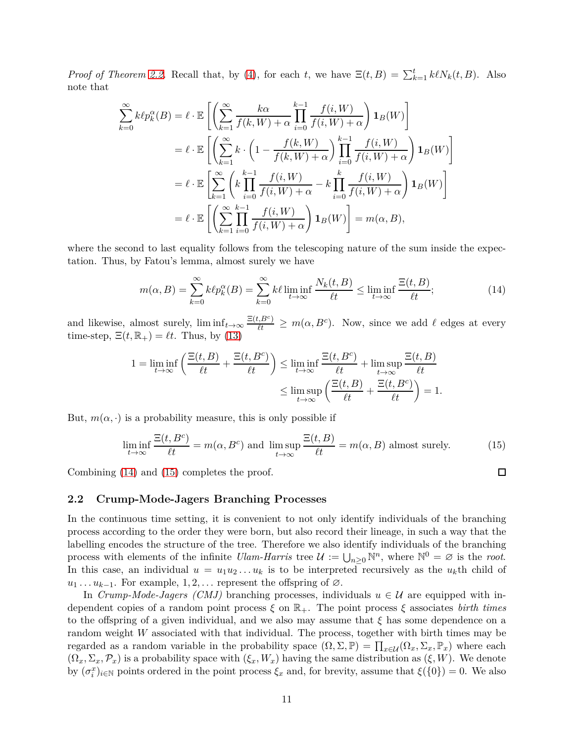*Proof of Theorem [2.2.](#page-9-0)* Recall that, by [\(4\)](#page-4-1), for each *t*, we have  $\Xi(t, B) = \sum_{k=1}^{t} k \ell N_k(t, B)$ . Also note that

$$
\sum_{k=0}^{\infty} k \ell p_k^{\alpha}(B) = \ell \cdot \mathbb{E} \left[ \left( \sum_{k=1}^{\infty} \frac{k \alpha}{f(k, W) + \alpha} \prod_{i=0}^{k-1} \frac{f(i, W)}{f(i, W) + \alpha} \right) \mathbf{1}_B(W) \right]
$$
  
\n
$$
= \ell \cdot \mathbb{E} \left[ \left( \sum_{k=1}^{\infty} k \cdot \left( 1 - \frac{f(k, W)}{f(k, W) + \alpha} \right) \prod_{i=0}^{k-1} \frac{f(i, W)}{f(i, W) + \alpha} \right) \mathbf{1}_B(W) \right]
$$
  
\n
$$
= \ell \cdot \mathbb{E} \left[ \sum_{k=1}^{\infty} \left( k \prod_{i=0}^{k-1} \frac{f(i, W)}{f(i, W) + \alpha} - k \prod_{i=0}^{k} \frac{f(i, W)}{f(i, W) + \alpha} \right) \mathbf{1}_B(W) \right]
$$
  
\n
$$
= \ell \cdot \mathbb{E} \left[ \left( \sum_{k=1}^{\infty} \prod_{i=0}^{k-1} \frac{f(i, W)}{f(i, W) + \alpha} \right) \mathbf{1}_B(W) \right] = m(\alpha, B),
$$

where the second to last equality follows from the telescoping nature of the sum inside the expectation. Thus, by Fatou's lemma, almost surely we have

$$
m(\alpha, B) = \sum_{k=0}^{\infty} k \ell p_k^{\alpha}(B) = \sum_{k=0}^{\infty} k \ell \liminf_{t \to \infty} \frac{N_k(t, B)}{\ell t} \le \liminf_{t \to \infty} \frac{\Xi(t, B)}{\ell t};
$$
(14)

and likewise, almost surely,  $\liminf_{t\to\infty} \frac{\Xi(t, B^c)}{\ell t} \geq m(\alpha, B^c)$ . Now, since we add  $\ell$  edges at every time-step,  $\Xi(t,\mathbb{R}_+) = \ell t$ . Thus, by [\(13\)](#page-9-1)

$$
1 = \liminf_{t \to \infty} \left( \frac{\Xi(t, B)}{\ell t} + \frac{\Xi(t, B^c)}{\ell t} \right) \le \liminf_{t \to \infty} \frac{\Xi(t, B^c)}{\ell t} + \limsup_{t \to \infty} \frac{\Xi(t, B)}{\ell t} \le \limsup_{t \to \infty} \left( \frac{\Xi(t, B)}{\ell t} + \frac{\Xi(t, B^c)}{\ell t} \right) = 1.
$$

But,  $m(\alpha, \cdot)$  is a probability measure, this is only possible if

$$
\liminf_{t \to \infty} \frac{\Xi(t, B^c)}{\ell t} = m(\alpha, B^c) \text{ and } \limsup_{t \to \infty} \frac{\Xi(t, B)}{\ell t} = m(\alpha, B) \text{ almost surely.}
$$
 (15)

Combining [\(14\)](#page-10-1) and [\(15\)](#page-10-2) completes the proof.

## <span id="page-10-0"></span>**2.2 Crump-Mode-Jagers Branching Processes**

In the continuous time setting, it is convenient to not only identify individuals of the branching process according to the order they were born, but also record their lineage, in such a way that the labelling encodes the structure of the tree. Therefore we also identify individuals of the branching process with elements of the infinite *Ulam-Harris* tree  $\mathcal{U} := \bigcup_{n \geq 0} \mathbb{N}^n$ , where  $\mathbb{N}^0 = \emptyset$  is the *root*. In this case, an individual  $u = u_1 u_2 \ldots u_k$  is to be interpreted recursively as the  $u_k$ <sup>th</sup> child of  $u_1 \ldots u_{k-1}$ . For example,  $1, 2, \ldots$  represent the offspring of  $\varnothing$ .

In *Crump-Mode-Jagers (CMJ)* branching processes, individuals  $u \in U$  are equipped with independent copies of a random point process *ξ* on R+. The point process *ξ* associates *birth times* to the offspring of a given individual, and we also may assume that *ξ* has some dependence on a random weight *W* associated with that individual. The process, together with birth times may be regarded as a random variable in the probability space  $(\Omega, \Sigma, \mathbb{P}) = \prod_{x \in \mathcal{U}} (\Omega_x, \Sigma_x, \mathbb{P}_x)$  where each  $(\Omega_x, \Sigma_x, \mathcal{P}_x)$  is a probability space with  $(\xi_x, W_x)$  having the same distribution as  $(\xi, W)$ . We denote by  $(\sigma_i^x)_{i\in\mathbb{N}}$  points ordered in the point process  $\xi_x$  and, for brevity, assume that  $\xi(\{0\})=0$ . We also

<span id="page-10-2"></span><span id="page-10-1"></span> $\Box$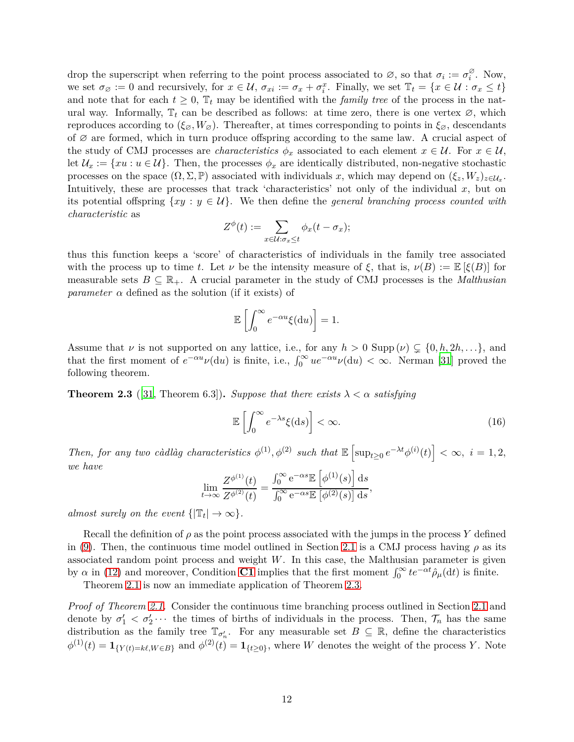drop the superscript when referring to the point process associated to  $\varnothing$ , so that  $\sigma_i := \sigma_i^{\varnothing}$ . Now, we set  $\sigma_{\varnothing} := 0$  and recursively, for  $x \in \mathcal{U}$ ,  $\sigma_{xi} := \sigma_x + \sigma_i^x$ . Finally, we set  $\mathbb{T}_t = \{x \in \mathcal{U} : \sigma_x \le t\}$ and note that for each  $t \geq 0$ ,  $\mathbb{T}_t$  may be identified with the *family tree* of the process in the natural way. Informally,  $\mathbb{T}_t$  can be described as follows: at time zero, there is one vertex  $\varnothing$ , which reproduces according to  $(\xi_{\varnothing}, W_{\varnothing})$ . Thereafter, at times corresponding to points in  $\xi_{\varnothing}$ , descendants of  $\varnothing$  are formed, which in turn produce offspring according to the same law. A crucial aspect of the study of CMJ processes are *characteristics*  $\phi_x$  associated to each element  $x \in \mathcal{U}$ . For  $x \in \mathcal{U}$ , let  $\mathcal{U}_x := \{ xu : u \in \mathcal{U} \}$ . Then, the processes  $\phi_x$  are identically distributed, non-negative stochastic processes on the space  $(\Omega, \Sigma, \mathbb{P})$  associated with individuals *x*, which may depend on  $(\xi_z, W_z)_{z \in \mathcal{U}_x}$ . Intuitively, these are processes that track 'characteristics' not only of the individual *x*, but on its potential offspring  $\{xy : y \in U\}$ . We then define the *general branching process counted with characteristic* as

$$
Z^{\phi}(t) := \sum_{x \in \mathcal{U}:\sigma_x \leq t} \phi_x(t - \sigma_x);
$$

thus this function keeps a 'score' of characteristics of individuals in the family tree associated with the process up to time *t*. Let  $\nu$  be the intensity measure of  $\xi$ , that is,  $\nu(B) := \mathbb{E}[\xi(B)]$  for measurable sets  $B \subseteq \mathbb{R}_+$ . A crucial parameter in the study of CMJ processes is the *Malthusian parameter*  $\alpha$  defined as the solution (if it exists) of

$$
\mathbb{E}\left[\int_0^\infty e^{-\alpha u}\xi(\mathrm{d}u)\right] = 1.
$$

Assume that *ν* is not supported on any lattice, i.e., for any  $h > 0$  Supp  $(\nu) \subsetneq \{0, h, 2h, \ldots\}$ , and that the first moment of  $e^{-\alpha u}\nu(\mathrm{d}u)$  is finite, i.e.,  $\int_0^\infty u e^{-\alpha u}\nu(\mathrm{d}u) < \infty$ . Nerman [\[31](#page-34-15)] proved the following theorem.

<span id="page-11-0"></span>**Theorem 2.3** ([\[31,](#page-34-15) Theorem 6.3]). *Suppose that there exists*  $\lambda < \alpha$  *satisfying* 

<span id="page-11-1"></span>
$$
\mathbb{E}\left[\int_0^\infty e^{-\lambda s}\xi(\mathrm{d}s)\right] < \infty. \tag{16}
$$

*Then, for any two càdlàg characteristics*  $\phi^{(1)}$ ,  $\phi^{(2)}$  *such that*  $\mathbb{E} \left[ \sup_{t \geq 0} e^{-\lambda t} \phi^{(i)}(t) \right] < \infty$ ,  $i = 1, 2$ , *we have*

$$
\lim_{t \to \infty} \frac{Z^{\phi^{(1)}}(t)}{Z^{\phi^{(2)}}(t)} = \frac{\int_0^\infty e^{-\alpha s} \mathbb{E} \left[ \phi^{(1)}(s) \right] ds}{\int_0^\infty e^{-\alpha s} \mathbb{E} \left[ \phi^{(2)}(s) \right] ds},
$$

*almost surely on the event*  $\{|\mathbb{T}_t| \to \infty\}.$ 

Recall the definition of  $\rho$  as the point process associated with the jumps in the process Y defined in [\(9\)](#page-8-1). Then, the continuous time model outlined in Section [2.1](#page-7-1) is a CMJ process having  $\rho$  as its associated random point process and weight *W*. In this case, the Malthusian parameter is given by  $\alpha$  in [\(12\)](#page-8-2) and moreover, Condition **[C1](#page-5-4)** implies that the first moment  $\int_0^\infty t e^{-\alpha t} \hat{\rho}_\mu(dt)$  is finite.

Theorem [2.1](#page-8-0) is now an immediate application of Theorem [2.3.](#page-11-0)

*Proof of Theorem [2.1.](#page-8-0)* Consider the continuous time branching process outlined in Section [2.1](#page-7-1) and denote by  $\sigma'_1 < \sigma'_2 \cdots$  the times of births of individuals in the process. Then,  $\mathcal{T}_n$  has the same distribution as the family tree  $\mathbb{T}_{\sigma'_n}$ . For any measurable set  $B \subseteq \mathbb{R}$ , define the characteristics  $\phi^{(1)}(t) = \mathbf{1}_{\{Y(t) = k\ell, W \in B\}}$  and  $\phi^{(2)}(t) = \mathbf{1}_{\{t \geq 0\}}$ , where *W* denotes the weight of the process *Y*. Note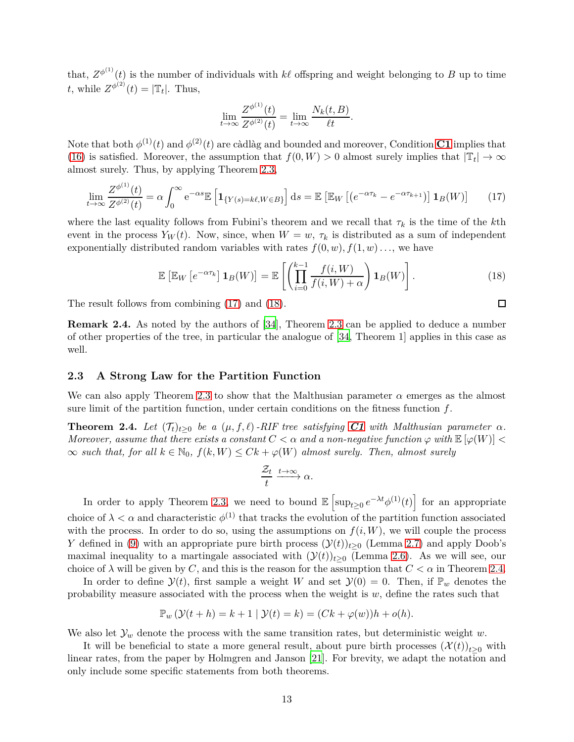that,  $Z^{\phi^{(1)}}(t)$  is the number of individuals with  $k\ell$  offspring and weight belonging to *B* up to time *t*, while  $Z^{\phi^{(2)}}(t) = |\mathbb{T}_t|$ . Thus,

$$
\lim_{t \to \infty} \frac{Z^{\phi^{(1)}}(t)}{Z^{\phi^{(2)}}(t)} = \lim_{t \to \infty} \frac{N_k(t, B)}{\ell t}.
$$

Note that both  $\phi^{(1)}(t)$  and  $\phi^{(2)}(t)$  are càdlàg and bounded and moreover, Condition **[C1](#page-5-4)** implies that [\(16\)](#page-11-1) is satisfied. Moreover, the assumption that  $f(0, W) > 0$  almost surely implies that  $|\mathbb{T}_t| \to \infty$ almost surely. Thus, by applying Theorem [2.3,](#page-11-0)

$$
\lim_{t \to \infty} \frac{Z^{\phi^{(1)}}(t)}{Z^{\phi^{(2)}}(t)} = \alpha \int_0^\infty e^{-\alpha s} \mathbb{E} \left[ \mathbf{1}_{\{Y(s) = k\ell, W \in B\}} \right] ds = \mathbb{E} \left[ \mathbb{E}_W \left[ \left( e^{-\alpha \tau_k} - e^{-\alpha \tau_{k+1}} \right) \right] \mathbf{1}_B(W) \right] \tag{17}
$$

where the last equality follows from Fubini's theorem and we recall that  $\tau_k$  is the time of the *k*th event in the process  $Y_W(t)$ . Now, since, when  $W = w$ ,  $\tau_k$  is distributed as a sum of independent exponentially distributed random variables with rates  $f(0, w)$ ,  $f(1, w)$ ..., we have

$$
\mathbb{E}\left[\mathbb{E}_W\left[e^{-\alpha \tau_k}\right] \mathbf{1}_B(W)\right] = \mathbb{E}\left[\left(\prod_{i=0}^{k-1} \frac{f(i,W)}{f(i,W)+\alpha}\right) \mathbf{1}_B(W)\right].\tag{18}
$$

The result follows from combining [\(17\)](#page-12-2) and [\(18\)](#page-12-3).

**Remark 2.4.** As noted by the authors of [\[34](#page-35-5)], Theorem [2.3](#page-11-0) can be applied to deduce a number of other properties of the tree, in particular the analogue of [\[34,](#page-35-5) Theorem 1] applies in this case as well.

## <span id="page-12-1"></span>**2.3 A Strong Law for the Partition Function**

We can also apply Theorem [2.3](#page-11-0) to show that the Malthusian parameter  $\alpha$  emerges as the almost sure limit of the partition function, under certain conditions on the fitness function *f*.

<span id="page-12-0"></span>**Theorem 2.4.** *Let*  $(T_t)_{t\geq 0}$  *be a*  $(\mu, f, \ell)$ *-RIF tree satisfying [C1](#page-5-4) with Malthusian parameter*  $\alpha$ *. Moreover, assume that there exists a constant*  $C < \alpha$  *and a non-negative function*  $\varphi$  *with*  $\mathbb{E} [\varphi(W)] <$  $\infty$  *such that, for all*  $k \in \mathbb{N}_0$ ,  $f(k, W) ≤ Ck + \varphi(W)$  *almost surely. Then, almost surely* 

$$
\frac{\mathcal{Z}_t}{t} \xrightarrow{t \to \infty} \alpha.
$$

In order to apply Theorem [2.3,](#page-11-0) we need to bound  $\mathbb{E}\left[\sup_{t\geq 0}e^{-\lambda t}\phi^{(1)}(t)\right]$  for an appropriate choice of  $\lambda < \alpha$  and characteristic  $\phi^{(1)}$  that tracks the evolution of the partition function associated with the process. In order to do so, using the assumptions on  $f(i, W)$ , we will couple the process *Y* defined in [\(9\)](#page-8-1) with an appropriate pure birth process  $(\mathcal{Y}(t))_{t>0}$  (Lemma [2.7\)](#page-14-0) and apply Doob's maximal inequality to a martingale associated with  $(\mathcal{Y}(t))_{t>0}$  (Lemma [2.6\)](#page-13-0). As we will see, our choice of  $\lambda$  will be given by *C*, and this is the reason for the assumption that  $C < \alpha$  in Theorem [2.4.](#page-12-0)

In order to define  $\mathcal{Y}(t)$ , first sample a weight *W* and set  $\mathcal{Y}(0) = 0$ . Then, if  $\mathbb{P}_w$  denotes the probability measure associated with the process when the weight is *w*, define the rates such that

$$
\mathbb{P}_w \left( \mathcal{Y}(t+h) = k+1 \mid \mathcal{Y}(t) = k \right) = (Ck + \varphi(w))h + o(h).
$$

We also let  $\mathcal{Y}_w$  denote the process with the same transition rates, but deterministic weight  $w$ .

It will be beneficial to state a more general result, about pure birth processes  $(\mathcal{X}(t))_{t>0}$  with linear rates, from the paper by Holmgren and Janson [\[21](#page-34-7)]. For brevity, we adapt the notation and only include some specific statements from both theorems.

<span id="page-12-3"></span><span id="page-12-2"></span> $\Box$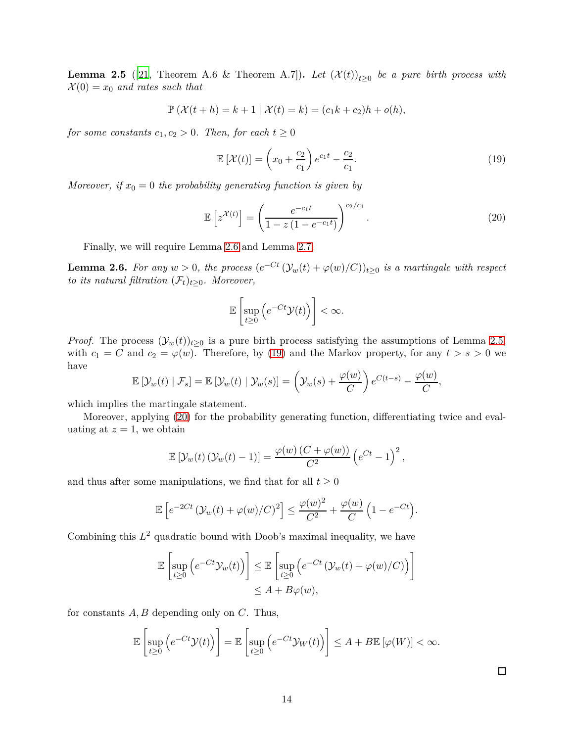<span id="page-13-1"></span>**Lemma 2.5** ([\[21,](#page-34-7) Theorem A.6 & Theorem A.7]). Let  $(\mathcal{X}(t))_{t\geq0}$  be a pure birth process with  $\mathcal{X}(0) = x_0$  *and rates such that* 

$$
\mathbb{P}\left(\mathcal{X}(t+h) = k+1 \mid \mathcal{X}(t) = k\right) = (c_1k + c_2)h + o(h),
$$

*for some constants*  $c_1, c_2 > 0$ *. Then, for each*  $t \geq 0$ 

<span id="page-13-2"></span>
$$
\mathbb{E}\left[\mathcal{X}(t)\right] = \left(x_0 + \frac{c_2}{c_1}\right)e^{c_1t} - \frac{c_2}{c_1}.\tag{19}
$$

*Moreover, if*  $x_0 = 0$  *the probability generating function is given by* 

$$
\mathbb{E}\left[z^{\mathcal{X}(t)}\right] = \left(\frac{e^{-c_1 t}}{1 - z\left(1 - e^{-c_1 t}\right)}\right)^{c_2/c_1}.\tag{20}
$$

Finally, we will require Lemma [2.6](#page-13-0) and Lemma [2.7.](#page-14-0)

<span id="page-13-0"></span>**Lemma 2.6.** For any  $w > 0$ , the process  $(e^{-Ct} (\mathcal{Y}_w(t) + \varphi(w)/C))_{t \geq 0}$  is a martingale with respect *to its natural filtration*  $(\mathcal{F}_t)_{t>0}$ *. Moreover,* 

<span id="page-13-3"></span>
$$
\mathbb{E}\left[\sup_{t\geq 0}\left(e^{-Ct}\mathcal{Y}(t)\right)\right]<\infty.
$$

*Proof.* The process  $(\mathcal{Y}_w(t))_{t\geq 0}$  is a pure birth process satisfying the assumptions of Lemma [2.5,](#page-13-1) with  $c_1 = C$  and  $c_2 = \varphi(w)$ . Therefore, by [\(19\)](#page-13-2) and the Markov property, for any  $t > s > 0$  we have

$$
\mathbb{E}\left[\mathcal{Y}_w(t) \mid \mathcal{F}_s\right] = \mathbb{E}\left[\mathcal{Y}_w(t) \mid \mathcal{Y}_w(s)\right] = \left(\mathcal{Y}_w(s) + \frac{\varphi(w)}{C}\right) e^{C(t-s)} - \frac{\varphi(w)}{C},
$$

which implies the martingale statement.

Moreover, applying [\(20\)](#page-13-3) for the probability generating function, differentiating twice and evaluating at  $z = 1$ , we obtain

$$
\mathbb{E}\left[\mathcal{Y}_w(t)\left(\mathcal{Y}_w(t)-1\right)\right] = \frac{\varphi(w)\left(C+\varphi(w)\right)}{C^2}\left(e^{Ct}-1\right)^2,
$$

and thus after some manipulations, we find that for all  $t \geq 0$ 

$$
\mathbb{E}\left[e^{-2Ct}\left(\mathcal{Y}_w(t)+\varphi(w)/C\right)^2\right] \leq \frac{\varphi(w)^2}{C^2}+\frac{\varphi(w)}{C}\left(1-e^{-Ct}\right).
$$

Combining this  $L^2$  quadratic bound with Doob's maximal inequality, we have

$$
\mathbb{E}\left[\sup_{t\geq 0} \left(e^{-Ct}\mathcal{Y}_w(t)\right)\right] \leq \mathbb{E}\left[\sup_{t\geq 0} \left(e^{-Ct}\left(\mathcal{Y}_w(t) + \varphi(w)/C\right)\right)\right] \leq A + B\varphi(w),
$$

for constants *A, B* depending only on *C*. Thus,

$$
\mathbb{E}\left[\sup_{t\geq 0}\left(e^{-Ct}\mathcal{Y}(t)\right)\right]=\mathbb{E}\left[\sup_{t\geq 0}\left(e^{-Ct}\mathcal{Y}_W(t)\right)\right]\leq A+B\mathbb{E}\left[\varphi(W)\right]<\infty.
$$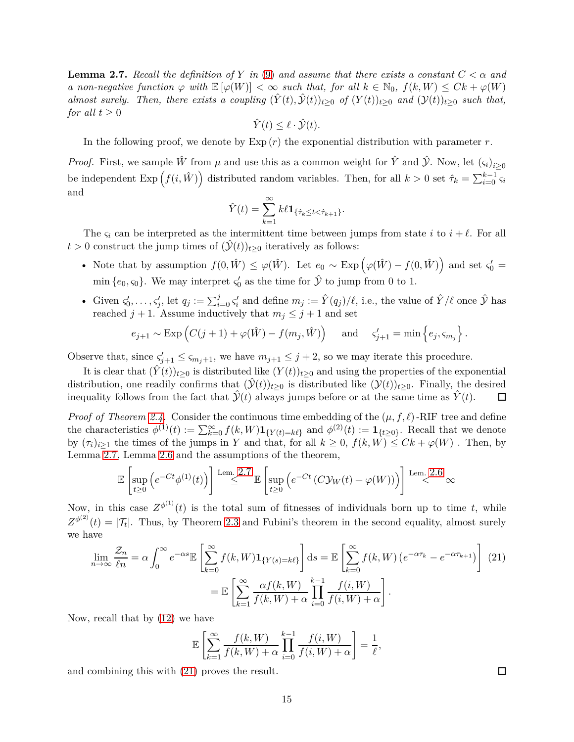<span id="page-14-0"></span>**Lemma 2.7.** *Recall the definition of Y in* [\(9\)](#page-8-1) *and assume that there exists a constant*  $C < \alpha$  *and a non-negative function*  $\varphi$  *with*  $\mathbb{E}[\varphi(W)] < \infty$  *such that, for all*  $k \in \mathbb{N}_0$ ,  $f(k, W) \leq Ck + \varphi(W)$ *almost surely. Then, there exists a coupling*  $(\hat{Y}(t), \hat{Y}(t))_{t>0}$  *of*  $(Y(t))_{t>0}$  *and*  $(Y(t))_{t>0}$  *such that, for all*  $t \geq 0$ 

$$
\hat{Y}(t) \le \ell \cdot \hat{\mathcal{Y}}(t).
$$

In the following proof, we denote by  $\text{Exp}(r)$  the exponential distribution with parameter  $r$ .

*Proof.* First, we sample  $\hat{W}$  from  $\mu$  and use this as a common weight for  $\hat{Y}$  and  $\hat{Y}$ . Now, let  $(\varsigma_i)_{i\geq 0}$ be independent  $\text{Exp}(f(i,\hat{W}))$  distributed random variables. Then, for all  $k > 0$  set  $\hat{\tau}_k = \sum_{i=0}^{k-1} \varsigma_i$ and

$$
\hat{Y}(t) = \sum_{k=1}^{\infty} k\ell \mathbf{1}_{\{\hat{\tau}_k \le t < \hat{\tau}_{k+1}\}}.
$$

The  $\varsigma_i$  can be interpreted as the intermittent time between jumps from state *i* to  $i + \ell$ . For all  $t > 0$  construct the jump times of  $(\hat{\mathcal{Y}}(t))_{t \geq 0}$  iteratively as follows:

- Note that by assumption  $f(0, \hat{W}) \leq \varphi(\hat{W})$ . Let  $e_0 \sim \text{Exp}(\varphi(\hat{W}) f(0, \hat{W}))$  and set  $\varsigma_0' =$ min  $\{e_0, \varsigma_0\}$ . We may interpret  $\varsigma_0'$  as the time for  $\hat{\mathcal{Y}}$  to jump from 0 to 1.
- Given  $\zeta'_0, \ldots, \zeta'_j$ , let  $q_j := \sum_{i=0}^j \zeta'_i$  and define  $m_j := \hat{Y}(q_j)/\ell$ , i.e., the value of  $\hat{Y}/\ell$  once  $\hat{Y}$  has reached  $j + 1$ . Assume inductively that  $m_j \leq j + 1$  and set

$$
e_{j+1} \sim \text{Exp}\left(C(j+1) + \varphi(\hat{W}) - f(m_j, \hat{W})\right)
$$
 and  $\zeta'_{j+1} = \min\left\{e_j, \zeta_{m_j}\right\}.$ 

Observe that, since  $\zeta'_{j+1} \leq \zeta_{m_j+1}$ , we have  $m_{j+1} \leq j+2$ , so we may iterate this procedure.

It is clear that  $(\hat{Y}(t))_{t\geq0}$  is distributed like  $(Y(t))_{t\geq0}$  and using the properties of the exponential distribution, one readily confirms that  $(\hat{y}(t))_{t>0}$  is distributed like  $(y(t))_{t>0}$ . Finally, the desired inequality follows from the fact that  $\mathcal{Y}(t)$  always jumps before or at the same time as  $\dot{Y}(t)$ .  $\Box$ 

*Proof of Theorem [2.4.](#page-12-0)* Consider the continuous time embedding of the  $(\mu, f, \ell)$ -RIF tree and define the characteristics  $\phi^{(1)}(t) := \sum_{k=0}^{\infty} f(k, W) \mathbf{1}_{\{Y(t)=k\ell\}}$  and  $\phi^{(2)}(t) := \mathbf{1}_{\{t \geq 0\}}$ . Recall that we denote by  $(\tau_i)_{i>1}$  the times of the jumps in *Y* and that, for all  $k \geq 0$ ,  $f(k, W) \leq Ck + \varphi(W)$ . Then, by Lemma [2.7,](#page-14-0) Lemma [2.6](#page-13-0) and the assumptions of the theorem,

$$
\mathbb{E}\left[\sup_{t\geq 0}\left(e^{-Ct}\phi^{(1)}(t)\right)\right] \stackrel{\text{Lem. 2.7}}{\leq} \mathbb{E}\left[\sup_{t\geq 0}\left(e^{-Ct}\left(C\mathcal{Y}_W(t) + \varphi(W)\right)\right)\right] \stackrel{\text{Lem. 2.6}}{\leq} \infty
$$

Now, in this case  $Z^{\phi^{(1)}}(t)$  is the total sum of fitnesses of individuals born up to time *t*, while  $Z^{\phi^{(2)}}(t) = |\mathcal{T}_t|$ . Thus, by Theorem [2.3](#page-11-0) and Fubini's theorem in the second equality, almost surely we have

$$
\lim_{n \to \infty} \frac{\mathcal{Z}_n}{\ell n} = \alpha \int_0^\infty e^{-\alpha s} \mathbb{E} \left[ \sum_{k=0}^\infty f(k, W) \mathbf{1}_{\{Y(s)=k\ell\}} \right] ds = \mathbb{E} \left[ \sum_{k=0}^\infty f(k, W) \left( e^{-\alpha \tau_k} - e^{-\alpha \tau_{k+1}} \right) \right] (21)
$$
\n
$$
= \mathbb{E} \left[ \sum_{k=1}^\infty \frac{\alpha f(k, W)}{f(k, W) + \alpha} \prod_{i=0}^{k-1} \frac{f(i, W)}{f(i, W) + \alpha} \right].
$$

Now, recall that by [\(12\)](#page-8-2) we have

$$
\mathbb{E}\left[\sum_{k=1}^{\infty}\frac{f(k,W)}{f(k,W)+\alpha}\prod_{i=0}^{k-1}\frac{f(i,W)}{f(i,W)+\alpha}\right]=\frac{1}{\ell},
$$

and combining this with [\(21\)](#page-14-1) proves the result.

<span id="page-14-1"></span> $\Box$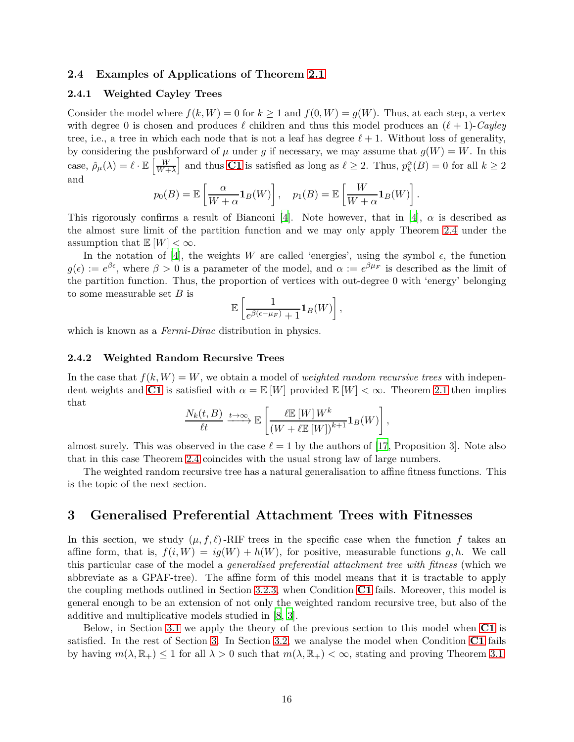## <span id="page-15-2"></span><span id="page-15-0"></span>**2.4 Examples of Applications of Theorem [2.1](#page-8-0)**

#### **2.4.1 Weighted Cayley Trees**

Consider the model where  $f(k, W) = 0$  for  $k \ge 1$  and  $f(0, W) = g(W)$ . Thus, at each step, a vertex with degree 0 is chosen and produces *ℓ* children and thus this model produces an (*ℓ* + 1)-*Cayley* tree, i.e., a tree in which each node that is not a leaf has degree  $\ell + 1$ . Without loss of generality, by considering the pushforward of  $\mu$  under g if necessary, we may assume that  $g(W) = W$ . In this case,  $\hat{\rho}_{\mu}(\lambda) = \ell \cdot \mathbb{E} \left[ \frac{W}{W+1} \right]$  $\left[\frac{W}{W+\lambda}\right]$  and thus **[C1](#page-5-4)** is satisfied as long as  $\ell \geq 2$ . Thus,  $p_k^{\alpha}(B) = 0$  for all  $k \geq 2$ and

$$
p_0(B) = \mathbb{E}\left[\frac{\alpha}{W + \alpha} \mathbf{1}_B(W)\right], \quad p_1(B) = \mathbb{E}\left[\frac{W}{W + \alpha} \mathbf{1}_B(W)\right].
$$

This rigorously confirms a result of Bianconi [\[4](#page-33-13)]. Note however, that in [4],  $\alpha$  is described as the almost sure limit of the partition function and we may only apply Theorem [2.4](#page-12-0) under the assumption that  $\mathbb{E}[W] < \infty$ .

In the notation of [\[4](#page-33-13)], the weights *W* are called 'energies', using the symbol  $\epsilon$ , the function  $g(\epsilon) := e^{\beta \epsilon}$ , where  $\beta > 0$  is a parameter of the model, and  $\alpha := e^{\beta \mu_F}$  is described as the limit of the partition function. Thus, the proportion of vertices with out-degree 0 with 'energy' belonging to some measurable set *B* is

$$
\mathbb{E}\left[\frac{1}{e^{\beta(\epsilon-\mu_F)}+1}\mathbf{1}_B(W)\right],
$$

<span id="page-15-3"></span>which is known as a *Fermi-Dirac* distribution in physics.

#### **2.4.2 Weighted Random Recursive Trees**

In the case that  $f(k, W) = W$ , we obtain a model of *weighted random recursive trees* with independent weights and **[C1](#page-5-4)** is satisfied with  $\alpha = \mathbb{E}[W]$  provided  $\mathbb{E}[W] < \infty$ . Theorem [2.1](#page-8-0) then implies that

$$
\frac{N_k(t, B)}{\ell t} \xrightarrow{t \to \infty} \mathbb{E}\left[\frac{\ell \mathbb{E}\left[W\right] W^k}{\left(W + \ell \mathbb{E}\left[W\right]\right)^{k+1}} \mathbf{1}_B(W)\right],
$$

almost surely. This was observed in the case  $\ell = 1$  by the authors of [\[17](#page-34-14), Proposition 3]. Note also that in this case Theorem [2.4](#page-12-0) coincides with the usual strong law of large numbers.

The weighted random recursive tree has a natural generalisation to affine fitness functions. This is the topic of the next section.

## <span id="page-15-1"></span>**3 Generalised Preferential Attachment Trees with Fitnesses**

In this section, we study  $(\mu, f, \ell)$ -RIF trees in the specific case when the function f takes an affine form, that is,  $f(i, W) = iq(W) + h(W)$ , for positive, measurable functions g, h. We call this particular case of the model a *generalised preferential attachment tree with fitness* (which we abbreviate as a GPAF-tree). The affine form of this model means that it is tractable to apply the coupling methods outlined in Section [3.2.3,](#page-20-0) when Condition **[C1](#page-5-4)** fails. Moreover, this model is general enough to be an extension of not only the weighted random recursive tree, but also of the additive and multiplicative models studied in [\[8](#page-33-6), [3](#page-33-9)].

Below, in Section [3.1](#page-16-0) we apply the theory of the previous section to this model when **[C1](#page-5-4)** is satisfied. In the rest of Section [3.](#page-15-1) In Section [3.2,](#page-17-0) we analyse the model when Condition **[C1](#page-5-4)** fails by having  $m(\lambda, \mathbb{R}_+) \leq 1$  for all  $\lambda > 0$  such that  $m(\lambda, \mathbb{R}_+) < \infty$ , stating and proving Theorem [3.1.](#page-18-1)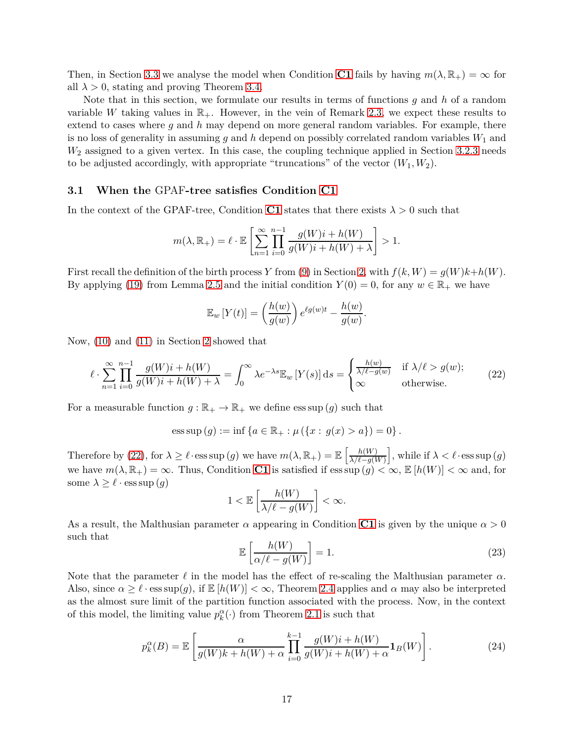Then, in Section [3.3](#page-23-1) we analyse the model when Condition **[C1](#page-5-4)** fails by having  $m(\lambda, \mathbb{R}_{+}) = \infty$  for all  $\lambda > 0$ , stating and proving Theorem [3.4.](#page-23-0)

Note that in this section, we formulate our results in terms of functions *g* and *h* of a random variable *W* taking values in  $\mathbb{R}_+$ . However, in the vein of Remark [2.3,](#page-9-2) we expect these results to extend to cases where *g* and *h* may depend on more general random variables. For example, there is no loss of generality in assuming *g* and *h* depend on possibly correlated random variables *W*<sup>1</sup> and *W*<sup>2</sup> assigned to a given vertex. In this case, the coupling technique applied in Section [3.2.3](#page-20-0) needs to be adjusted accordingly, with appropriate "truncations" of the vector  $(W_1, W_2)$ .

### <span id="page-16-0"></span>**3.1 When the** GPAF**-tree satisfies Condition [C1](#page-5-4)**

In the context of the GPAF-tree, Condition [C1](#page-5-4) states that there exists  $\lambda > 0$  such that

$$
m(\lambda, \mathbb{R}_{+}) = \ell \cdot \mathbb{E}\left[\sum_{n=1}^{\infty} \prod_{i=0}^{n-1} \frac{g(W)i + h(W)}{g(W)i + h(W) + \lambda}\right] > 1.
$$

First recall the definition of the birth process *Y* from [\(9\)](#page-8-1) in Section [2,](#page-7-0) with  $f(k, W) = g(W)k + h(W)$ . By applying [\(19\)](#page-13-2) from Lemma [2.5](#page-13-1) and the initial condition  $Y(0) = 0$ , for any  $w \in \mathbb{R}_+$  we have

$$
\mathbb{E}_w \left[ Y(t) \right] = \left( \frac{h(w)}{g(w)} \right) e^{\ell g(w)t} - \frac{h(w)}{g(w)}.
$$

Now, [\(10\)](#page-8-3) and [\(11\)](#page-8-4) in Section [2](#page-7-0) showed that

$$
\ell \cdot \sum_{n=1}^{\infty} \prod_{i=0}^{n-1} \frac{g(W)i + h(W)}{g(W)i + h(W) + \lambda} = \int_0^{\infty} \lambda e^{-\lambda s} \mathbb{E}_w \left[ Y(s) \right] ds = \begin{cases} \frac{h(w)}{\lambda/\ell - g(w)} & \text{if } \lambda/\ell > g(w); \\ \infty & \text{otherwise.} \end{cases}
$$
 (22)

For a measurable function  $g : \mathbb{R}_+ \to \mathbb{R}_+$  we define ess sup  $(g)$  such that

ess sup 
$$
(g) := inf \{ a \in \mathbb{R}_+ : \mu (\{ x : g(x) > a \}) = 0 \}.
$$

Therefore by [\(22\)](#page-16-1), for  $\lambda \geq \ell \cdot \text{ess} \sup(g)$  we have  $m(\lambda, \mathbb{R}_{+}) = \mathbb{E} \left[ \frac{h(W)}{\lambda \ell - q(V)} \right]$  $\frac{h(W)}{\lambda/\ell - g(W)}$ , while if  $\lambda < \ell \cdot \text{ess sup}(g)$ we have  $m(\lambda, \mathbb{R}_+) = \infty$ . Thus, Condition **[C1](#page-5-4)** is satisfied if ess sup  $(g) < \infty$ ,  $\mathbb{E}[h(W)] < \infty$  and, for some  $\lambda \geq \ell \cdot \text{ess sup}(g)$ 

<span id="page-16-1"></span>
$$
1 < \mathbb{E}\left[\frac{h(W)}{\lambda/\ell - g(W)}\right] < \infty.
$$

As a result, the Malthusian parameter  $\alpha$  appearing in Condition **[C1](#page-5-4)** is given by the unique  $\alpha > 0$ such that

<span id="page-16-3"></span><span id="page-16-2"></span>
$$
\mathbb{E}\left[\frac{h(W)}{\alpha/\ell - g(W)}\right] = 1.
$$
\n(23)

Note that the parameter  $\ell$  in the model has the effect of re-scaling the Malthusian parameter  $\alpha$ . Also, since  $\alpha \geq \ell \cdot \text{ess sup}(g)$ , if  $\mathbb{E}[h(W)] < \infty$ , Theorem [2.4](#page-12-0) applies and  $\alpha$  may also be interpreted as the almost sure limit of the partition function associated with the process. Now, in the context of this model, the limiting value  $p_k^{\alpha}(\cdot)$  from Theorem [2.1](#page-8-0) is such that

$$
p_k^{\alpha}(B) = \mathbb{E}\left[\frac{\alpha}{g(W)k + h(W) + \alpha} \prod_{i=0}^{k-1} \frac{g(W)i + h(W)}{g(W)i + h(W) + \alpha} \mathbf{1}_B(W)\right].
$$
 (24)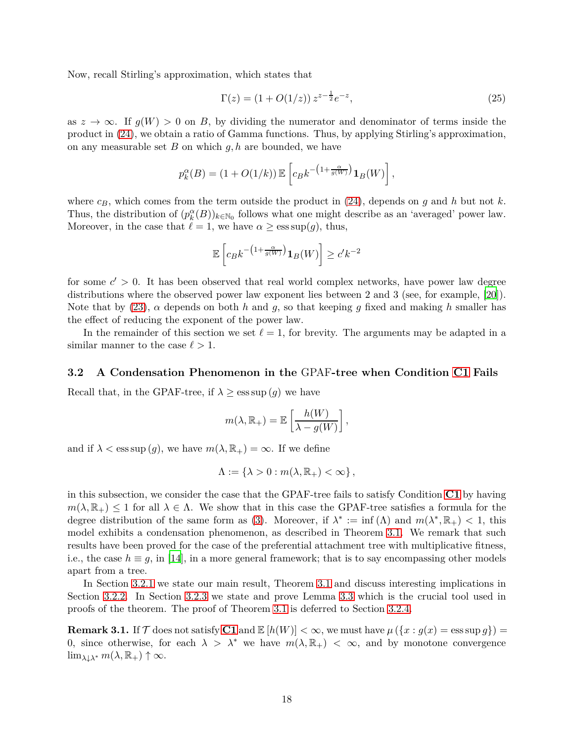Now, recall Stirling's approximation, which states that

<span id="page-17-2"></span>
$$
\Gamma(z) = (1 + O(1/z)) z^{z - \frac{1}{2}} e^{-z}, \tag{25}
$$

as  $z \to \infty$ . If  $g(W) > 0$  on *B*, by dividing the numerator and denominator of terms inside the product in [\(24\)](#page-16-2), we obtain a ratio of Gamma functions. Thus, by applying Stirling's approximation, on any measurable set *B* on which *g, h* are bounded, we have

$$
p_k^{\alpha}(B) = (1 + O(1/k)) \mathbb{E}\left[c_B k^{-\left(1 + \frac{\alpha}{g(W)}\right)} \mathbf{1}_B(W)\right],
$$

where  $c_B$ , which comes from the term outside the product in [\(24\)](#page-16-2), depends on *g* and *h* but not *k*. Thus, the distribution of  $(p_k^{\alpha}(B))_{k \in \mathbb{N}_0}$  follows what one might describe as an 'averaged' power law. Moreover, in the case that  $\ell = 1$ , we have  $\alpha \ge \text{ess sup}(q)$ , thus,

$$
\mathbb{E}\left[c_Bk^{-\left(1+\frac{\alpha}{g(W)}\right)}\mathbf{1}_B(W)\right] \ge c'k^{-2}
$$

for some  $c' > 0$ . It has been observed that real world complex networks, have power law degree distributions where the observed power law exponent lies between 2 and 3 (see, for example, [\[20\]](#page-34-16)). Note that by  $(23)$ ,  $\alpha$  depends on both *h* and *g*, so that keeping *g* fixed and making *h* smaller has the effect of reducing the exponent of the power law.

In the remainder of this section we set  $\ell = 1$ , for brevity. The arguments may be adapted in a similar manner to the case  $\ell > 1$ .

#### <span id="page-17-0"></span>**3.2 A Condensation Phenomenon in the** GPAF**-tree when Condition [C1](#page-5-4) Fails**

Recall that, in the GPAF-tree, if  $\lambda \geq \text{ess sup}(g)$  we have

$$
m(\lambda, \mathbb{R}_{+}) = \mathbb{E}\left[\frac{h(W)}{\lambda - g(W)}\right],
$$

and if  $\lambda < \text{ess sup}(q)$ , we have  $m(\lambda, \mathbb{R}_+) = \infty$ . If we define

$$
\Lambda := \left\{ \lambda > 0 : m(\lambda, \mathbb{R}_+) < \infty \right\},\
$$

in this subsection, we consider the case that the GPAF-tree fails to satisfy Condition **[C1](#page-5-4)** by having  $m(\lambda, \mathbb{R}_+) \leq 1$  for all  $\lambda \in \Lambda$ . We show that in this case the GPAF-tree satisfies a formula for the degree distribution of the same form as [\(3\)](#page-4-2). Moreover, if  $\lambda^* := \inf(\Lambda)$  and  $m(\lambda^*, \mathbb{R}_+) < 1$ , this model exhibits a condensation phenomenon, as described in Theorem [3.1.](#page-18-1) We remark that such results have been proved for the case of the preferential attachment tree with multiplicative fitness, i.e., the case  $h \equiv g$ , in [\[14\]](#page-33-8), in a more general framework; that is to say encompassing other models apart from a tree.

In Section [3.2.1](#page-18-2) we state our main result, Theorem [3.1](#page-18-1) and discuss interesting implications in Section [3.2.2.](#page-19-0) In Section [3.2.3](#page-20-0) we state and prove Lemma [3.3](#page-20-1) which is the crucial tool used in proofs of the theorem. The proof of Theorem [3.1](#page-18-1) is deferred to Section [3.2.4.](#page-22-0)

<span id="page-17-1"></span>**Remark 3.1.** If  $\mathcal{T}$  does not satisfy **[C1](#page-5-4)** and  $\mathbb{E}[h(W)] < \infty$ , we must have  $\mu(\lbrace x : g(x) = \text{ess}\sup g \rbrace)$  = 0, since otherwise, for each  $\lambda > \lambda^*$  we have  $m(\lambda, \mathbb{R}_+) < \infty$ , and by monotone convergence  $\lim_{\lambda \downarrow \lambda^*} m(\lambda, \mathbb{R}_+) \uparrow \infty$ .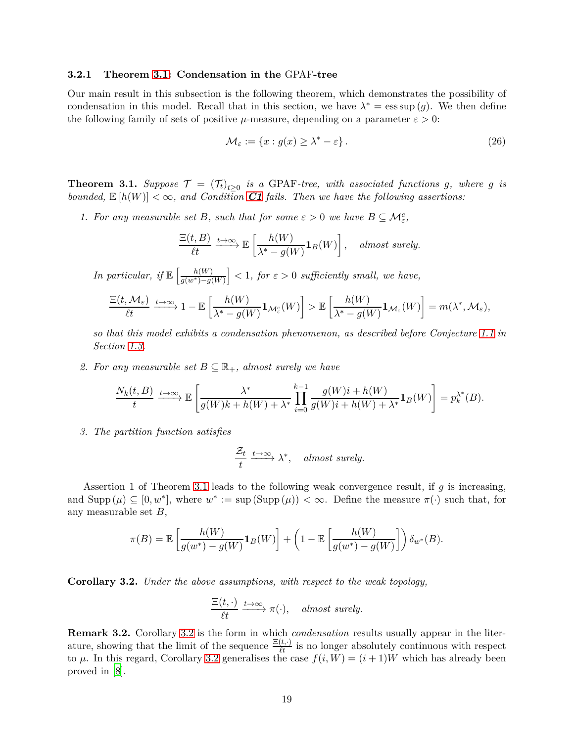#### <span id="page-18-2"></span>**3.2.1 Theorem [3.1:](#page-18-1) Condensation in the** GPAF**-tree**

Our main result in this subsection is the following theorem, which demonstrates the possibility of condensation in this model. Recall that in this section, we have  $\lambda^* = \operatorname{ess} \sup(g)$ . We then define the following family of sets of positive  $\mu$ -measure, depending on a parameter  $\varepsilon > 0$ :

<span id="page-18-3"></span>
$$
\mathcal{M}_{\varepsilon} := \{ x : g(x) \ge \lambda^* - \varepsilon \}.
$$
\n(26)

<span id="page-18-1"></span>**Theorem 3.1.** *Suppose*  $\mathcal{T} = (\mathcal{T}_t)_{t \geq 0}$  *is a* GPAF-tree, with associated functions g, where g is *bounded,*  $\mathbb{E}[h(W)] < \infty$ , and Condition [C1](#page-5-4) fails. Then we have the following assertions:

*1. For any measurable set B, such that for some*  $\varepsilon > 0$  *we have*  $B \subseteq M_{\varepsilon}^{c}$ *,* 

$$
\frac{\Xi(t, B)}{\ell t} \xrightarrow{t \to \infty} \mathbb{E}\left[\frac{h(W)}{\lambda^* - g(W)} \mathbf{1}_B(W)\right], \quad \text{almost surely.}
$$

*In particular, if*  $\mathbb{E} \left[ \frac{h(W)}{a(w^*)-a(W)} \right]$  $\left(\frac{h(W)}{g(w^*)-g(W)}\right]$  < 1*, for*  $\varepsilon > 0$  *sufficiently small, we have,* 

$$
\frac{\Xi(t, \mathcal{M}_{\varepsilon})}{\ell t} \xrightarrow{t \to \infty} 1 - \mathbb{E}\left[\frac{h(W)}{\lambda^* - g(W)}\mathbf{1}_{\mathcal{M}_{\varepsilon}^c}(W)\right] > \mathbb{E}\left[\frac{h(W)}{\lambda^* - g(W)}\mathbf{1}_{\mathcal{M}_{\varepsilon}}(W)\right] = m(\lambda^*, \mathcal{M}_{\varepsilon}),
$$

*so that this model exhibits a condensation phenomenon, as described before Conjecture [1.1](#page-5-1) in Section [1.3.](#page-3-0)*

2. For any measurable set  $B \subseteq \mathbb{R}_+$ , almost surely we have

$$
\frac{N_k(t,B)}{t} \xrightarrow{t \to \infty} \mathbb{E}\left[\frac{\lambda^*}{g(W)k + h(W) + \lambda^*} \prod_{i=0}^{k-1} \frac{g(W)i + h(W)}{g(W)i + h(W) + \lambda^*} \mathbf{1}_B(W)\right] = p_k^{\lambda^*}(B).
$$

*3. The partition function satisfies*

$$
\frac{\mathcal{Z}_t}{t} \xrightarrow{t \to \infty} \lambda^*, \quad \text{almost surely.}
$$

Assertion 1 of Theorem [3.1](#page-18-1) leads to the following weak convergence result, if *g* is increasing, and  $\text{Supp}(\mu) \subseteq [0, w^*]$ , where  $w^* := \text{sup}(\text{Supp}(\mu)) < \infty$ . Define the measure  $\pi(\cdot)$  such that, for any measurable set *B*,

$$
\pi(B) = \mathbb{E}\left[\frac{h(W)}{g(w^*) - g(W)}\mathbf{1}_B(W)\right] + \left(1 - \mathbb{E}\left[\frac{h(W)}{g(w^*) - g(W)}\right]\right)\delta_{w^*}(B).
$$

<span id="page-18-0"></span>**Corollary 3.2.** *Under the above assumptions, with respect to the weak topology,*

$$
\frac{\Xi(t,\cdot)}{\ell t} \xrightarrow{t \to \infty} \pi(\cdot), \quad \text{almost surely.}
$$

**Remark 3.2.** Corollary [3.2](#page-18-0) is the form in which *condensation* results usually appear in the literature, showing that the limit of the sequence  $\frac{\Xi(t, \cdot)}{\ell t}$  is no longer absolutely continuous with respect to  $\mu$ . In this regard, Corollary [3.2](#page-18-0) generalises the case  $f(i, W) = (i + 1)W$  which has already been proved in [\[8\]](#page-33-6).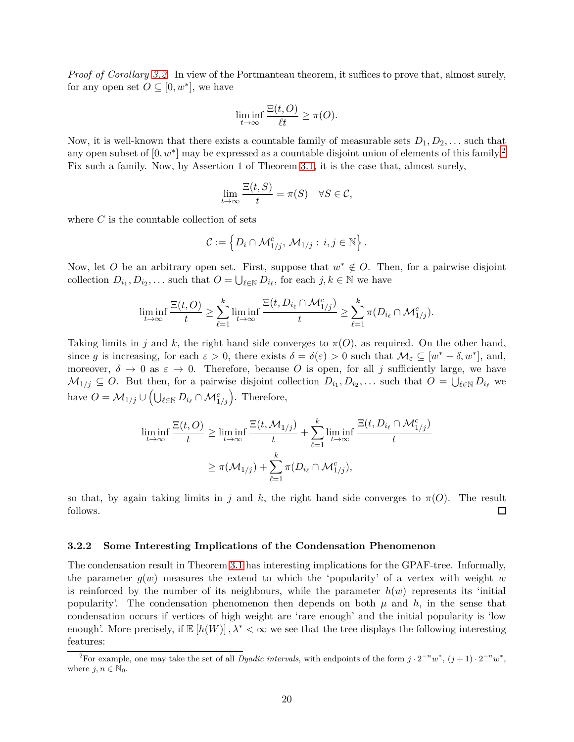*Proof of Corollary [3.2.](#page-18-0)* In view of the Portmanteau theorem, it suffices to prove that, almost surely, for any open set  $O \subseteq [0, w^*]$ , we have

$$
\liminf_{t \to \infty} \frac{\Xi(t, O)}{\ell t} \ge \pi(O).
$$

Now, it is well-known that there exists a countable family of measurable sets  $D_1, D_2, \ldots$  such that any open subset of [0*, w*<sup>∗</sup> ] may be expressed as a countable disjoint union of elements of this family.[2](#page-19-1) Fix such a family. Now, by Assertion 1 of Theorem [3.1,](#page-18-1) it is the case that, almost surely,

$$
\lim_{t \to \infty} \frac{\Xi(t, S)}{t} = \pi(S) \quad \forall S \in \mathcal{C},
$$

where *C* is the countable collection of sets

$$
\mathcal{C} := \left\{ D_i \cap \mathcal{M}_{1/j}^c, \, \mathcal{M}_{1/j} : i, j \in \mathbb{N} \right\}.
$$

Now, let *O* be an arbitrary open set. First, suppose that  $w^* \notin O$ . Then, for a pairwise disjoint collection  $D_{i_1}, D_{i_2}, \ldots$  such that  $O = \bigcup_{\ell \in \mathbb{N}} D_{i_\ell}$ , for each  $j, k \in \mathbb{N}$  we have

$$
\liminf_{t\to\infty}\frac{\Xi(t,O)}{t}\geq \sum_{\ell=1}^k \liminf_{t\to\infty}\frac{\Xi(t,D_{i_\ell}\cap \mathcal{M}_{1/j}^c)}{t}\geq \sum_{\ell=1}^k \pi(D_{i_\ell}\cap \mathcal{M}_{1/j}^c).
$$

Taking limits in *j* and *k*, the right hand side converges to  $\pi(O)$ , as required. On the other hand, since *g* is increasing, for each  $\varepsilon > 0$ , there exists  $\delta = \delta(\varepsilon) > 0$  such that  $\mathcal{M}_{\varepsilon} \subseteq [w^* - \delta, w^*]$ , and, moreover,  $\delta \to 0$  as  $\varepsilon \to 0$ . Therefore, because O is open, for all j sufficiently large, we have  $M_{1/j} \subseteq O$ . But then, for a pairwise disjoint collection  $D_{i_1}, D_{i_2}, \ldots$  such that  $O = \bigcup_{\ell \in \mathbb{N}} D_{i_\ell}$  we have  $O = \mathcal{M}_{1/j} \cup (\bigcup_{\ell \in \mathbb{N}} D_{i_{\ell}} \cap \mathcal{M}_{1/j}^c)$ . Therefore,

$$
\liminf_{t \to \infty} \frac{\Xi(t, O)}{t} \ge \liminf_{t \to \infty} \frac{\Xi(t, \mathcal{M}_{1/j})}{t} + \sum_{\ell=1}^{k} \liminf_{t \to \infty} \frac{\Xi(t, D_{i_{\ell}} \cap \mathcal{M}_{1/j}^c)}{t}
$$

$$
\ge \pi(\mathcal{M}_{1/j}) + \sum_{\ell=1}^{k} \pi(D_{i_{\ell}} \cap \mathcal{M}_{1/j}^c),
$$

so that, by again taking limits in *j* and *k*, the right hand side converges to  $\pi(O)$ . The result  $\Box$ follows.

#### <span id="page-19-0"></span>**3.2.2 Some Interesting Implications of the Condensation Phenomenon**

The condensation result in Theorem [3.1](#page-18-1) has interesting implications for the GPAF-tree. Informally, the parameter  $g(w)$  measures the extend to which the 'popularity' of a vertex with weight *w* is reinforced by the number of its neighbours, while the parameter  $h(w)$  represents its 'initial popularity'. The condensation phenomenon then depends on both  $\mu$  and  $h$ , in the sense that condensation occurs if vertices of high weight are 'rare enough' and the initial popularity is 'low enough'. More precisely, if  $\mathbb{E}[h(W)]$ ,  $\lambda^* < \infty$  we see that the tree displays the following interesting features:

<span id="page-19-1"></span><sup>&</sup>lt;sup>2</sup>For example, one may take the set of all *Dyadic intervals*, with endpoints of the form  $j \cdot 2^{-n} w^*$ ,  $(j+1) \cdot 2^{-n} w^*$ , where  $j, n \in \mathbb{N}_0$ .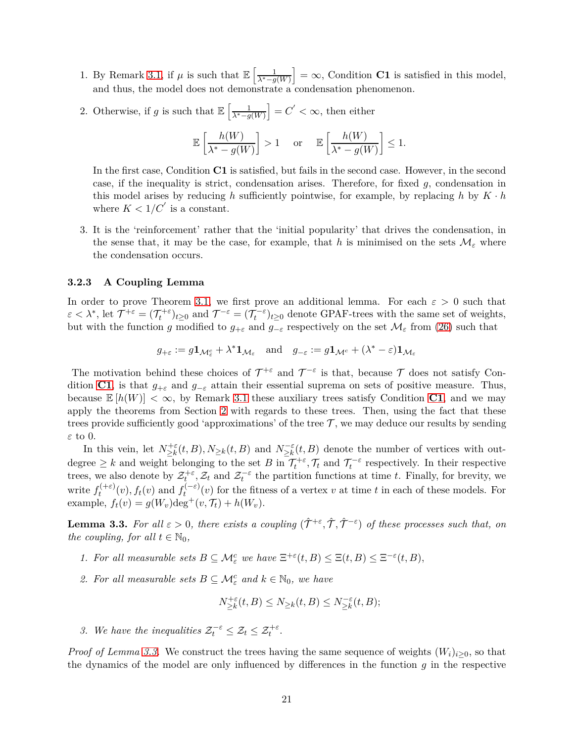- 1. By Remark [3.1,](#page-17-1) if  $\mu$  is such that  $\mathbb{E}\left[\frac{1}{\lambda^* g(W)}\right] = \infty$ , Condition **C1** is satisfied in this model, and thus, the model does not demonstrate a condensation phenomenon.
- 2. Otherwise, if *g* is such that  $\mathbb{E}\left[\frac{1}{\lambda^* g(W)}\right] = C' < \infty$ , then either

$$
\mathbb{E}\left[\frac{h(W)}{\lambda^*-g(W)}\right] > 1 \quad \text{ or } \quad \mathbb{E}\left[\frac{h(W)}{\lambda^*-g(W)}\right] \leq 1.
$$

In the first case, Condition **C1** is satisfied, but fails in the second case. However, in the second case, if the inequality is strict, condensation arises. Therefore, for fixed *g*, condensation in this model arises by reducing  $h$  sufficiently pointwise, for example, by replacing  $h$  by  $K \cdot h$ where  $K < 1/C'$  is a constant.

3. It is the 'reinforcement' rather that the 'initial popularity' that drives the condensation, in the sense that, it may be the case, for example, that *h* is minimised on the sets  $\mathcal{M}_{\varepsilon}$  where the condensation occurs.

#### <span id="page-20-0"></span>**3.2.3 A Coupling Lemma**

In order to prove Theorem [3.1,](#page-18-1) we first prove an additional lemma. For each  $\varepsilon > 0$  such that  $\varepsilon < \lambda^*$ , let  $\mathcal{T}^{+\varepsilon} = (\mathcal{T}_t^{+\varepsilon})_{t\geq 0}$  and  $\mathcal{T}^{-\varepsilon} = (\mathcal{T}_t^{-\varepsilon})_{t\geq 0}$  denote GPAF-trees with the same set of weights, but with the function *g* modified to  $g_{+\varepsilon}$  and  $g_{-\varepsilon}$  respectively on the set  $\mathcal{M}_{\varepsilon}$  from [\(26\)](#page-18-3) such that

$$
g_{+\varepsilon}:=g\mathbf{1}_{\mathcal{M}_\varepsilon^c}+\lambda^*\mathbf{1}_{\mathcal{M}_\varepsilon}\quad\text{and}\quad g_{-\varepsilon}:=g\mathbf{1}_{\mathcal{M}^c}+(\lambda^*-\varepsilon)\mathbf{1}_{\mathcal{M}_\varepsilon}
$$

The motivation behind these choices of  $\mathcal{T}^{+\varepsilon}$  and  $\mathcal{T}^{-\varepsilon}$  is that, because  $\mathcal T$  does not satisfy Condition **[C1](#page-5-4)**, is that  $g_{+\varepsilon}$  and  $g_{-\varepsilon}$  attain their essential suprema on sets of positive measure. Thus, because  $\mathbb{E}[h(W)] < \infty$ , by Remark [3.1](#page-17-1) these auxiliary trees satisfy Condition **[C1](#page-5-4)**, and we may apply the theorems from Section [2](#page-7-0) with regards to these trees. Then, using the fact that these trees provide sufficiently good 'approximations' of the tree  $\mathcal T$ , we may deduce our results by sending *ε* to 0.

In this vein, let  $N_{\geq k}^{+\varepsilon}(t, B), N_{\geq k}(t, B)$  and  $N_{\geq k}^{-\varepsilon}(t, B)$  denote the number of vertices with outdegree  $\geq k$  and weight belonging to the set *B* in  $\mathcal{T}_t^{+\varepsilon}, \mathcal{T}_t$  and  $\mathcal{T}_t^{-\varepsilon}$  respectively. In their respective trees, we also denote by  $\mathcal{Z}_t^{+\varepsilon}$ ,  $\mathcal{Z}_t$  and  $\mathcal{Z}_t^{-\varepsilon}$  the partition functions at time *t*. Finally, for brevity, we write  $f_t^{(+\varepsilon)}$  $f_t^{(+\varepsilon)}(v)$ ,  $f_t(v)$  and  $f_t^{(-\varepsilon)}$  $t_t^{(1-\epsilon)}(v)$  for the fitness of a vertex *v* at time *t* in each of these models. For example,  $f_t(v) = g(W_v) \text{deg}^+(v, \mathcal{T}_t) + h(W_v)$ .

<span id="page-20-1"></span>**Lemma 3.3.** For all  $\varepsilon > 0$ , there exists a coupling  $(\hat{\mathcal{T}}^{+\varepsilon}, \hat{\mathcal{T}}, \hat{\mathcal{T}}^{-\varepsilon})$  of these processes such that, on *the coupling, for all*  $t \in \mathbb{N}_0$ *,* 

- *1. For all measurable sets*  $B \subseteq \mathcal{M}_{\varepsilon}^c$  *we have*  $\Xi^{+\varepsilon}(t, B) \leq \Xi(t, B) \leq \Xi^{-\varepsilon}(t, B)$ ,
- 2. For all measurable sets  $B \subseteq \mathcal{M}_{\varepsilon}^c$  and  $k \in \mathbb{N}_0$ , we have

$$
N_{\geq k}^{+\varepsilon}(t,B) \leq N_{\geq k}(t,B) \leq N_{\geq k}^{-\varepsilon}(t,B);
$$

*3. We have the inequalities*  $\mathcal{Z}_t^{-\varepsilon} \leq \mathcal{Z}_t \leq \mathcal{Z}_t^{+\varepsilon}$ .

*Proof of Lemma [3.3.](#page-20-1)* We construct the trees having the same sequence of weights  $(W_i)_{i>0}$ , so that the dynamics of the model are only influenced by differences in the function *g* in the respective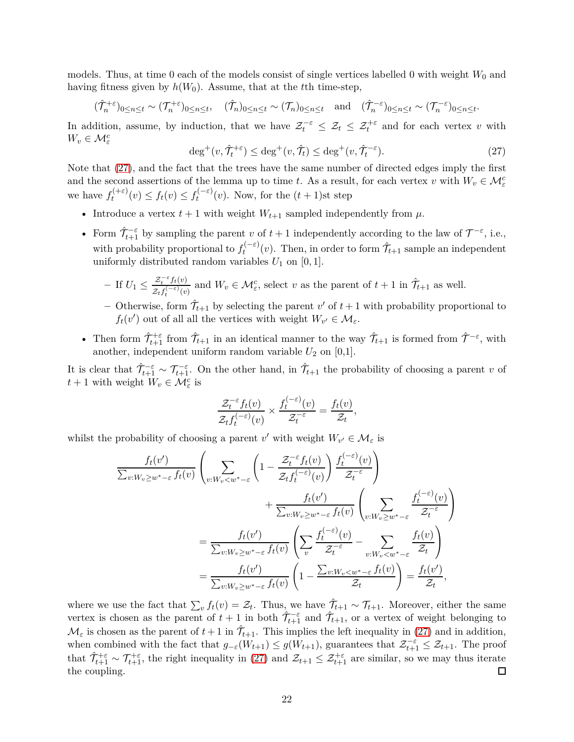models. Thus, at time 0 each of the models consist of single vertices labelled 0 with weight  $W_0$  and having fitness given by  $h(W_0)$ . Assume, that at the *t*<sup>th</sup> time-step,

$$
(\hat{\mathcal{T}}_{n}^{+\varepsilon})_{0\leq n\leq t} \sim (\mathcal{T}_{n}^{+\varepsilon})_{0\leq n\leq t}, \quad (\hat{\mathcal{T}}_{n})_{0\leq n\leq t} \sim (\mathcal{T}_{n})_{0\leq n\leq t} \quad \text{and} \quad (\hat{\mathcal{T}}_{n}^{-\varepsilon})_{0\leq n\leq t} \sim (\mathcal{T}_{n}^{-\varepsilon})_{0\leq n\leq t}.
$$

In addition, assume, by induction, that we have  $\mathcal{Z}_t^{-\varepsilon} \leq \mathcal{Z}_t \leq \mathcal{Z}_t^{+\varepsilon}$  and for each vertex *v* with  $W_v \in \mathcal{M}^c_{\varepsilon}$ 

<span id="page-21-0"></span>
$$
\deg^+(v, \hat{\mathcal{T}}_t^{+\varepsilon}) \le \deg^+(v, \hat{\mathcal{T}}_t) \le \deg^+(v, \hat{\mathcal{T}}_t^{-\varepsilon}).\tag{27}
$$

Note that [\(27\)](#page-21-0), and the fact that the trees have the same number of directed edges imply the first and the second assertions of the lemma up to time *t*. As a result, for each vertex *v* with  $W_v \in \mathcal{M}_{\varepsilon}^c$ we have  $f_t^{(+\varepsilon)}$  $f_t^{(+\varepsilon)}(v) \leq f_t(v) \leq f_t^{(-\varepsilon)}$  $t_t^{(-\varepsilon)}(v)$ . Now, for the  $(t+1)$ st step

- Introduce a vertex  $t + 1$  with weight  $W_{t+1}$  sampled independently from  $\mu$ .
- Form  $\hat{\mathcal{T}}_{t+1}^{-\varepsilon}$  by sampling the parent *v* of  $t+1$  independently according to the law of  $\mathcal{T}^{-\varepsilon}$ , i.e., with probability proportional to  $f_t^{(-\varepsilon)}$  $\hat{\mathcal{T}}_{t+1}^{(-\varepsilon)}(v)$ . Then, in order to form  $\hat{\mathcal{T}}_{t+1}$  sample an independent uniformly distributed random variables  $U_1$  on [0, 1].
	- $-$ **If**  $U_1 \leq \frac{\mathcal{Z}_t^{-\varepsilon} f_t(v)}{\mathcal{Z}_t^{-\varepsilon} f_t(-\varepsilon)}$  $\frac{\mathcal{Z}_t^{-\varepsilon} f_t(v)}{\mathcal{Z}_t f_t^{(-\varepsilon)}(v)}$  and  $W_v \in \mathcal{M}_{\varepsilon}^c$ , select *v* as the parent of  $t + 1$  in  $\hat{\mathcal{T}}_{t+1}$  as well.
	- $-$  Otherwise, form  $\hat{\mathcal{T}}_{t+1}$  by selecting the parent  $v'$  of  $t+1$  with probability proportional to *f*<sub>*t*</sub>(*v*<sup>'</sup>) out of all all the vertices with weight  $W_{v'} \in M_{\varepsilon}$ .
- Then form  $\hat{\mathcal{T}}_{t+1}^{\epsilon}$  from  $\hat{\mathcal{T}}_{t+1}$  in an identical manner to the way  $\hat{\mathcal{T}}_{t+1}$  is formed from  $\hat{\mathcal{T}}^{-\epsilon}$ , with another, independent uniform random variable  $U_2$  on [0,1].

It is clear that  $\hat{\mathcal{T}}_{t+1}^{-\varepsilon} \sim \mathcal{T}_{t+1}^{-\varepsilon}$ . On the other hand, in  $\hat{\mathcal{T}}_{t+1}$  the probability of choosing a parent *v* of  $t + 1$  with weight  $W_v \in \mathcal{M}_{\varepsilon}^c$  is

$$
\frac{\mathcal{Z}_t^{-\varepsilon} f_t(v)}{\mathcal{Z}_t f_t^{(-\varepsilon)}(v)} \times \frac{f_t^{(-\varepsilon)}(v)}{\mathcal{Z}_t^{-\varepsilon}} = \frac{f_t(v)}{\mathcal{Z}_t},
$$

whilst the probability of choosing a parent  $v'$  with weight  $W_{v'} \in \mathcal{M}_{\varepsilon}$  is

$$
\frac{f_t(v')}{\sum_{v:W_v \ge w^* - \varepsilon} f_t(v)} \left( \sum_{v:W_v < w^* - \varepsilon} \left( 1 - \frac{\mathcal{Z}_t^{-\varepsilon} f_t(v)}{\mathcal{Z}_t f_t^{(-\varepsilon)}(v)} \right) \frac{f_t^{(-\varepsilon)}(v)}{\mathcal{Z}_t^{-\varepsilon}} \right) + \frac{f_t(v')}{\sum_{v:W_v \ge w^* - \varepsilon} f_t(v)} \left( \sum_{v:W_v \ge w^* - \varepsilon} \frac{f_t^{(-\varepsilon)}(v)}{\mathcal{Z}_t^{-\varepsilon}} \right) = \frac{f_t(v')}{\sum_{v:W_v \ge w^* - \varepsilon} f_t(v)} \left( \sum_v \frac{f_t^{(-\varepsilon)}(v)}{\mathcal{Z}_t^{-\varepsilon}} - \sum_{v:W_v < w^* - \varepsilon} \frac{f_t(v)}{\mathcal{Z}_t} \right) = \frac{f_t(v')}{\sum_{v:W_v \ge w^* - \varepsilon} f_t(v)} \left( 1 - \frac{\sum_{v:W_v < w^* - \varepsilon} f_t(v)}{\mathcal{Z}_t} \right) = \frac{f_t(v')}{\mathcal{Z}_t},
$$

where we use the fact that  $\sum_v f_t(v) = \mathcal{Z}_t$ . Thus, we have  $\hat{\mathcal{T}}_{t+1} \sim \mathcal{T}_{t+1}$ . Moreover, either the same vertex is chosen as the parent of  $t+1$  in both  $\hat{\mathcal{T}}_{t+1}^{-\varepsilon}$  and  $\hat{\mathcal{T}}_{t+1}$ , or a vertex of weight belonging to  $\mathcal{M}_{\varepsilon}$  is chosen as the parent of  $t+1$  in  $\hat{\mathcal{T}}_{t+1}$ . This implies the left inequality in [\(27\)](#page-21-0) and in addition, when combined with the fact that  $g_{-\varepsilon}(W_{t+1}) \leq g(W_{t+1})$ , guarantees that  $\mathcal{Z}_{t+1}^{-\varepsilon} \leq \mathcal{Z}_{t+1}$ . The proof that  $\hat{\mathcal{T}}_{t+1}^{+\varepsilon} \sim \mathcal{T}_{t+1}^{+\varepsilon}$ , the right inequality in [\(27\)](#page-21-0) and  $\mathcal{Z}_{t+1} \leq \mathcal{Z}_{t+1}^{+\varepsilon}$  are similar, so we may thus iterate the coupling. 囗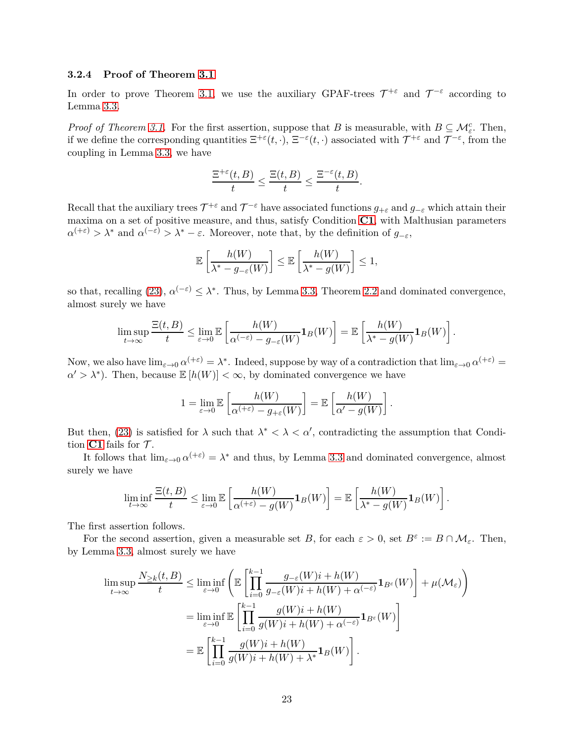## <span id="page-22-0"></span>**3.2.4 Proof of Theorem [3.1](#page-18-1)**

In order to prove Theorem [3.1,](#page-18-1) we use the auxiliary GPAF-trees  $\mathcal{T}^{+\varepsilon}$  and  $\mathcal{T}^{-\varepsilon}$  according to Lemma [3.3.](#page-20-1)

*Proof of Theorem [3.1.](#page-18-1)* For the first assertion, suppose that *B* is measurable, with  $B \subseteq \mathcal{M}_{\varepsilon}^c$ . Then, if we define the corresponding quantities  $\Xi^{+\varepsilon}(t,\cdot)$ ,  $\Xi^{-\varepsilon}(t,\cdot)$  associated with  $\mathcal{T}^{+\varepsilon}$  and  $\mathcal{T}^{-\varepsilon}$ , from the coupling in Lemma [3.3,](#page-20-1) we have

$$
\frac{\Xi^{+\varepsilon}(t,B)}{t}\leq \frac{\Xi(t,B)}{t}\leq \frac{\Xi^{-\varepsilon}(t,B)}{t}.
$$

Recall that the auxiliary trees  $\mathcal{T}^{+\varepsilon}$  and  $\mathcal{T}^{-\varepsilon}$  have associated functions  $g_{+\varepsilon}$  and  $g_{-\varepsilon}$  which attain their maxima on a set of positive measure, and thus, satisfy Condition **[C1](#page-5-4)**, with Malthusian parameters  $\alpha^{(+\varepsilon)} > \lambda^*$  and  $\alpha^{(-\varepsilon)} > \lambda^* - \varepsilon$ . Moreover, note that, by the definition of  $g_{-\varepsilon}$ ,

$$
\mathbb{E}\left[\frac{h(W)}{\lambda^* - g_{-\varepsilon}(W)}\right] \leq \mathbb{E}\left[\frac{h(W)}{\lambda^* - g(W)}\right] \leq 1,
$$

so that, recalling [\(23\)](#page-16-3),  $\alpha^{(-\varepsilon)} \leq \lambda^*$ . Thus, by Lemma [3.3,](#page-20-1) Theorem [2.2](#page-9-0) and dominated convergence, almost surely we have

$$
\limsup_{t \to \infty} \frac{\Xi(t, B)}{t} \leq \lim_{\varepsilon \to 0} \mathbb{E} \left[ \frac{h(W)}{\alpha^{(-\varepsilon)} - g_{-\varepsilon}(W)} \mathbf{1}_B(W) \right] = \mathbb{E} \left[ \frac{h(W)}{\lambda^* - g(W)} \mathbf{1}_B(W) \right].
$$

Now, we also have  $\lim_{\varepsilon\to 0} \alpha^{(+\varepsilon)} = \lambda^*$ . Indeed, suppose by way of a contradiction that  $\lim_{\varepsilon\to 0} \alpha^{(+\varepsilon)} =$  $\alpha' > \lambda^*$ ). Then, because  $\mathbb{E}[h(W)] < \infty$ , by dominated convergence we have

$$
1 = \lim_{\varepsilon \to 0} \mathbb{E} \left[ \frac{h(W)}{\alpha^{(+\varepsilon)} - g_{+\varepsilon}(W)} \right] = \mathbb{E} \left[ \frac{h(W)}{\alpha' - g(W)} \right]
$$

*.*

But then, [\(23\)](#page-16-3) is satisfied for  $\lambda$  such that  $\lambda^* < \lambda < \alpha'$ , contradicting the assumption that Condition  $C1$  fails for  $T$ .

It follows that  $\lim_{\varepsilon \to 0} \alpha^{(+\varepsilon)} = \lambda^*$  and thus, by Lemma [3.3](#page-20-1) and dominated convergence, almost surely we have

$$
\liminf_{t \to \infty} \frac{\Xi(t, B)}{t} \leq \lim_{\varepsilon \to 0} \mathbb{E} \left[ \frac{h(W)}{\alpha^{(+\varepsilon)} - g(W)} \mathbf{1}_B(W) \right] = \mathbb{E} \left[ \frac{h(W)}{\lambda^* - g(W)} \mathbf{1}_B(W) \right].
$$

The first assertion follows.

For the second assertion, given a measurable set *B*, for each  $\varepsilon > 0$ , set  $B^{\varepsilon} := B \cap \mathcal{M}_{\varepsilon}$ . Then, by Lemma [3.3,](#page-20-1) almost surely we have

$$
\limsup_{t \to \infty} \frac{N_{\geq k}(t, B)}{t} \leq \liminf_{\varepsilon \to 0} \left( \mathbb{E} \left[ \prod_{i=0}^{k-1} \frac{g_{-\varepsilon}(W)i + h(W)}{g_{-\varepsilon}(W)i + h(W) + \alpha^{(-\varepsilon)}} \mathbf{1}_{B^{\varepsilon}}(W) \right] + \mu(\mathcal{M}_{\varepsilon}) \right)
$$
\n
$$
= \liminf_{\varepsilon \to 0} \mathbb{E} \left[ \prod_{i=0}^{k-1} \frac{g(W)i + h(W)}{g(W)i + h(W) + \alpha^{(-\varepsilon)}} \mathbf{1}_{B^{\varepsilon}}(W) \right]
$$
\n
$$
= \mathbb{E} \left[ \prod_{i=0}^{k-1} \frac{g(W)i + h(W)}{g(W)i + h(W) + \lambda^*} \mathbf{1}_{B}(W) \right].
$$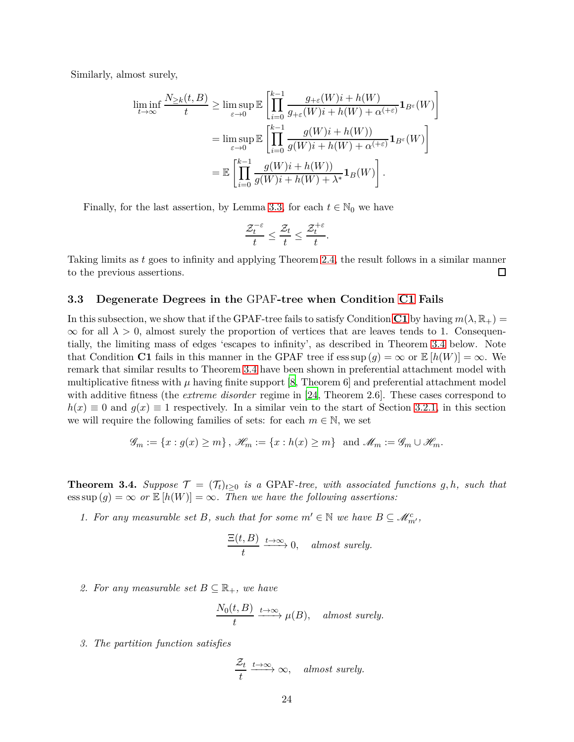Similarly, almost surely,

$$
\liminf_{t \to \infty} \frac{N_{\geq k}(t, B)}{t} \geq \limsup_{\varepsilon \to 0} \mathbb{E} \left[ \prod_{i=0}^{k-1} \frac{g_{+\varepsilon}(W)i + h(W)}{g_{+\varepsilon}(W)i + h(W) + \alpha^{(+\varepsilon)}} \mathbf{1}_{B^{\varepsilon}}(W) \right]
$$

$$
= \limsup_{\varepsilon \to 0} \mathbb{E} \left[ \prod_{i=0}^{k-1} \frac{g(W)i + h(W)}{g(W)i + h(W) + \alpha^{(+\varepsilon)}} \mathbf{1}_{B^{\varepsilon}}(W) \right]
$$

$$
= \mathbb{E} \left[ \prod_{i=0}^{k-1} \frac{g(W)i + h(W)}{g(W)i + h(W) + \lambda^*} \mathbf{1}_{B}(W) \right].
$$

Finally, for the last assertion, by Lemma [3.3,](#page-20-1) for each  $t \in \mathbb{N}_0$  we have

$$
\frac{\mathcal{Z}^{-\varepsilon}_t}{t} \leq \frac{\mathcal{Z}_t}{t} \leq \frac{\mathcal{Z}^{+\varepsilon}_t}{t}.
$$

Taking limits as *t* goes to infinity and applying Theorem [2.4,](#page-12-0) the result follows in a similar manner to the previous assertions.  $\Box$ 

#### <span id="page-23-1"></span>**3.3 Degenerate Degrees in the** GPAF**-tree when Condition [C1](#page-5-4) Fails**

In this subsection, we show that if the GPAF-tree fails to satisfy Condition [C1](#page-5-4) by having  $m(\lambda, \mathbb{R}_+)$  =  $\infty$  for all  $\lambda > 0$ , almost surely the proportion of vertices that are leaves tends to 1. Consequentially, the limiting mass of edges 'escapes to infinity', as described in Theorem [3.4](#page-23-0) below. Note that Condition **C1** fails in this manner in the GPAF tree if  $\operatorname{ess} \sup(g) = \infty$  or  $\mathbb{E}[h(W)] = \infty$ . We remark that similar results to Theorem [3.4](#page-23-0) have been shown in preferential attachment model with multiplicative fitness with  $\mu$  having finite support [\[8](#page-33-6), Theorem 6] and preferential attachment model with additive fitness (the *extreme disorder* regime in [\[24](#page-34-9), Theorem 2.6]. These cases correspond to  $h(x) \equiv 0$  and  $g(x) \equiv 1$  respectively. In a similar vein to the start of Section [3.2.1,](#page-18-2) in this section we will require the following families of sets: for each  $m \in \mathbb{N}$ , we set

$$
\mathscr{G}_m := \{x : g(x) \ge m\}, \ \mathscr{H}_m := \{x : h(x) \ge m\} \text{ and } \mathscr{M}_m := \mathscr{G}_m \cup \mathscr{H}_m.
$$

<span id="page-23-0"></span>**Theorem 3.4.** *Suppose*  $\mathcal{T} = (\mathcal{T}_t)_{t \geq 0}$  *is a* GPAF-tree, with associated functions g, h, such that  $\operatorname{ess} \sup(g) = \infty$  *or*  $\mathbb{E}[h(W)] = \infty$ *. Then we have the following assertions:* 

*1. For any measurable set B, such that for some*  $m' \in \mathbb{N}$  *we have*  $B \subseteq \mathcal{M}_{m'}^c$ ,

$$
\frac{\Xi(t,B)}{t} \xrightarrow{t \to \infty} 0, \quad almost \ surely.
$$

2. For any measurable set  $B \subseteq \mathbb{R}_+$ , we have

$$
\frac{N_0(t, B)}{t} \xrightarrow{t \to \infty} \mu(B), \quad almost \ surely.
$$

*3. The partition function satisfies*

$$
\frac{\mathcal{Z}_t}{t} \xrightarrow{t \to \infty} \infty, \quad \text{almost surely.}
$$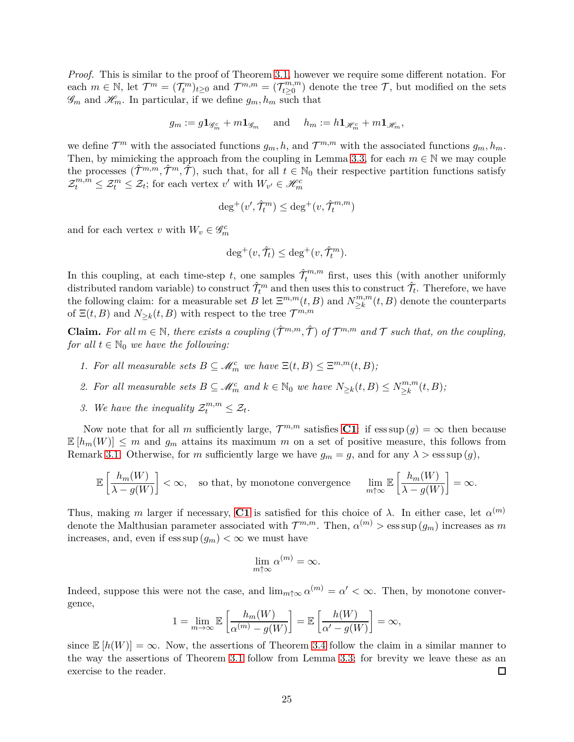*Proof.* This is similar to the proof of Theorem [3.1,](#page-18-1) however we require some different notation. For each  $m \in \mathbb{N}$ , let  $\mathcal{T}^m = (\mathcal{T}_t^m)_{t \geq 0}$  and  $\mathcal{T}^{m,m} = (\mathcal{T}_{t \geq 0}^{m,m})$  $t_{t\geq0}^{m,m}$  denote the tree  $\mathcal{T}$ , but modified on the sets  $\mathscr{G}_m$  and  $\mathscr{H}_m$ . In particular, if we define  $g_m, h_m$  such that

$$
g_m := g\mathbf{1}_{\mathscr{G}_m^c} + m\mathbf{1}_{\mathscr{G}_m} \quad \text{ and } \quad h_m := h\mathbf{1}_{\mathscr{H}_m^c} + m\mathbf{1}_{\mathscr{H}_m},
$$

we define  $\mathcal{T}^m$  with the associated functions  $g_m$ , h, and  $\mathcal{T}^{m,m}$  with the associated functions  $g_m$ ,  $h_m$ . Then, by mimicking the approach from the coupling in Lemma [3.3,](#page-20-1) for each  $m \in \mathbb{N}$  we may couple the processes  $(\hat{\mathcal{T}}^{m,m}, \hat{\mathcal{T}}^m, \hat{\mathcal{T}})$ , such that, for all  $t \in \mathbb{N}_0$  their respective partition functions satisfy  $\mathcal{Z}_t^{m,m} \leq \mathcal{Z}_t^m \leq \mathcal{Z}_t$ ; for each vertex  $v'$  with  $W_{v'} \in \mathcal{H}_m^c$ 

$$
\deg^+(v',\hat{\mathcal{T}}_t^m)\leq \deg^+(v,\hat{\mathcal{T}}_t^{m,m})
$$

and for each vertex *v* with  $W_v \in \mathscr{G}_m^c$ 

$$
\deg^+(v, \hat{\mathcal{T}}_t) \leq \deg^+(v, \hat{\mathcal{T}}_t^m).
$$

In this coupling, at each time-step *t*, one samples  $\hat{\mathcal{T}}_t^{m,m}$  first, uses this (with another uniformly distributed random variable) to construct  $\hat{\mathcal{T}}_t^m$  and then uses this to construct  $\hat{\mathcal{T}}_t$ . Therefore, we have the following claim: for a measurable set *B* let  $\Xi^{m,m}(t, B)$  and  $N_{\geq k}^{m,m}$  $\sum_{k=1}^{\infty} (t, B)$  denote the counterparts of  $\Xi(t, B)$  and  $N_{\geq k}(t, B)$  with respect to the tree  $\mathcal{T}^{m,m}$ 

**Claim.** For all  $m \in \mathbb{N}$ , there exists a coupling  $(\hat{\mathcal{T}}^{m,m}, \hat{\mathcal{T}})$  of  $\mathcal{T}^{m,m}$  and  $\mathcal{T}$  such that, on the coupling, *for all*  $t \in \mathbb{N}_0$  *we have the following:* 

- *1. For all measurable sets*  $B \subseteq \mathcal{M}_m^c$  *we have*  $\Xi(t, B) \leq \Xi^{m,m}(t, B)$ ;
- 2. For all measurable sets  $B \subseteq \mathcal{M}_m^c$  and  $k \in \mathbb{N}_0$  we have  $N_{\geq k}(t, B) \leq N_{\geq k}^{m,m}$  $\sum_{k=1}^{m,m}(t,B)$ ;
- 3. We have the inequality  $\mathcal{Z}_t^{m,m} \leq \mathcal{Z}_t$ .

Now note that for all *m* sufficiently large,  $\mathcal{T}^{m,m}$  satisfies **[C1](#page-5-4)**: if ess sup  $(g) = \infty$  then because  $\mathbb{E}[h_m(W)] \leq m$  and  $g_m$  attains its maximum m on a set of positive measure, this follows from Remark [3.1.](#page-17-1) Otherwise, for *m* sufficiently large we have  $g_m = g$ , and for any  $\lambda > \text{ess}\sup(g)$ ,

$$
\mathbb{E}\left[\frac{h_m(W)}{\lambda - g(W)}\right] < \infty, \quad \text{so that, by monotone convergence} \quad \lim_{m \uparrow \infty} \mathbb{E}\left[\frac{h_m(W)}{\lambda - g(W)}\right] = \infty.
$$

Thus, making *m* larger if necessary, **[C1](#page-5-4)** is satisfied for this choice of  $\lambda$ . In either case, let  $\alpha^{(m)}$ denote the Malthusian parameter associated with  $\mathcal{T}^{m,m}$ . Then,  $\alpha^{(m)}$  > ess sup  $(g_m)$  increases as  $m$ increases, and, even if  $\operatorname{ess \, sup}(g_m) < \infty$  we must have

$$
\lim_{m \uparrow \infty} \alpha^{(m)} = \infty.
$$

Indeed, suppose this were not the case, and  $\lim_{m \uparrow \infty} \alpha^{(m)} = \alpha' < \infty$ . Then, by monotone convergence,

$$
1 = \lim_{m \to \infty} \mathbb{E}\left[\frac{h_m(W)}{\alpha^{(m)} - g(W)}\right] = \mathbb{E}\left[\frac{h(W)}{\alpha' - g(W)}\right] = \infty,
$$

since  $\mathbb{E}[h(W)] = \infty$ . Now, the assertions of Theorem [3.4](#page-23-0) follow the claim in a similar manner to the way the assertions of Theorem [3.1](#page-18-1) follow from Lemma [3.3;](#page-20-1) for brevity we leave these as an exercise to the reader.  $\Box$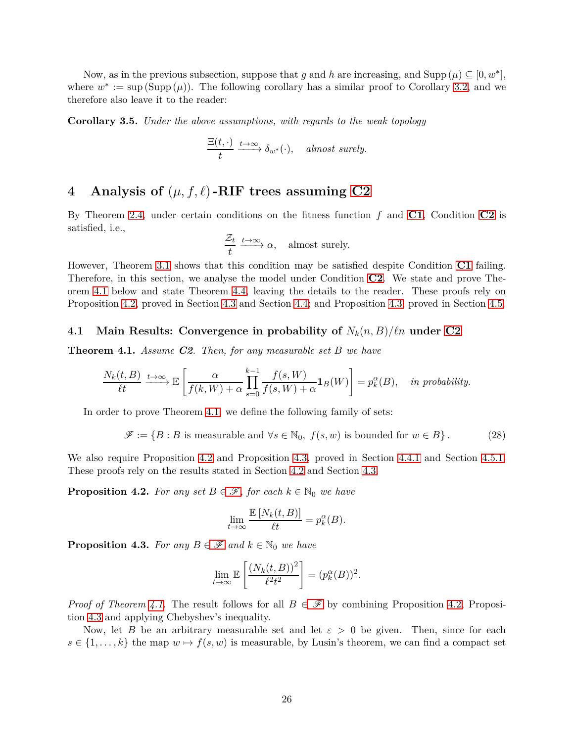Now, as in the previous subsection, suppose that *g* and *h* are increasing, and  $\text{Supp}(\mu) \subseteq [0, w^*]$ , where  $w^* := \sup(\text{Supp}(\mu))$ . The following corollary has a similar proof to Corollary [3.2,](#page-18-0) and we therefore also leave it to the reader:

**Corollary 3.5.** *Under the above assumptions, with regards to the weak topology*

$$
\frac{\Xi(t,\cdot)}{t} \xrightarrow{t \to \infty} \delta_{w^*}(\cdot), \quad almost \ surely.
$$

## <span id="page-25-0"></span>**4** Analysis of  $(\mu, f, \ell)$ -RIF trees assuming [C2](#page-6-0)

By Theorem [2.4,](#page-12-0) under certain conditions on the fitness function *f* and **[C1](#page-5-4)**, Condition **[C2](#page-6-0)** is satisfied, i.e.,

$$
\frac{\mathcal{Z}_t}{t} \xrightarrow{t \to \infty} \alpha
$$
, almost surely.

However, Theorem [3.1](#page-18-1) shows that this condition may be satisfied despite Condition **[C1](#page-5-4)** failing. Therefore, in this section, we analyse the model under Condition **[C2](#page-6-0)**. We state and prove Theorem [4.1](#page-25-1) below and state Theorem [4.4,](#page-26-0) leaving the details to the reader. These proofs rely on Proposition [4.2,](#page-25-2) proved in Section [4.3](#page-27-0) and Section [4.4;](#page-30-0) and Proposition [4.3,](#page-25-3) proved in Section [4.5.](#page-31-0)

### **4.1 Main Results: Convergence in probability of** *Nk*(*n, B*)*/ℓn* **under [C2](#page-6-0)**

<span id="page-25-1"></span>**Theorem 4.1.** *Assume C2. Then, for any measurable set B we have*

$$
\frac{N_k(t,B)}{\ell t} \xrightarrow{t \to \infty} \mathbb{E}\left[\frac{\alpha}{f(k,W) + \alpha} \prod_{s=0}^{k-1} \frac{f(s,W)}{f(s,W) + \alpha} \mathbf{1}_B(W)\right] = p_k^{\alpha}(B), \text{ in probability.}
$$

In order to prove Theorem [4.1,](#page-25-1) we define the following family of sets:

$$
\mathscr{F} := \{ B : B \text{ is measurable and } \forall s \in \mathbb{N}_0, f(s, w) \text{ is bounded for } w \in B \}. \tag{28}
$$

We also require Proposition [4.2](#page-25-2) and Proposition [4.3,](#page-25-3) proved in Section [4.4.1](#page-30-1) and Section [4.5.1.](#page-32-0) These proofs rely on the results stated in Section [4.2](#page-26-1) and Section [4.3.](#page-27-0)

<span id="page-25-2"></span>**Proposition 4.2.** *[F](#page-25-4)or any set*  $B \in \mathcal{F}$ *, for each*  $k \in \mathbb{N}_0$  *we have* 

<span id="page-25-5"></span><span id="page-25-4"></span>
$$
\lim_{t \to \infty} \frac{\mathbb{E}\left[N_k(t, B)\right]}{\ell t} = p_k^{\alpha}(B).
$$

<span id="page-25-3"></span>**Proposition 4.3.** *[F](#page-25-4)or any*  $B \in \mathcal{F}$  *and*  $k \in \mathbb{N}_0$  *we have* 

$$
\lim_{t \to \infty} \mathbb{E}\left[\frac{(N_k(t,B))^2}{\ell^2 t^2}\right] = (p_k^{\alpha}(B))^2.
$$

*Proof of Theorem [4.1.](#page-25-1)* The result follows for all  $B \in \mathscr{F}$  $B \in \mathscr{F}$  $B \in \mathscr{F}$  by combining Proposition [4.2,](#page-25-2) Proposition [4.3](#page-25-3) and applying Chebyshev's inequality.

Now, let *B* be an arbitrary measurable set and let  $\varepsilon > 0$  be given. Then, since for each  $s \in \{1, \ldots, k\}$  the map  $w \mapsto f(s, w)$  is measurable, by Lusin's theorem, we can find a compact set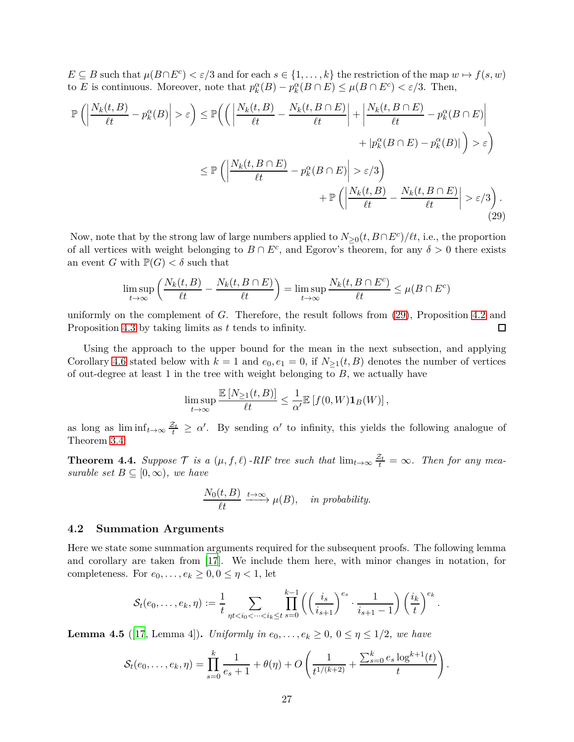$E \subseteq B$  such that  $\mu(B \cap E^c) < \varepsilon/3$  and for each  $s \in \{1, \ldots, k\}$  the restriction of the map  $w \mapsto f(s, w)$ to *E* is continuous. Moreover, note that  $p_k^{\alpha}(B) - p_k^{\alpha}(B \cap E) \le \mu(B \cap E^c) < \varepsilon/3$ . Then,

$$
\mathbb{P}\left(\left|\frac{N_k(t,B)}{\ell t} - p_k^{\alpha}(B)\right| > \varepsilon\right) \le \mathbb{P}\left(\left(\left|\frac{N_k(t,B) - N_k(t,B\cap E)}{\ell t}\right| + \left|\frac{N_k(t,B\cap E)}{\ell t} - p_k^{\alpha}(B\cap E)\right| + |p_k^{\alpha}(B\cap E) - p_k^{\alpha}(B)|\right) > \varepsilon\right)
$$
  

$$
\le \mathbb{P}\left(\left|\frac{N_k(t,B\cap E)}{\ell t} - p_k^{\alpha}(B\cap E)\right| > \varepsilon/3\right)
$$
  

$$
+ \mathbb{P}\left(\left|\frac{N_k(t,B)}{\ell t} - \frac{N_k(t,B\cap E)}{\ell t}\right| > \varepsilon/3\right).
$$
\n(29)

Now, note that by the strong law of large numbers applied to  $N_{\geq 0}(t, B \cap E^c)/\ell t$ , i.e., the proportion of all vertices with weight belonging to  $B \cap E^c$ , and Egorov's theorem, for any  $\delta > 0$  there exists an event *G* with  $\mathbb{P}(G) < \delta$  such that

$$
\limsup_{t \to \infty} \left( \frac{N_k(t, B)}{\ell t} - \frac{N_k(t, B \cap E)}{\ell t} \right) = \limsup_{t \to \infty} \frac{N_k(t, B \cap E^c)}{\ell t} \le \mu(B \cap E^c)
$$

uniformly on the complement of *G*. Therefore, the result follows from [\(29\)](#page-26-2), Proposition [4.2](#page-25-2) and Proposition [4.3](#page-25-3) by taking limits as *t* tends to infinity. □

Using the approach to the upper bound for the mean in the next subsection, and applying Corollary [4.6](#page-27-1) stated below with  $k = 1$  and  $e_0, e_1 = 0$ , if  $N_{>1}(t, B)$  denotes the number of vertices of out-degree at least 1 in the tree with weight belonging to *B*, we actually have

<span id="page-26-2"></span>
$$
\limsup_{t \to \infty} \frac{\mathbb{E}\left[N_{\geq 1}(t,B)\right]}{\ell t} \leq \frac{1}{\alpha'} \mathbb{E}\left[f(0,W)\mathbf{1}_B(W)\right],
$$

as long as  $\liminf_{t\to\infty}\frac{\mathcal{Z}_t}{t} \geq \alpha'$ . By sending  $\alpha'$  to infinity, this yields the following analogue of Theorem [3.4:](#page-23-0)

<span id="page-26-0"></span>**Theorem 4.4.** Suppose  $\mathcal{T}$  is a  $(\mu, f, \ell)$  -RIF tree such that  $\lim_{t\to\infty} \frac{\mathcal{Z}_t}{t} = \infty$ . Then for any mea*surable set*  $B \subseteq [0, \infty)$ *, we have* 

$$
\frac{N_0(t, B)}{\ell t} \xrightarrow{t \to \infty} \mu(B), \quad \text{in probability.}
$$

#### <span id="page-26-1"></span>**4.2 Summation Arguments**

Here we state some summation arguments required for the subsequent proofs. The following lemma and corollary are taken from [\[17](#page-34-14)]. We include them here, with minor changes in notation, for completeness. For  $e_0, \ldots, e_k \geq 0, 0 \leq \eta < 1$ , let

$$
\mathcal{S}_t(e_0,\ldots,e_k,\eta) := \frac{1}{t} \sum_{\eta t < i_0 < \cdots < i_k \le t} \prod_{s=0}^{k-1} \left( \left( \frac{i_s}{i_{s+1}} \right)^{e_s} \cdot \frac{1}{i_{s+1} - 1} \right) \left( \frac{i_k}{t} \right)^{e_k}.
$$

**Lemma 4.5** ([\[17](#page-34-14), Lemma 4]). *Uniformly in*  $e_0, \ldots, e_k \geq 0$ ,  $0 \leq \eta \leq 1/2$ , we have

$$
\mathcal{S}_t(e_0,\ldots,e_k,\eta) = \prod_{s=0}^k \frac{1}{e_s+1} + \theta(\eta) + O\left(\frac{1}{t^{1/(k+2)}} + \frac{\sum_{s=0}^k e_s \log^{k+1}(t)}{t}\right).
$$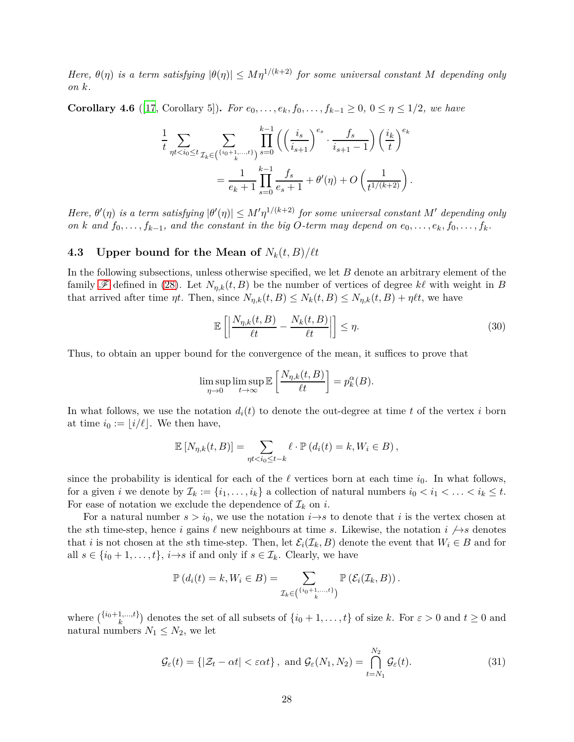*Here,*  $\theta(\eta)$  *is a term satisfying*  $|\theta(\eta)| \leq M\eta^{1/(k+2)}$  *for some universal constant M depending only on k.*

<span id="page-27-1"></span>**Corollary 4.6** ([\[17](#page-34-14), Corollary 5]). *For*  $e_0, \ldots, e_k, f_0, \ldots, f_{k-1} \geq 0, 0 \leq \eta \leq 1/2$ , we have

$$
\frac{1}{t} \sum_{\eta t < i_0 \le t} \sum_{\mathcal{I}_k \in \binom{\{i_0 + 1, \dots, t\}}{k}} \prod_{s = 0}^{k - 1} \left( \left( \frac{i_s}{i_{s + 1}} \right)^{e_s} \cdot \frac{f_s}{i_{s + 1} - 1} \right) \left( \frac{i_k}{t} \right)^{e_k} \\
= \frac{1}{e_k + 1} \prod_{s = 0}^{k - 1} \frac{f_s}{e_s + 1} + \theta'(\eta) + O\left( \frac{1}{t^{1/(k + 2)}} \right).
$$

*Here,*  $\theta'(\eta)$  *is a term satisfying*  $|\theta'(\eta)| \leq M' \eta^{1/(k+2)}$  *for some universal constant*  $M'$  *depending only on k* and  $f_0$ , . . . ,  $f_{k-1}$ , and the constant in the big O-term may depend on  $e_0$ , . . . ,  $e_k$ ,  $f_0$ , . . . ,  $f_k$ .

## <span id="page-27-0"></span>**4.3** Upper bound for the Mean of  $N_k(t, B)/\ell t$

In the following subsections, unless otherwise specified, we let *B* denote an arbitrary element of the family  $\mathscr F$  $\mathscr F$  defined in [\(28\)](#page-25-5). Let  $N_{n,k}(t, B)$  be the number of vertices of degree  $k\ell$  with weight in *B* that arrived after time  $\eta t$ . Then, since  $N_{\eta,k}(t, B) \leq N_k(t, B) \leq N_{\eta,k}(t, B) + \eta \ell t$ , we have

<span id="page-27-2"></span>
$$
\mathbb{E}\left[\left|\frac{N_{\eta,k}(t,B)}{\ell t}-\frac{N_k(t,B)}{\ell t}\right|\right]\leq \eta.
$$
\n(30)

Thus, to obtain an upper bound for the convergence of the mean, it suffices to prove that

$$
\limsup_{\eta \to 0} \limsup_{t \to \infty} \mathbb{E}\left[\frac{N_{\eta,k}(t,B)}{\ell t}\right] = p_k^{\alpha}(B).
$$

In what follows, we use the notation  $d_i(t)$  to denote the out-degree at time t of the vertex i born at time  $i_0 := |i/\ell|$ . We then have,

$$
\mathbb{E}\left[N_{\eta,k}(t,B)\right] = \sum_{\eta t < i_0 \leq t-k} \ell \cdot \mathbb{P}\left(d_i(t) = k, W_i \in B\right),
$$

since the probability is identical for each of the  $\ell$  vertices born at each time  $i_0$ . In what follows, for a given *i* we denote by  $\mathcal{I}_k := \{i_1, \ldots, i_k\}$  a collection of natural numbers  $i_0 < i_1 < \ldots < i_k \leq t$ . For ease of notation we exclude the dependence of  $\mathcal{I}_k$  on *i*.

For a natural number  $s > i_0$ , we use the notation  $i \rightarrow s$  to denote that *i* is the vertex chosen at the *s*th time-step, hence *i* gains  $\ell$  new neighbours at time *s*. Likewise, the notation  $i \nrightarrow s$  denotes that *i* is not chosen at the *s*th time-step. Then, let  $\mathcal{E}_i(\mathcal{I}_k, B)$  denote the event that  $W_i \in B$  and for all  $s \in \{i_0 + 1, \ldots, t\}, i \rightarrow s$  if and only if  $s \in \mathcal{I}_k$ . Clearly, we have

<span id="page-27-3"></span>
$$
\mathbb{P}\left(d_i(t) = k, W_i \in B\right) = \sum_{\mathcal{I}_k \in \binom{\{i_0 + 1, \dots, t\}}{k}} \mathbb{P}\left(\mathcal{E}_i(\mathcal{I}_k, B)\right).
$$

where  $\binom{\{i_0+1,\ldots,t\}}{k}$  denotes the set of all subsets of  $\{i_0+1,\ldots,t\}$  of size *k*. For  $\varepsilon > 0$  and  $t \ge 0$  and natural numbers  $N_1 \leq N_2$ , we let

$$
\mathcal{G}_{\varepsilon}(t) = \{ |\mathcal{Z}_t - \alpha t| < \varepsilon \alpha t \}, \text{ and } \mathcal{G}_{\varepsilon}(N_1, N_2) = \bigcap_{t=N_1}^{N_2} \mathcal{G}_{\varepsilon}(t). \tag{31}
$$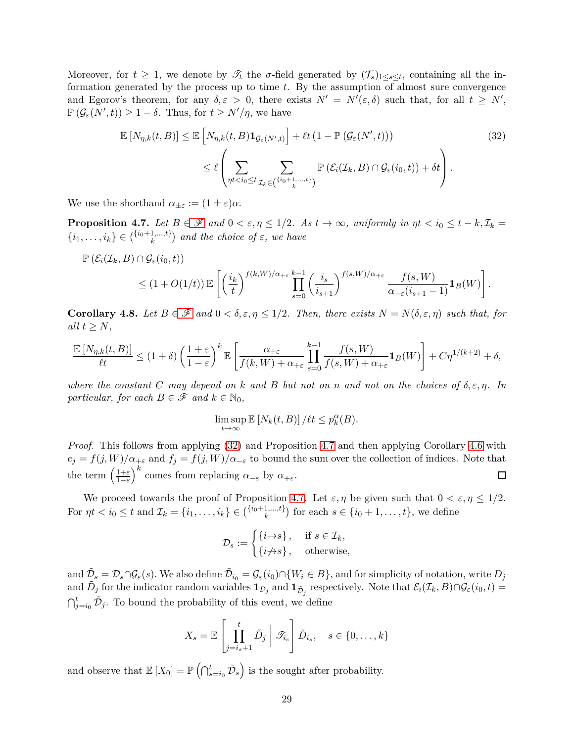Moreover, for  $t \geq 1$ , we denote by  $\mathscr{T}_t$  the  $\sigma$ -field generated by  $(\mathscr{T}_s)_{1 \leq s \leq t}$ , containing all the information generated by the process up to time *t*. By the assumption of almost sure convergence and Egorov's theorem, for any  $\delta, \varepsilon > 0$ , there exists  $N' = N'(\varepsilon, \delta)$  such that, for all  $t \geq N'$ ,  $\mathbb{P}(\mathcal{G}_{\varepsilon}(N',t)) \geq 1 - \delta$ . Thus, for  $t \geq N'/\eta$ , we have

<span id="page-28-0"></span>
$$
\mathbb{E}\left[N_{\eta,k}(t,B)\right] \leq \mathbb{E}\left[N_{\eta,k}(t,B)\mathbf{1}_{\mathcal{G}_{\varepsilon}(N',t)}\right] + \ell t\left(1 - \mathbb{P}\left(\mathcal{G}_{\varepsilon}(N',t)\right)\right) \tag{32}
$$
\n
$$
\leq \ell \left(\sum_{\eta t < i_0 \leq t} \sum_{\mathcal{I}_k \in \binom{\{i_0+1,\dots,t\}}{k}} \mathbb{P}\left(\mathcal{E}_i(\mathcal{I}_k,B) \cap \mathcal{G}_{\varepsilon}(i_0,t)\right) + \delta t\right). \tag{32}
$$

We use the shorthand  $\alpha_{\pm \varepsilon} := (1 \pm \varepsilon) \alpha$ .

<span id="page-28-1"></span>**Proposition 4.7.** *Let*  $B \in \mathcal{F}$  $B \in \mathcal{F}$  $B \in \mathcal{F}$  *and*  $0 < \varepsilon, \eta \leq 1/2$ *. As*  $t \to \infty$ *, uniformly in*  $\eta t < i_0 \leq t - k$ ,  $\mathcal{I}_k =$  $\{i_1, \ldots, i_k\} \in {i_0+1,\ldots,t}$  $\binom{n}{k}$  and the choice of  $\varepsilon$ , we have

$$
\mathbb{P}\left(\mathcal{E}_{i}(\mathcal{I}_{k},B)\cap\mathcal{G}_{\varepsilon}(i_{0},t)\right) \leq (1+O(1/t))\mathbb{E}\left[\left(\frac{i_{k}}{t}\right)^{f(k,W)/\alpha_{+\varepsilon}}\prod_{s=0}^{k-1}\left(\frac{i_{s}}{i_{s+1}}\right)^{f(s,W)/\alpha_{+\varepsilon}}\frac{f(s,W)}{\alpha_{-\varepsilon}(i_{s+1}-1)}\mathbf{1}_{B}(W)\right].
$$

<span id="page-28-2"></span>**Corollary 4.8.** Let  $B \in \mathcal{F}$  $B \in \mathcal{F}$  $B \in \mathcal{F}$  and  $0 < \delta, \epsilon, \eta \leq 1/2$ . Then, there exists  $N = N(\delta, \epsilon, \eta)$  such that, for *all*  $t \geq N$ *,* 

$$
\frac{\mathbb{E}\left[N_{\eta,k}(t,B)\right]}{\ell t} \leq (1+\delta)\left(\frac{1+\varepsilon}{1-\varepsilon}\right)^k\mathbb{E}\left[\frac{\alpha_{+\varepsilon}}{f(k,W)+\alpha_{+\varepsilon}}\prod_{s=0}^{k-1}\frac{f(s,W)}{f(s,W)+\alpha_{+\varepsilon}}\mathbf{1}_B(W)\right] + C\eta^{1/(k+2)} + \delta,
$$

*where the constant*  $C$  *may depend on*  $k$  *and*  $B$  *but not on*  $n$  *and not on the choices of*  $\delta, \epsilon, \eta$ *. In particular, for each*  $B \in \mathscr{F}$  *and*  $k \in \mathbb{N}_0$ *,* 

$$
\limsup_{t \to \infty} \mathbb{E}\left[N_k(t, B)\right] / \ell t \le p_k^{\alpha}(B).
$$

*Proof.* This follows from applying [\(32\)](#page-28-0) and Proposition [4.7](#page-28-1) and then applying Corollary [4.6](#page-27-1) with  $e_j = f(j, W)/\alpha_{+\varepsilon}$  and  $f_j = f(j, W)/\alpha_{-\varepsilon}$  to bound the sum over the collection of indices. Note that the term  $\left(\frac{1+\varepsilon}{1-\varepsilon}\right)^k$  comes from replacing  $\alpha_{-\varepsilon}$  by  $\alpha_{+\varepsilon}$ .  $\Box$ 

We proceed towards the proof of Proposition [4.7.](#page-28-1) Let  $\varepsilon, \eta$  be given such that  $0 < \varepsilon, \eta \leq 1/2$ . For  $\eta t < i_0 \leq t$  and  $\mathcal{I}_k = \{i_1, \ldots, i_k\} \in {i_0 + 1, \ldots, t}$  for each  $s \in \{i_0 + 1, \ldots, t\}$ , we define

$$
\mathcal{D}_s := \begin{cases} \{i \to s\}, & \text{if } s \in \mathcal{I}_k, \\ \{i \neq s\}, & \text{otherwise,} \end{cases}
$$

 $\tilde{\mathcal{D}}_s = \mathcal{D}_s \cap \mathcal{G}_{\varepsilon}(s)$ . We also define  $\tilde{\mathcal{D}}_{i_0} = \mathcal{G}_{\varepsilon}(i_0) \cap \{W_i \in B\}$ , and for simplicity of notation, write  $D_j$  $\tilde{D}_j$  for the indicator random variables  $\mathbf{1}_{\mathcal{D}_j}$  and  $\mathbf{1}_{\tilde{\mathcal{D}}_j}$  respectively. Note that  $\mathcal{E}_i(\mathcal{I}_k, B) \cap \mathcal{G}_\varepsilon(i_0, t) =$  $\bigcap_{j=i_0}^t \tilde{D}_j$ . To bound the probability of this event, we define

$$
X_s = \mathbb{E}\left[\prod_{j=i_s+1}^t \tilde{D}_j \middle| \mathcal{T}_{i_s}\right] \tilde{D}_{i_s}, \quad s \in \{0, \dots, k\}
$$

and observe that  $\mathbb{E}[X_0] = \mathbb{P}(\bigcap_{s=i_0}^t \tilde{\mathcal{D}}_s)$  is the sought after probability.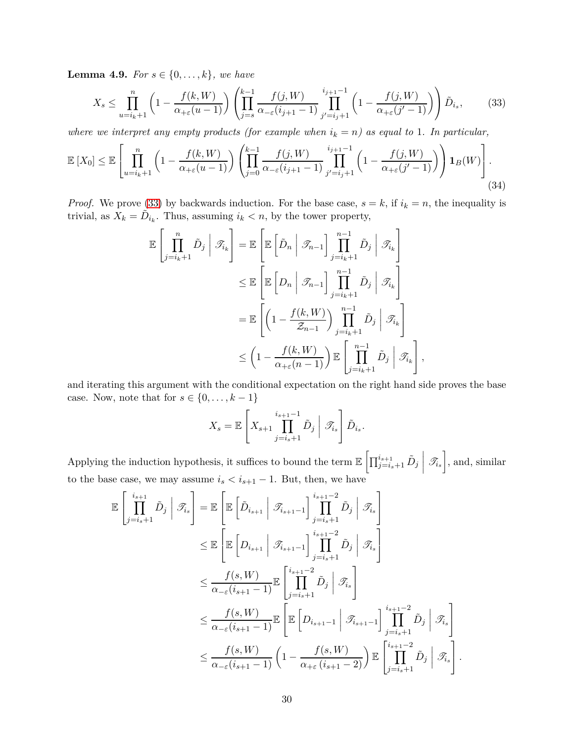<span id="page-29-2"></span>**Lemma 4.9.** *For*  $s \in \{0, ..., k\}$ *, we have* 

$$
X_s \le \prod_{u=i_k+1}^n \left(1 - \frac{f(k,W)}{\alpha_{+\varepsilon}(u-1)}\right) \left(\prod_{j=s}^{k-1} \frac{f(j,W)}{\alpha_{-\varepsilon}(i_{j+1}-1)} \prod_{j'=i_j+1}^{i_{j+1}-1} \left(1 - \frac{f(j,W)}{\alpha_{+\varepsilon}(j'-1)}\right)\right) \tilde{D}_{i_s},\tag{33}
$$

*where we interpret any empty products (for example when*  $i_k = n$ ) as equal to 1. In particular,

$$
\mathbb{E}\left[X_0\right] \leq \mathbb{E}\left[\prod_{u=i_k+1}^n \left(1 - \frac{f(k,W)}{\alpha_{+\varepsilon}(u-1)}\right) \left(\prod_{j=0}^{k-1} \frac{f(j,W)}{\alpha_{-\varepsilon}(i_{j+1}-1)} \prod_{j'=i_j+1}^{i_{j+1}-1} \left(1 - \frac{f(j,W)}{\alpha_{+\varepsilon}(j'-1)}\right)\right) \mathbf{1}_B(W)\right].
$$
\n(34)

*Proof.* We prove [\(33\)](#page-29-0) by backwards induction. For the base case,  $s = k$ , if  $i_k = n$ , the inequality is trivial, as  $X_k = \tilde{D}_{i_k}$ . Thus, assuming  $i_k < n$ , by the tower property,

$$
\mathbb{E}\left[\prod_{j=i_k+1}^{n} \tilde{D}_j \middle| \mathcal{F}_{i_k}\right] = \mathbb{E}\left[\mathbb{E}\left[\tilde{D}_n \middle| \mathcal{F}_{n-1}\right] \prod_{j=i_k+1}^{n-1} \tilde{D}_j \middle| \mathcal{F}_{i_k}\right]
$$
  
\n
$$
\leq \mathbb{E}\left[\mathbb{E}\left[D_n \middle| \mathcal{F}_{n-1}\right] \prod_{j=i_k+1}^{n-1} \tilde{D}_j \middle| \mathcal{F}_{i_k}\right]
$$
  
\n
$$
= \mathbb{E}\left[\left(1 - \frac{f(k,W)}{\mathcal{Z}_{n-1}}\right) \prod_{j=i_k+1}^{n-1} \tilde{D}_j \middle| \mathcal{F}_{i_k}\right]
$$
  
\n
$$
\leq \left(1 - \frac{f(k,W)}{\alpha_{+\varepsilon}(n-1)}\right) \mathbb{E}\left[\prod_{j=i_k+1}^{n-1} \tilde{D}_j \middle| \mathcal{F}_{i_k}\right]
$$

and iterating this argument with the conditional expectation on the right hand side proves the base case. Now, note that for  $s \in \{0, \ldots, k-1\}$ 

<span id="page-29-1"></span><span id="page-29-0"></span>*,*

$$
X_s = \mathbb{E}\left[X_{s+1} \prod_{j=i_s+1}^{i_{s+1}-1} \tilde{D}_j \mid \mathscr{T}_{i_s}\right] \tilde{D}_{i_s}.
$$

Applying the induction hypothesis, it suffices to bound the term  $\mathbb{E}\left[\prod_{j=i_s+1}^{i_{s+1}}\tilde{D}_j\right]$  $\begin{array}{c} \begin{array}{c} \begin{array}{c} \end{array}\\ \begin{array}{c} \end{array} \end{array} \end{array}$  $\mathscr{T}_{i_s}$ , and, similar to the base case, we may assume  $i_s < i_{s+1} - 1$ . But, then, we have

$$
\mathbb{E}\left[\prod_{j=i_s+1}^{i_{s+1}} \tilde{D}_j \middle| \mathcal{T}_{i_s}\right] = \mathbb{E}\left[\mathbb{E}\left[\tilde{D}_{i_{s+1}} \middle| \mathcal{T}_{i_{s+1}-1}\right] \prod_{j=i_s+1}^{i_{s+1}-2} \tilde{D}_j \middle| \mathcal{T}_{i_s}\right]
$$
\n
$$
\leq \mathbb{E}\left[\mathbb{E}\left[D_{i_{s+1}} \middle| \mathcal{T}_{i_{s+1}-1}\right] \prod_{j=i_s+1}^{i_{s+1}-2} \tilde{D}_j \middle| \mathcal{T}_{i_s}\right]
$$
\n
$$
\leq \frac{f(s, W)}{\alpha_{-\varepsilon}(i_{s+1}-1)} \mathbb{E}\left[\prod_{j=i_s+1}^{i_{s+1}-2} \tilde{D}_j \middle| \mathcal{T}_{i_s}\right]
$$
\n
$$
\leq \frac{f(s, W)}{\alpha_{-\varepsilon}(i_{s+1}-1)} \mathbb{E}\left[\mathbb{E}\left[D_{i_{s+1}-1} \middle| \mathcal{T}_{i_{s+1}-1}\right] \prod_{j=i_s+1}^{i_{s+1}-2} \tilde{D}_j \middle| \mathcal{T}_{i_s}\right]
$$
\n
$$
\leq \frac{f(s, W)}{\alpha_{-\varepsilon}(i_{s+1}-1)} \left(1 - \frac{f(s, W)}{\alpha_{+\varepsilon}(i_{s+1}-2)}\right) \mathbb{E}\left[\prod_{j=i_s+1}^{i_{s+1}-2} \tilde{D}_j \middle| \mathcal{T}_{i_s}\right].
$$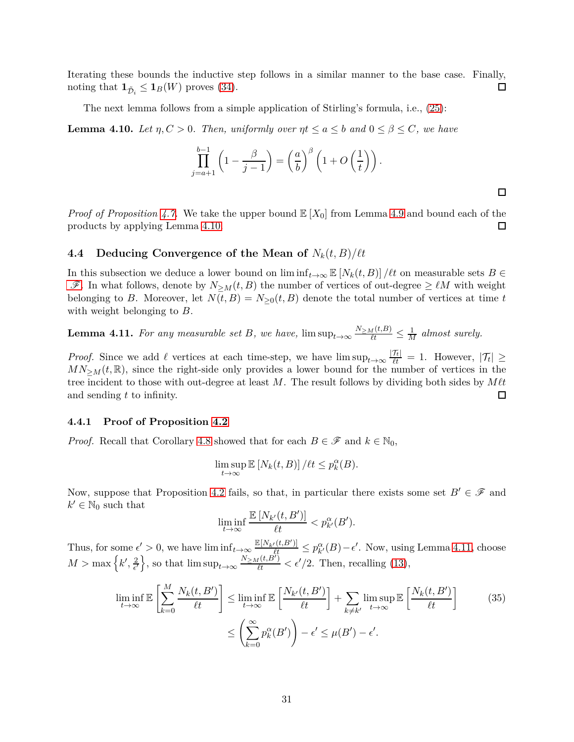Iterating these bounds the inductive step follows in a similar manner to the base case. Finally, noting that  $\mathbf{1}_{\tilde{D}_i} \leq \mathbf{1}_B(W)$  proves [\(34\)](#page-29-1).  $\Box$ 

The next lemma follows from a simple application of Stirling's formula, i.e., [\(25\)](#page-17-2):

<span id="page-30-2"></span>**Lemma 4.10.** Let  $\eta, C > 0$ . Then, uniformly over  $\eta t \le a \le b$  and  $0 \le \beta \le C$ , we have

$$
\prod_{j=a+1}^{b-1} \left(1 - \frac{\beta}{j-1}\right) = \left(\frac{a}{b}\right)^{\beta} \left(1 + O\left(\frac{1}{t}\right)\right).
$$

*Proof of Proposition [4.7.](#page-28-1)* We take the upper bound  $\mathbb{E}[X_0]$  from Lemma [4.9](#page-29-2) and bound each of the products by applying Lemma [4.10.](#page-30-2) 口

 $\Box$ 

## <span id="page-30-0"></span>**4.4** Deducing Convergence of the Mean of  $N_k(t, B)/\ell t$

In this subsection we deduce a lower bound on  $\liminf_{t\to\infty}$   $\mathbb{E}[N_k(t, B)] / \ell t$  on measurable sets  $B \in$  $\mathscr{F}$  $\mathscr{F}$  $\mathscr{F}$ . In what follows, denote by  $N_{\geq M}(t, B)$  the number of vertices of out-degree  $\geq \ell M$  with weight belonging to *B*. Moreover, let  $N(t, B) = N_{\geq 0}(t, B)$  denote the total number of vertices at time *t* with weight belonging to *B*.

<span id="page-30-3"></span>**Lemma 4.11.** For any measurable set B, we have,  $\limsup_{t\to\infty} \frac{N_{\geq M}(t,B)}{t} \leq \frac{1}{M}$  almost surely.

*Proof.* Since we add  $\ell$  vertices at each time-step, we have  $\limsup_{t\to\infty} \frac{|\mathcal{T}_t|}{\ell t} = 1$ . However,  $|\mathcal{T}_t| \ge$  $MN_{>M}(t,\mathbb{R})$ , since the right-side only provides a lower bound for the number of vertices in the tree incident to those with out-degree at least *M*. The result follows by dividing both sides by  $M\ell t$ and sending *t* to infinity.  $\Box$ 

## <span id="page-30-1"></span>**4.4.1 Proof of Proposition [4.2](#page-25-2)**

*Proof.* Recall that Corollary [4.8](#page-28-2) showed that for each  $B \in \mathcal{F}$  and  $k \in \mathbb{N}_0$ ,

$$
\limsup_{t\to\infty} \mathbb{E}\left[N_k(t,B)\right]/\ell t \leq p_k^{\alpha}(B).
$$

Now, suppose that Proposition [4.2](#page-25-2) fails, so that, in particular there exists some set  $B' \in \mathcal{F}$  and  $k' \in \mathbb{N}_0$  such that

<span id="page-30-4"></span>
$$
\liminf_{t \to \infty} \frac{\mathbb{E}\left[N_{k'}(t, B')\right]}{\ell t} < p_{k'}^{\alpha}(B').
$$

Thus, for some  $\epsilon' > 0$ , we have  $\liminf_{t \to \infty} \frac{\mathbb{E}[N_{k'}(t,B')]}{\ell t} \leq p_{k'}^{\alpha}(B) - \epsilon'$ . Now, using Lemma [4.11,](#page-30-3) choose  $M > \max\left\{k', \frac{2}{\epsilon'}\right\}$  $\frac{2}{\epsilon'}\}$ , so that  $\limsup_{t\to\infty} \frac{N_{\geq M}(t,B^{\prime})}{\ell t} < \epsilon'/2$ . Then, recalling [\(13\)](#page-9-1),

$$
\liminf_{t \to \infty} \mathbb{E} \left[ \sum_{k=0}^{M} \frac{N_k(t, B')}{\ell t} \right] \le \liminf_{t \to \infty} \mathbb{E} \left[ \frac{N_{k'}(t, B')}{\ell t} \right] + \sum_{k \neq k'} \limsup_{t \to \infty} \mathbb{E} \left[ \frac{N_k(t, B')}{\ell t} \right] \tag{35}
$$
\n
$$
\le \left( \sum_{k=0}^{\infty} p_k^{\alpha}(B') \right) - \epsilon' \le \mu(B') - \epsilon'.
$$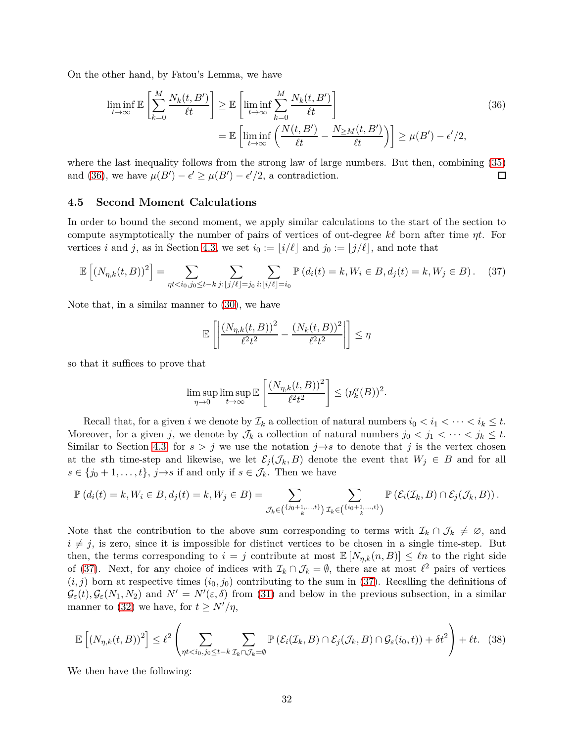On the other hand, by Fatou's Lemma, we have

$$
\liminf_{t \to \infty} \mathbb{E} \left[ \sum_{k=0}^{M} \frac{N_k(t, B')}{\ell t} \right] \ge \mathbb{E} \left[ \liminf_{t \to \infty} \sum_{k=0}^{M} \frac{N_k(t, B')}{\ell t} \right]
$$
\n
$$
= \mathbb{E} \left[ \liminf_{t \to \infty} \left( \frac{N(t, B')}{\ell t} - \frac{N_{\geq M}(t, B')}{\ell t} \right) \right] \ge \mu(B') - \epsilon'/2,
$$
\n(36)

where the last inequality follows from the strong law of large numbers. But then, combining [\(35\)](#page-30-4) and [\(36\)](#page-31-1), we have  $\mu(B') - \epsilon' \ge \mu(B') - \epsilon'/2$ , a contradiction.  $\Box$ 

#### <span id="page-31-0"></span>**4.5 Second Moment Calculations**

In order to bound the second moment, we apply similar calculations to the start of the section to compute asymptotically the number of pairs of vertices of out-degree *kℓ* born after time *ηt*. For vertices *i* and *j*, as in Section [4.3,](#page-27-0) we set  $i_0 := |i/\ell|$  and  $j_0 := |j/\ell|$ , and note that

$$
\mathbb{E}\left[ (N_{\eta,k}(t,B))^2 \right] = \sum_{\eta t < i_0, j_0 \leq t-k} \sum_{j:\lfloor j/\ell \rfloor = j_0} \sum_{i:\lfloor i/\ell \rfloor = i_0} \mathbb{P}\left( d_i(t) = k, W_i \in B, d_j(t) = k, W_j \in B \right). \tag{37}
$$

Note that, in a similar manner to [\(30\)](#page-27-2), we have

<span id="page-31-2"></span><span id="page-31-1"></span>
$$
\mathbb{E}\left[\left|\frac{(N_{\eta,k}(t,B))^2}{\ell^2 t^2} - \frac{(N_k(t,B))^2}{\ell^2 t^2}\right|\right] \leq \eta
$$

so that it suffices to prove that

<span id="page-31-3"></span>
$$
\limsup_{\eta \to 0} \limsup_{t \to \infty} \mathbb{E}\left[\frac{\left(N_{\eta,k}(t,B)\right)^2}{\ell^2 t^2}\right] \le (p_k^{\alpha}(B))^2.
$$

Recall that, for a given *i* we denote by  $\mathcal{I}_k$  a collection of natural numbers  $i_0 < i_1 < \cdots < i_k \leq t$ . Moreover, for a given *j*, we denote by  $\mathcal{J}_k$  a collection of natural numbers  $j_0 < j_1 < \cdots < j_k \leq t$ . Similar to Section [4.3,](#page-27-0) for  $s > j$  we use the notation  $j \rightarrow s$  to denote that *j* is the vertex chosen at the *s*th time-step and likewise, we let  $\mathcal{E}_j(\mathcal{J}_k, B)$  denote the event that  $W_j \in B$  and for all  $s \in \{j_0 + 1, \ldots, t\}, j \rightarrow s$  if and only if  $s \in \mathcal{J}_k$ . Then we have

$$
\mathbb{P}\left(d_i(t) = k, W_i \in B, d_j(t) = k, W_j \in B\right) = \sum_{\mathcal{J}_k \in \binom{\{i_0+1,\ldots,t\}}{k}} \sum_{\mathcal{I}_k \in \binom{\{i_0+1,\ldots,t\}}{k}} \mathbb{P}\left(\mathcal{E}_i(\mathcal{I}_k, B) \cap \mathcal{E}_j(\mathcal{J}_k, B)\right).
$$

Note that the contribution to the above sum corresponding to terms with  $\mathcal{I}_k \cap \mathcal{J}_k \neq \emptyset$ , and  $i \neq j$ , is zero, since it is impossible for distinct vertices to be chosen in a single time-step. But then, the terms corresponding to  $i = j$  contribute at most  $\mathbb{E}[N_{\eta,k}(n, B)] \leq \ell n$  to the right side of [\(37\)](#page-31-2). Next, for any choice of indices with  $\mathcal{I}_k \cap \mathcal{J}_k = \emptyset$ , there are at most  $\ell^2$  pairs of vertices  $(i, j)$  born at respective times  $(i_0, j_0)$  contributing to the sum in [\(37\)](#page-31-2). Recalling the definitions of  $\mathcal{G}_{\varepsilon}(t), \mathcal{G}_{\varepsilon}(N_1, N_2)$  and  $N' = N'(\varepsilon, \delta)$  from [\(31\)](#page-27-3) and below in the previous subsection, in a similar manner to [\(32\)](#page-28-0) we have, for  $t \geq N'/\eta$ ,

$$
\mathbb{E}\left[\left(N_{\eta,k}(t,B)\right)^{2}\right] \leq \ell^{2}\left(\sum_{\eta t < i_{0}, j_{0} \leq t-k}\sum_{\mathcal{I}_{k} \cap \mathcal{J}_{k} = \emptyset} \mathbb{P}\left(\mathcal{E}_{i}(\mathcal{I}_{k}, B) \cap \mathcal{E}_{j}(\mathcal{J}_{k}, B) \cap \mathcal{G}_{\varepsilon}(i_{0}, t)\right) + \delta t^{2}\right) + \ell t. \quad (38)
$$

We then have the following: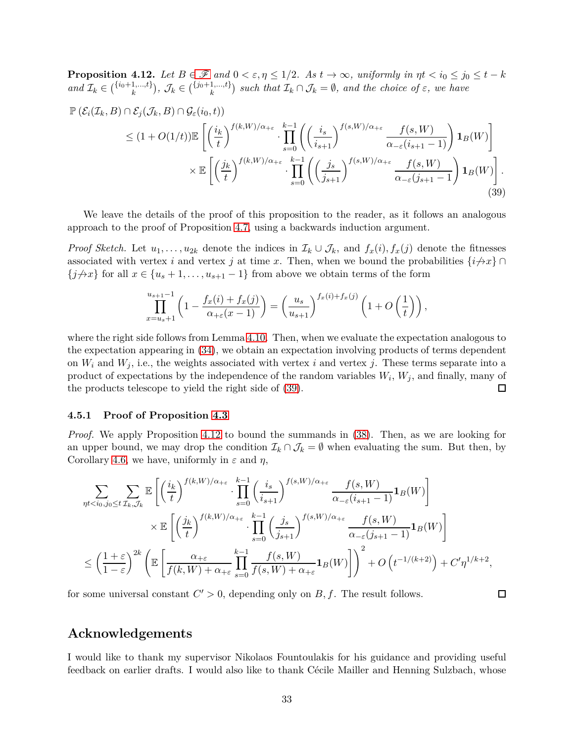<span id="page-32-2"></span>**Proposition 4.12.** Let  $B \in \mathcal{F}$  $B \in \mathcal{F}$  $B \in \mathcal{F}$  and  $0 < \varepsilon, \eta \leq 1/2$ . As  $t \to \infty$ , uniformly in  $\eta t < i_0 \leq j_0 \leq t - k$  $and \mathcal{I}_k \in {i_0+1,\ldots,t \brace k}, \mathcal{J}_k \in {j_0+1,\ldots,t \brace k}$  such that  $\mathcal{I}_k \cap \mathcal{J}_k = \emptyset$ , and the choice of  $\varepsilon$ , we have

$$
\mathbb{P}\left(\mathcal{E}_{i}(\mathcal{I}_{k},B)\cap\mathcal{E}_{j}(\mathcal{J}_{k},B)\cap\mathcal{G}_{\varepsilon}(i_{0},t)\right) \leq (1+O(1/t))\mathbb{E}\left[\left(\frac{i_{k}}{t}\right)^{f(k,W)/\alpha_{+\varepsilon}}\cdot\prod_{s=0}^{k-1}\left(\left(\frac{i_{s}}{i_{s+1}}\right)^{f(s,W)/\alpha_{+\varepsilon}}\frac{f(s,W)}{\alpha_{-\varepsilon}(i_{s+1}-1)}\right)\mathbf{1}_{B}(W)\right] \times \mathbb{E}\left[\left(\frac{j_{k}}{t}\right)^{f(k,W)/\alpha_{+\varepsilon}}\cdot\prod_{s=0}^{k-1}\left(\left(\frac{j_{s}}{j_{s+1}}\right)^{f(s,W)/\alpha_{+\varepsilon}}\frac{f(s,W)}{\alpha_{-\varepsilon}(j_{s+1}-1)}\right)\mathbf{1}_{B}(W)\right].
$$
\n(39)

We leave the details of the proof of this proposition to the reader, as it follows an analogous approach to the proof of Proposition [4.7,](#page-28-1) using a backwards induction argument.

*Proof Sketch.* Let  $u_1, \ldots, u_{2k}$  denote the indices in  $\mathcal{I}_k \cup \mathcal{J}_k$ , and  $f_x(i), f_x(j)$  denote the fitnesses associated with vertex *i* and vertex *j* at time *x*. Then, when we bound the probabilities  $\{i \nrightarrow x\}$  ∩  ${j \nleftrightarrow x}$  for all  $x \in {u_s + 1, \ldots, u_{s+1} - 1}$  from above we obtain terms of the form

<span id="page-32-1"></span>
$$
\prod_{x=u_s+1}^{u_{s+1}-1} \left(1 - \frac{f_x(i) + f_x(j)}{\alpha_{+\varepsilon}(x-1)}\right) = \left(\frac{u_s}{u_{s+1}}\right)^{f_x(i) + f_x(j)} \left(1 + O\left(\frac{1}{t}\right)\right),
$$

where the right side follows from Lemma [4.10.](#page-30-2) Then, when we evaluate the expectation analogous to the expectation appearing in [\(34\)](#page-29-1), we obtain an expectation involving products of terms dependent on  $W_i$  and  $W_j$ , i.e., the weights associated with vertex *i* and vertex *j*. These terms separate into a product of expectations by the independence of the random variables *W<sup>i</sup>* , *W<sup>j</sup>* , and finally, many of the products telescope to yield the right side of [\(39\)](#page-32-1).  $\Box$ 

#### <span id="page-32-0"></span>**4.5.1 Proof of Proposition [4.3](#page-25-3)**

*Proof.* We apply Proposition [4.12](#page-32-2) to bound the summands in [\(38\)](#page-31-3). Then, as we are looking for an upper bound, we may drop the condition  $\mathcal{I}_k \cap \mathcal{J}_k = \emptyset$  when evaluating the sum. But then, by Corollary [4.6,](#page-27-1) we have, uniformly in  $\varepsilon$  and  $\eta$ ,

$$
\sum_{\eta t < i_0, j_0 \leq t} \sum_{\mathcal{I}_k, \mathcal{J}_k} \mathbb{E}\left[ \left( \frac{i_k}{t} \right)^{f(k, W)/\alpha_{+\varepsilon}} \cdot \prod_{s=0}^{k-1} \left( \frac{i_s}{i_{s+1}} \right)^{f(s, W)/\alpha_{+\varepsilon}} \frac{f(s, W)}{\alpha_{-\varepsilon}(i_{s+1} - 1)} \mathbf{1}_B(W) \right] \times \mathbb{E}\left[ \left( \frac{j_k}{t} \right)^{f(k, W)/\alpha_{+\varepsilon}} \cdot \prod_{s=0}^{k-1} \left( \frac{j_s}{j_{s+1}} \right)^{f(s, W)/\alpha_{+\varepsilon}} \frac{f(s, W)}{\alpha_{-\varepsilon}(j_{s+1} - 1)} \mathbf{1}_B(W) \right] \leq \left( \frac{1+\varepsilon}{1-\varepsilon} \right)^{2k} \left( \mathbb{E}\left[ \frac{\alpha_{+\varepsilon}}{f(k, W) + \alpha_{+\varepsilon}} \prod_{s=0}^{k-1} \frac{f(s, W)}{f(s, W) + \alpha_{+\varepsilon}} \mathbf{1}_B(W) \right] \right)^2 + O\left( t^{-1/(k+2)} \right) + C'\eta^{1/k+2},
$$

 $\Box$ 

for some universal constant  $C' > 0$ , depending only on  $B, f$ . The result follows.

## **Acknowledgements**

I would like to thank my supervisor Nikolaos Fountoulakis for his guidance and providing useful feedback on earlier drafts. I would also like to thank Cécile Mailler and Henning Sulzbach, whose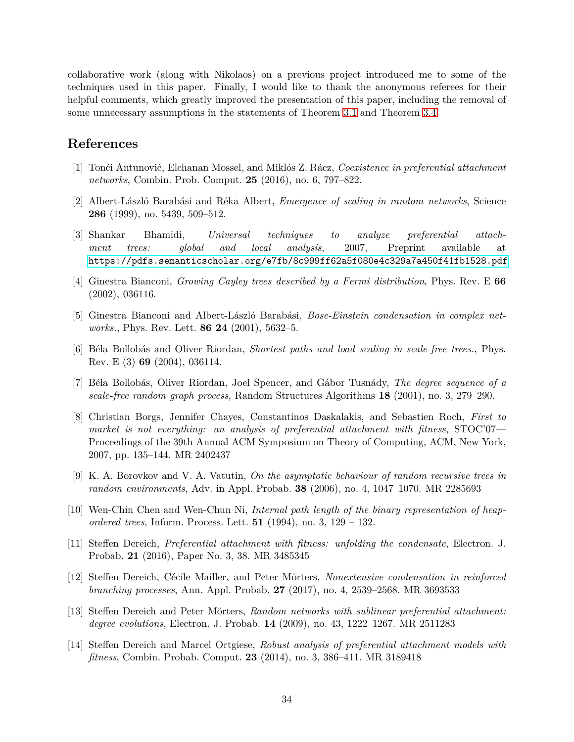collaborative work (along with Nikolaos) on a previous project introduced me to some of the techniques used in this paper. Finally, I would like to thank the anonymous referees for their helpful comments, which greatly improved the presentation of this paper, including the removal of some unnecessary assumptions in the statements of Theorem [3.1](#page-18-1) and Theorem [3.4.](#page-23-0)

## **References**

- <span id="page-33-11"></span>[1] Ton´ci Antunovi´c, Elchanan Mossel, and Mikl´os Z. R´acz, *Coexistence in preferential attachment networks*, Combin. Prob. Comput. **25** (2016), no. 6, 797–822.
- <span id="page-33-3"></span>[2] Albert-L´aszl´o Barab´asi and R´eka Albert, *Emergence of scaling in random networks*, Science **286** (1999), no. 5439, 509–512.
- <span id="page-33-9"></span>[3] Shankar Bhamidi, *Universal techniques to analyze preferential attachment trees: global and local analysis*, 2007, Preprint available at <https://pdfs.semanticscholar.org/e7fb/8c999ff62a5f080e4c329a7a450f41fb1528.pdf>.
- <span id="page-33-13"></span>[4] Ginestra Bianconi, *Growing Cayley trees described by a Fermi distribution*, Phys. Rev. E **66** (2002), 036116.
- <span id="page-33-5"></span>[5] Ginestra Bianconi and Albert-László Barabási, *Bose-Einstein condensation in complex networks.*, Phys. Rev. Lett. **86 24** (2001), 5632–5.
- <span id="page-33-2"></span>[6] B´ela Bollob´as and Oliver Riordan, *Shortest paths and load scaling in scale-free trees.*, Phys. Rev. E (3) **69** (2004), 036114.
- <span id="page-33-1"></span>[7] B´ela Bollob´as, Oliver Riordan, Joel Spencer, and G´abor Tusn´ady, *The degree sequence of a scale-free random graph process*, Random Structures Algorithms **18** (2001), no. 3, 279–290.
- <span id="page-33-6"></span>[8] Christian Borgs, Jennifer Chayes, Constantinos Daskalakis, and Sebastien Roch, *First to market is not everything: an analysis of preferential attachment with fitness*, STOC'07— Proceedings of the 39th Annual ACM Symposium on Theory of Computing, ACM, New York, 2007, pp. 135–144. MR 2402437
- <span id="page-33-12"></span>[9] K. A. Borovkov and V. A. Vatutin, *On the asymptotic behaviour of random recursive trees in random environments*, Adv. in Appl. Probab. **38** (2006), no. 4, 1047–1070. MR 2285693
- <span id="page-33-0"></span>[10] Wen-Chin Chen and Wen-Chun Ni, *Internal path length of the binary representation of heapordered trees*, Inform. Process. Lett. **51** (1994), no. 3, 129 – 132.
- <span id="page-33-7"></span>[11] Steffen Dereich, *Preferential attachment with fitness: unfolding the condensate*, Electron. J. Probab. **21** (2016), Paper No. 3, 38. MR 3485345
- <span id="page-33-10"></span>[12] Steffen Dereich, Cécile Mailler, and Peter Mörters, *Nonextensive condensation in reinforced branching processes*, Ann. Appl. Probab. **27** (2017), no. 4, 2539–2568. MR 3693533
- <span id="page-33-4"></span>[13] Steffen Dereich and Peter Mörters, *Random networks with sublinear preferential attachment*: *degree evolutions*, Electron. J. Probab. **14** (2009), no. 43, 1222–1267. MR 2511283
- <span id="page-33-8"></span>[14] Steffen Dereich and Marcel Ortgiese, *Robust analysis of preferential attachment models with fitness*, Combin. Probab. Comput. **23** (2014), no. 3, 386–411. MR 3189418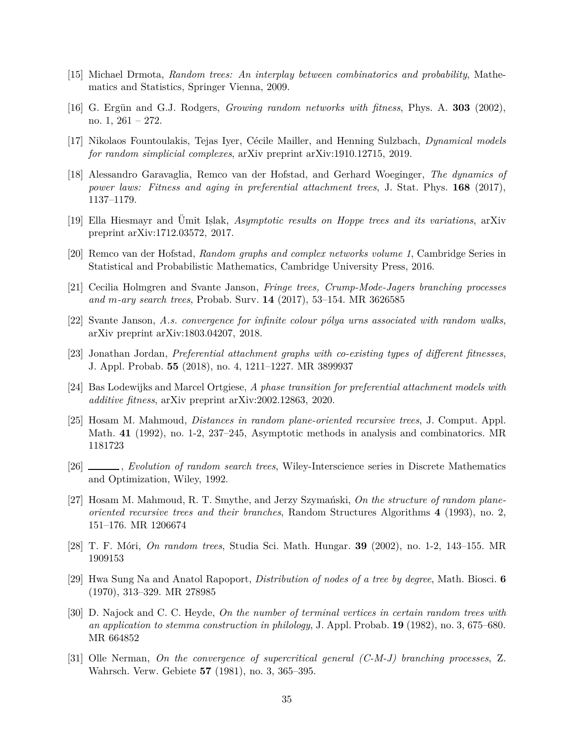- <span id="page-34-2"></span>[15] Michael Drmota, *Random trees: An interplay between combinatorics and probability*, Mathematics and Statistics, Springer Vienna, 2009.
- <span id="page-34-8"></span>[16] G. Ergün and G.J. Rodgers, *Growing random networks with fitness*, Phys. A. **303** (2002), no. 1,  $261 - 272$ .
- <span id="page-34-14"></span>[17] Nikolaos Fountoulakis, Tejas Iyer, C´ecile Mailler, and Henning Sulzbach, *Dynamical models for random simplicial complexes*, arXiv preprint arXiv:1910.12715, 2019.
- <span id="page-34-10"></span>[18] Alessandro Garavaglia, Remco van der Hofstad, and Gerhard Woeginger, *The dynamics of power laws: Fitness and aging in preferential attachment trees*, J. Stat. Phys. **168** (2017), 1137–1179.
- <span id="page-34-12"></span>[19] Ella Hiesmayr and Ümit Islak, *Asymptotic results on Hoppe trees and its variations*, arXiv preprint arXiv:1712.03572, 2017.
- <span id="page-34-16"></span>[20] Remco van der Hofstad, *Random graphs and complex networks volume 1*, Cambridge Series in Statistical and Probabilistic Mathematics, Cambridge University Press, 2016.
- <span id="page-34-7"></span>[21] Cecilia Holmgren and Svante Janson, *Fringe trees, Crump-Mode-Jagers branching processes and m-ary search trees*, Probab. Surv. **14** (2017), 53–154. MR 3626585
- <span id="page-34-13"></span>[22] Svante Janson, *A.s. convergence for infinite colour p´olya urns associated with random walks*, arXiv preprint arXiv:1803.04207, 2018.
- <span id="page-34-11"></span>[23] Jonathan Jordan, *Preferential attachment graphs with co-existing types of different fitnesses*, J. Appl. Probab. **55** (2018), no. 4, 1211–1227. MR 3899937
- <span id="page-34-9"></span>[24] Bas Lodewijks and Marcel Ortgiese, *A phase transition for preferential attachment models with additive fitness*, arXiv preprint arXiv:2002.12863, 2020.
- <span id="page-34-4"></span>[25] Hosam M. Mahmoud, *Distances in random plane-oriented recursive trees*, J. Comput. Appl. Math. **41** (1992), no. 1-2, 237–245, Asymptotic methods in analysis and combinatorics. MR 1181723
- <span id="page-34-1"></span>[26] , *Evolution of random search trees*, Wiley-Interscience series in Discrete Mathematics and Optimization, Wiley, 1992.
- <span id="page-34-5"></span>[27] Hosam M. Mahmoud, R. T. Smythe, and Jerzy Szymański, *On the structure of random planeoriented recursive trees and their branches*, Random Structures Algorithms **4** (1993), no. 2, 151–176. MR 1206674
- <span id="page-34-6"></span>[28] T. F. M´ori, *On random trees*, Studia Sci. Math. Hungar. **39** (2002), no. 1-2, 143–155. MR 1909153
- <span id="page-34-3"></span>[29] Hwa Sung Na and Anatol Rapoport, *Distribution of nodes of a tree by degree*, Math. Biosci. **6** (1970), 313–329. MR 278985
- <span id="page-34-0"></span>[30] D. Najock and C. C. Heyde, *On the number of terminal vertices in certain random trees with an application to stemma construction in philology*, J. Appl. Probab. **19** (1982), no. 3, 675–680. MR 664852
- <span id="page-34-15"></span>[31] Olle Nerman, *On the convergence of supercritical general (C-M-J) branching processes*, Z. Wahrsch. Verw. Gebiete **57** (1981), no. 3, 365–395.